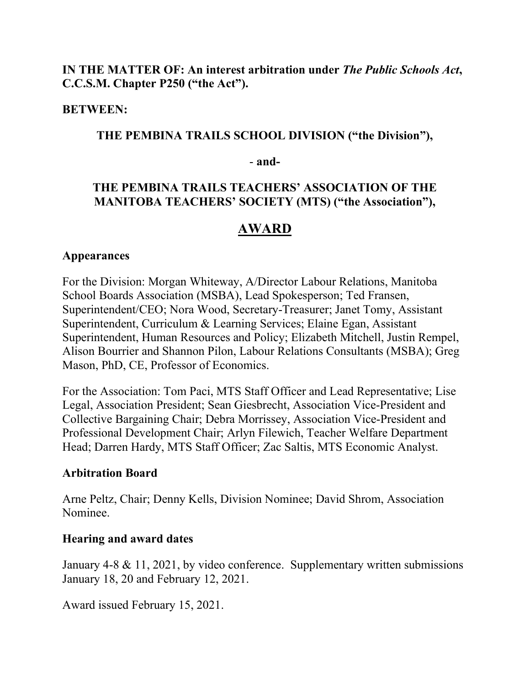# **IN THE MATTER OF: An interest arbitration under** *The Public Schools Act***, C.C.S.M. Chapter P250 ("the Act").**

## **BETWEEN:**

## **THE PEMBINA TRAILS SCHOOL DIVISION ("the Division"),**

## - **and-**

# **THE PEMBINA TRAILS TEACHERS' ASSOCIATION OF THE MANITOBA TEACHERS' SOCIETY (MTS) ("the Association"),**

# **AWARD**

## **Appearances**

For the Division: Morgan Whiteway, A/Director Labour Relations, Manitoba School Boards Association (MSBA), Lead Spokesperson; Ted Fransen, Superintendent/CEO; Nora Wood, Secretary-Treasurer; Janet Tomy, Assistant Superintendent, Curriculum & Learning Services; Elaine Egan, Assistant Superintendent, Human Resources and Policy; Elizabeth Mitchell, Justin Rempel, Alison Bourrier and Shannon Pilon, Labour Relations Consultants (MSBA); Greg Mason, PhD, CE, Professor of Economics.

For the Association: Tom Paci, MTS Staff Officer and Lead Representative; Lise Legal, Association President; Sean Giesbrecht, Association Vice-President and Collective Bargaining Chair; Debra Morrissey, Association Vice-President and Professional Development Chair; Arlyn Filewich, Teacher Welfare Department Head; Darren Hardy, MTS Staff Officer; Zac Saltis, MTS Economic Analyst.

## **Arbitration Board**

Arne Peltz, Chair; Denny Kells, Division Nominee; David Shrom, Association Nominee.

## **Hearing and award dates**

January 4-8 & 11, 2021, by video conference. Supplementary written submissions January 18, 20 and February 12, 2021.

Award issued February 15, 2021.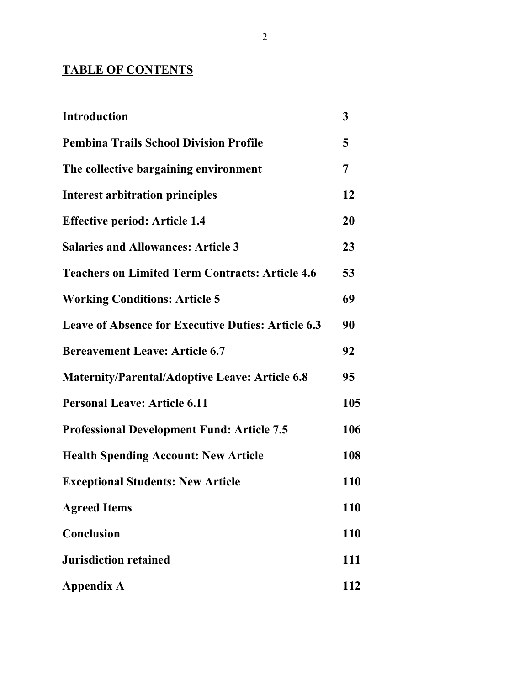# **TABLE OF CONTENTS**

| <b>Introduction</b>                                       | 3          |
|-----------------------------------------------------------|------------|
| <b>Pembina Trails School Division Profile</b>             | 5          |
| The collective bargaining environment                     | 7          |
| <b>Interest arbitration principles</b>                    | 12         |
| <b>Effective period: Article 1.4</b>                      | 20         |
| <b>Salaries and Allowances: Article 3</b>                 | 23         |
| <b>Teachers on Limited Term Contracts: Article 4.6</b>    | 53         |
| <b>Working Conditions: Article 5</b>                      | 69         |
| <b>Leave of Absence for Executive Duties: Article 6.3</b> | 90         |
| <b>Bereavement Leave: Article 6.7</b>                     | 92         |
| <b>Maternity/Parental/Adoptive Leave: Article 6.8</b>     | 95         |
| <b>Personal Leave: Article 6.11</b>                       | 105        |
| <b>Professional Development Fund: Article 7.5</b>         | 106        |
| <b>Health Spending Account: New Article</b>               | 108        |
| <b>Exceptional Students: New Article</b>                  | 110        |
| <b>Agreed Items</b>                                       | <b>110</b> |
| Conclusion                                                | 110        |
| <b>Jurisdiction retained</b>                              | 111        |
| <b>Appendix A</b>                                         | 112        |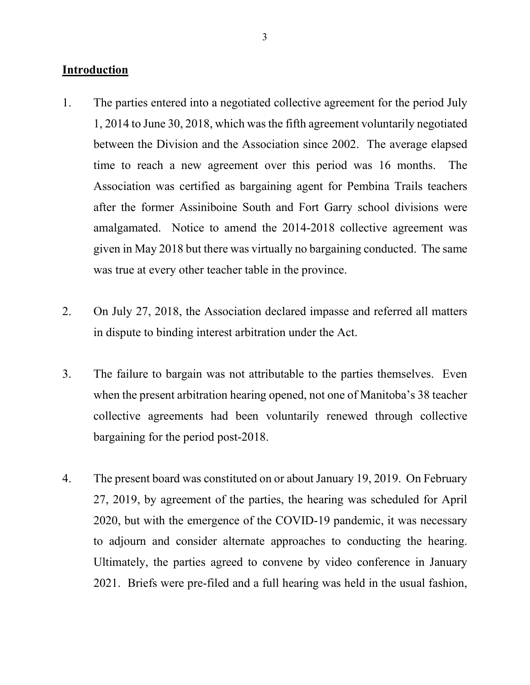## **Introduction**

- 1. The parties entered into a negotiated collective agreement for the period July 1, 2014 to June 30, 2018, which was the fifth agreement voluntarily negotiated between the Division and the Association since 2002. The average elapsed time to reach a new agreement over this period was 16 months. The Association was certified as bargaining agent for Pembina Trails teachers after the former Assiniboine South and Fort Garry school divisions were amalgamated. Notice to amend the 2014-2018 collective agreement was given in May 2018 but there was virtually no bargaining conducted. The same was true at every other teacher table in the province.
- 2. On July 27, 2018, the Association declared impasse and referred all matters in dispute to binding interest arbitration under the Act.
- 3. The failure to bargain was not attributable to the parties themselves. Even when the present arbitration hearing opened, not one of Manitoba's 38 teacher collective agreements had been voluntarily renewed through collective bargaining for the period post-2018.
- 4. The present board was constituted on or about January 19, 2019. On February 27, 2019, by agreement of the parties, the hearing was scheduled for April 2020, but with the emergence of the COVID-19 pandemic, it was necessary to adjourn and consider alternate approaches to conducting the hearing. Ultimately, the parties agreed to convene by video conference in January 2021. Briefs were pre-filed and a full hearing was held in the usual fashion,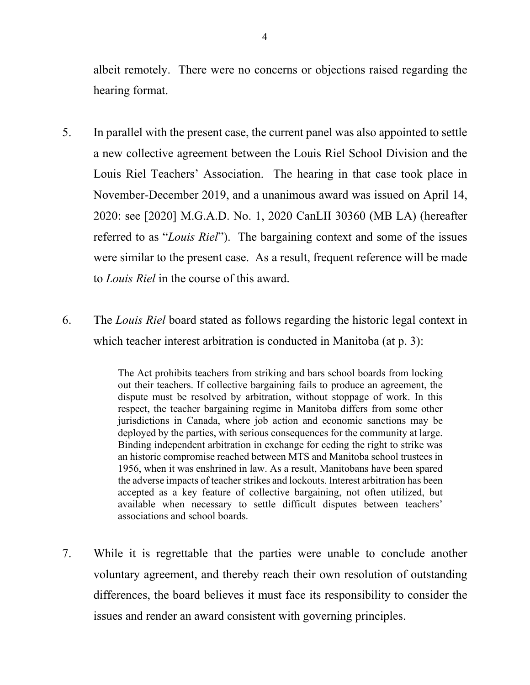albeit remotely. There were no concerns or objections raised regarding the hearing format.

- 5. In parallel with the present case, the current panel was also appointed to settle a new collective agreement between the Louis Riel School Division and the Louis Riel Teachers' Association. The hearing in that case took place in November-December 2019, and a unanimous award was issued on April 14, 2020: see [2020] M.G.A.D. No. 1, 2020 CanLII 30360 (MB LA) (hereafter referred to as "*Louis Riel*"). The bargaining context and some of the issues were similar to the present case. As a result, frequent reference will be made to *Louis Riel* in the course of this award.
- 6. The *Louis Riel* board stated as follows regarding the historic legal context in which teacher interest arbitration is conducted in Manitoba (at p. 3):

The Act prohibits teachers from striking and bars school boards from locking out their teachers. If collective bargaining fails to produce an agreement, the dispute must be resolved by arbitration, without stoppage of work. In this respect, the teacher bargaining regime in Manitoba differs from some other jurisdictions in Canada, where job action and economic sanctions may be deployed by the parties, with serious consequences for the community at large. Binding independent arbitration in exchange for ceding the right to strike was an historic compromise reached between MTS and Manitoba school trustees in 1956, when it was enshrined in law. As a result, Manitobans have been spared the adverse impacts of teacher strikes and lockouts. Interest arbitration has been accepted as a key feature of collective bargaining, not often utilized, but available when necessary to settle difficult disputes between teachers' associations and school boards.

7. While it is regrettable that the parties were unable to conclude another voluntary agreement, and thereby reach their own resolution of outstanding differences, the board believes it must face its responsibility to consider the issues and render an award consistent with governing principles.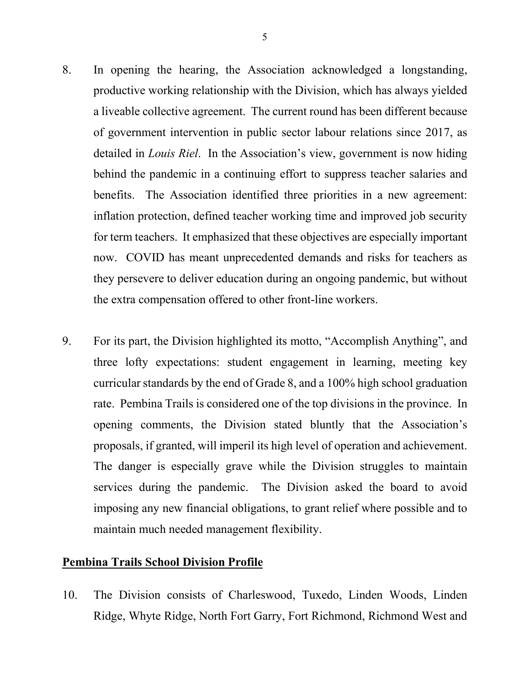- 8. In opening the hearing, the Association acknowledged a longstanding, productive working relationship with the Division, which has always yielded a liveable collective agreement. The current round has been different because of government intervention in public sector labour relations since 2017, as detailed in *Louis Riel*. In the Association's view, government is now hiding behind the pandemic in a continuing effort to suppress teacher salaries and benefits. The Association identified three priorities in a new agreement: inflation protection, defined teacher working time and improved job security for term teachers. It emphasized that these objectives are especially important now. COVID has meant unprecedented demands and risks for teachers as they persevere to deliver education during an ongoing pandemic, but without the extra compensation offered to other front-line workers.
- 9. For its part, the Division highlighted its motto, "Accomplish Anything", and three lofty expectations: student engagement in learning, meeting key curricular standards by the end of Grade 8, and a 100% high school graduation rate. Pembina Trails is considered one of the top divisions in the province. In opening comments, the Division stated bluntly that the Association's proposals, if granted, will imperil its high level of operation and achievement. The danger is especially grave while the Division struggles to maintain services during the pandemic. The Division asked the board to avoid imposing any new financial obligations, to grant relief where possible and to maintain much needed management flexibility.

## **Pembina Trails School Division Profile**

10. The Division consists of Charleswood, Tuxedo, Linden Woods, Linden Ridge, Whyte Ridge, North Fort Garry, Fort Richmond, Richmond West and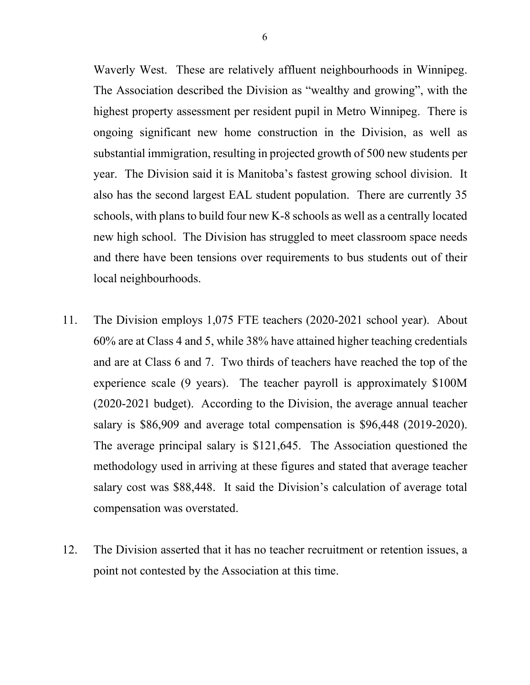Waverly West. These are relatively affluent neighbourhoods in Winnipeg. The Association described the Division as "wealthy and growing", with the highest property assessment per resident pupil in Metro Winnipeg. There is ongoing significant new home construction in the Division, as well as substantial immigration, resulting in projected growth of 500 new students per year. The Division said it is Manitoba's fastest growing school division. It also has the second largest EAL student population. There are currently 35 schools, with plans to build four new K-8 schools as well as a centrally located new high school. The Division has struggled to meet classroom space needs and there have been tensions over requirements to bus students out of their local neighbourhoods.

- 11. The Division employs 1,075 FTE teachers (2020-2021 school year). About 60% are at Class 4 and 5, while 38% have attained higher teaching credentials and are at Class 6 and 7. Two thirds of teachers have reached the top of the experience scale (9 years). The teacher payroll is approximately \$100M (2020-2021 budget). According to the Division, the average annual teacher salary is \$86,909 and average total compensation is \$96,448 (2019-2020). The average principal salary is \$121,645. The Association questioned the methodology used in arriving at these figures and stated that average teacher salary cost was \$88,448. It said the Division's calculation of average total compensation was overstated.
- 12. The Division asserted that it has no teacher recruitment or retention issues, a point not contested by the Association at this time.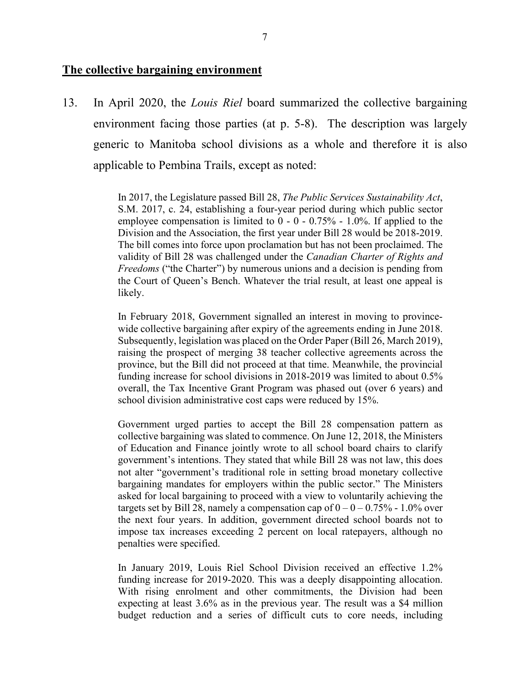#### **The collective bargaining environment**

13. In April 2020, the *Louis Riel* board summarized the collective bargaining environment facing those parties (at p. 5-8). The description was largely generic to Manitoba school divisions as a whole and therefore it is also applicable to Pembina Trails, except as noted:

> In 2017, the Legislature passed Bill 28, *The Public Services Sustainability Act*, S.M. 2017, c. 24, establishing a four-year period during which public sector employee compensation is limited to  $0 - 0 - 0.75% - 1.0%$ . If applied to the Division and the Association, the first year under Bill 28 would be 2018-2019. The bill comes into force upon proclamation but has not been proclaimed. The validity of Bill 28 was challenged under the *Canadian Charter of Rights and Freedoms* ("the Charter") by numerous unions and a decision is pending from the Court of Queen's Bench. Whatever the trial result, at least one appeal is likely.

> In February 2018, Government signalled an interest in moving to provincewide collective bargaining after expiry of the agreements ending in June 2018. Subsequently, legislation was placed on the Order Paper (Bill 26, March 2019), raising the prospect of merging 38 teacher collective agreements across the province, but the Bill did not proceed at that time. Meanwhile, the provincial funding increase for school divisions in 2018-2019 was limited to about 0.5% overall, the Tax Incentive Grant Program was phased out (over 6 years) and school division administrative cost caps were reduced by 15%.

> Government urged parties to accept the Bill 28 compensation pattern as collective bargaining was slated to commence. On June 12, 2018, the Ministers of Education and Finance jointly wrote to all school board chairs to clarify government's intentions. They stated that while Bill 28 was not law, this does not alter "government's traditional role in setting broad monetary collective bargaining mandates for employers within the public sector." The Ministers asked for local bargaining to proceed with a view to voluntarily achieving the targets set by Bill 28, namely a compensation cap of  $0 - 0 - 0.75\%$  - 1.0% over the next four years. In addition, government directed school boards not to impose tax increases exceeding 2 percent on local ratepayers, although no penalties were specified.

> In January 2019, Louis Riel School Division received an effective 1.2% funding increase for 2019-2020. This was a deeply disappointing allocation. With rising enrolment and other commitments, the Division had been expecting at least 3.6% as in the previous year. The result was a \$4 million budget reduction and a series of difficult cuts to core needs, including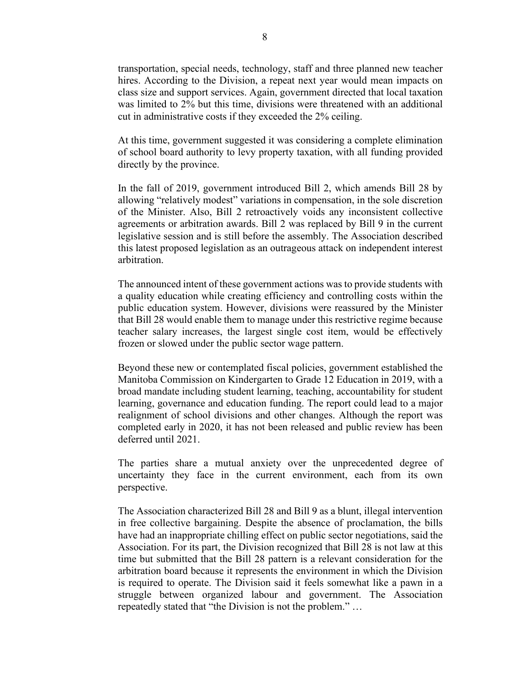transportation, special needs, technology, staff and three planned new teacher hires. According to the Division, a repeat next year would mean impacts on class size and support services. Again, government directed that local taxation was limited to 2% but this time, divisions were threatened with an additional cut in administrative costs if they exceeded the 2% ceiling.

At this time, government suggested it was considering a complete elimination of school board authority to levy property taxation, with all funding provided directly by the province.

In the fall of 2019, government introduced Bill 2, which amends Bill 28 by allowing "relatively modest" variations in compensation, in the sole discretion of the Minister. Also, Bill 2 retroactively voids any inconsistent collective agreements or arbitration awards. Bill 2 was replaced by Bill 9 in the current legislative session and is still before the assembly. The Association described this latest proposed legislation as an outrageous attack on independent interest arbitration.

The announced intent of these government actions was to provide students with a quality education while creating efficiency and controlling costs within the public education system. However, divisions were reassured by the Minister that Bill 28 would enable them to manage under this restrictive regime because teacher salary increases, the largest single cost item, would be effectively frozen or slowed under the public sector wage pattern.

Beyond these new or contemplated fiscal policies, government established the Manitoba Commission on Kindergarten to Grade 12 Education in 2019, with a broad mandate including student learning, teaching, accountability for student learning, governance and education funding. The report could lead to a major realignment of school divisions and other changes. Although the report was completed early in 2020, it has not been released and public review has been deferred until 2021.

The parties share a mutual anxiety over the unprecedented degree of uncertainty they face in the current environment, each from its own perspective.

The Association characterized Bill 28 and Bill 9 as a blunt, illegal intervention in free collective bargaining. Despite the absence of proclamation, the bills have had an inappropriate chilling effect on public sector negotiations, said the Association. For its part, the Division recognized that Bill 28 is not law at this time but submitted that the Bill 28 pattern is a relevant consideration for the arbitration board because it represents the environment in which the Division is required to operate. The Division said it feels somewhat like a pawn in a struggle between organized labour and government. The Association repeatedly stated that "the Division is not the problem." …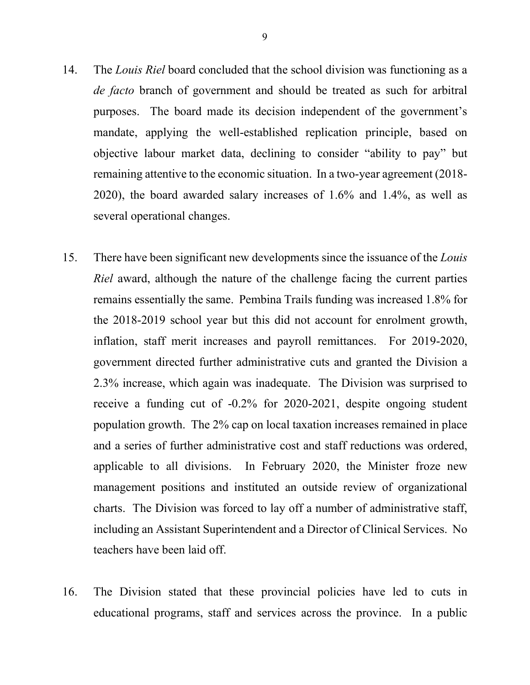- 14. The *Louis Riel* board concluded that the school division was functioning as a *de facto* branch of government and should be treated as such for arbitral purposes. The board made its decision independent of the government's mandate, applying the well-established replication principle, based on objective labour market data, declining to consider "ability to pay" but remaining attentive to the economic situation. In a two-year agreement (2018- 2020), the board awarded salary increases of 1.6% and 1.4%, as well as several operational changes.
- 15. There have been significant new developments since the issuance of the *Louis Riel* award, although the nature of the challenge facing the current parties remains essentially the same. Pembina Trails funding was increased 1.8% for the 2018-2019 school year but this did not account for enrolment growth, inflation, staff merit increases and payroll remittances. For 2019-2020, government directed further administrative cuts and granted the Division a 2.3% increase, which again was inadequate. The Division was surprised to receive a funding cut of -0.2% for 2020-2021, despite ongoing student population growth. The 2% cap on local taxation increases remained in place and a series of further administrative cost and staff reductions was ordered, applicable to all divisions. In February 2020, the Minister froze new management positions and instituted an outside review of organizational charts. The Division was forced to lay off a number of administrative staff, including an Assistant Superintendent and a Director of Clinical Services. No teachers have been laid off.
- 16. The Division stated that these provincial policies have led to cuts in educational programs, staff and services across the province. In a public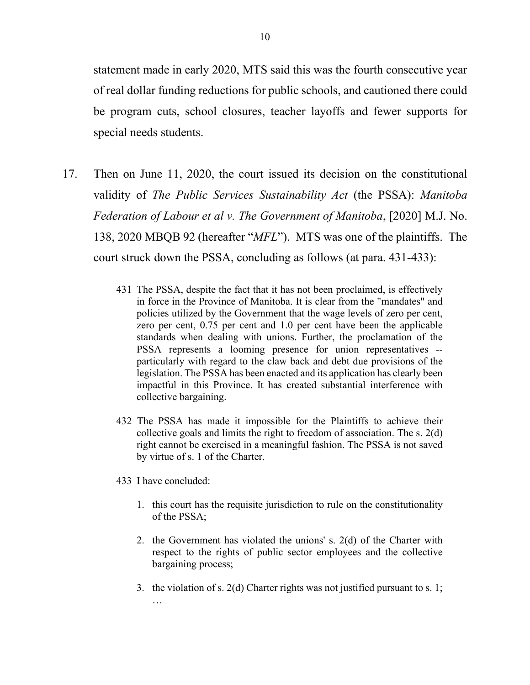statement made in early 2020, MTS said this was the fourth consecutive year of real dollar funding reductions for public schools, and cautioned there could be program cuts, school closures, teacher layoffs and fewer supports for special needs students.

- 17. Then on June 11, 2020, the court issued its decision on the constitutional validity of *The Public Services Sustainability Act* (the PSSA): *Manitoba Federation of Labour et al v. The Government of Manitoba*, [2020] M.J. No. 138, 2020 MBQB 92 (hereafter "*MFL*"). MTS was one of the plaintiffs. The court struck down the PSSA, concluding as follows (at para. 431-433):
	- 431 The PSSA, despite the fact that it has not been proclaimed, is effectively in force in the Province of Manitoba. It is clear from the "mandates" and policies utilized by the Government that the wage levels of zero per cent, zero per cent, 0.75 per cent and 1.0 per cent have been the applicable standards when dealing with unions. Further, the proclamation of the PSSA represents a looming presence for union representatives - particularly with regard to the claw back and debt due provisions of the legislation. The PSSA has been enacted and its application has clearly been impactful in this Province. It has created substantial interference with collective bargaining.
	- 432 The PSSA has made it impossible for the Plaintiffs to achieve their collective goals and limits the right to freedom of association. The s. 2(d) right cannot be exercised in a meaningful fashion. The PSSA is not saved by virtue of s. 1 of the Charter.
	- 433 I have concluded:
		- 1. this court has the requisite jurisdiction to rule on the constitutionality of the PSSA;
		- 2. the Government has violated the unions' s. 2(d) of the Charter with respect to the rights of public sector employees and the collective bargaining process;
		- 3. the violation of s. 2(d) Charter rights was not justified pursuant to s. 1; …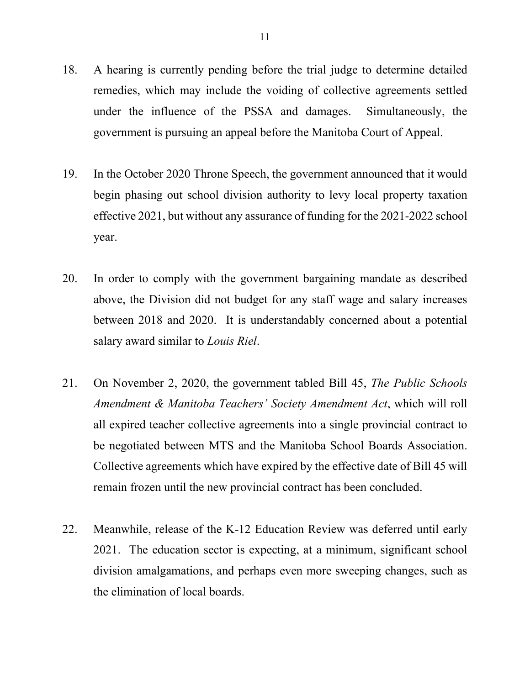- 18. A hearing is currently pending before the trial judge to determine detailed remedies, which may include the voiding of collective agreements settled under the influence of the PSSA and damages. Simultaneously, the government is pursuing an appeal before the Manitoba Court of Appeal.
- 19. In the October 2020 Throne Speech, the government announced that it would begin phasing out school division authority to levy local property taxation effective 2021, but without any assurance of funding for the 2021-2022 school year.
- 20. In order to comply with the government bargaining mandate as described above, the Division did not budget for any staff wage and salary increases between 2018 and 2020. It is understandably concerned about a potential salary award similar to *Louis Riel*.
- 21. On November 2, 2020, the government tabled Bill 45, *The Public Schools Amendment & Manitoba Teachers' Society Amendment Act*, which will roll all expired teacher collective agreements into a single provincial contract to be negotiated between MTS and the Manitoba School Boards Association. Collective agreements which have expired by the effective date of Bill 45 will remain frozen until the new provincial contract has been concluded.
- 22. Meanwhile, release of the K-12 Education Review was deferred until early 2021. The education sector is expecting, at a minimum, significant school division amalgamations, and perhaps even more sweeping changes, such as the elimination of local boards.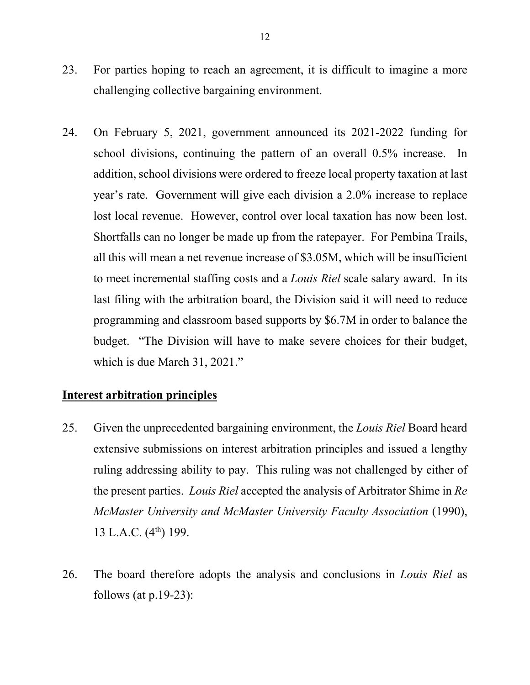- 23. For parties hoping to reach an agreement, it is difficult to imagine a more challenging collective bargaining environment.
- 24. On February 5, 2021, government announced its 2021-2022 funding for school divisions, continuing the pattern of an overall 0.5% increase. In addition, school divisions were ordered to freeze local property taxation at last year's rate. Government will give each division a 2.0% increase to replace lost local revenue. However, control over local taxation has now been lost. Shortfalls can no longer be made up from the ratepayer. For Pembina Trails, all this will mean a net revenue increase of \$3.05M, which will be insufficient to meet incremental staffing costs and a *Louis Riel* scale salary award. In its last filing with the arbitration board, the Division said it will need to reduce programming and classroom based supports by \$6.7M in order to balance the budget. "The Division will have to make severe choices for their budget, which is due March 31, 2021."

### **Interest arbitration principles**

- 25. Given the unprecedented bargaining environment, the *Louis Riel* Board heard extensive submissions on interest arbitration principles and issued a lengthy ruling addressing ability to pay. This ruling was not challenged by either of the present parties. *Louis Riel* accepted the analysis of Arbitrator Shime in *Re McMaster University and McMaster University Faculty Association* (1990), 13 L.A.C.  $(4^{th})$  199.
- 26. The board therefore adopts the analysis and conclusions in *Louis Riel* as follows (at  $p.19-23$ ):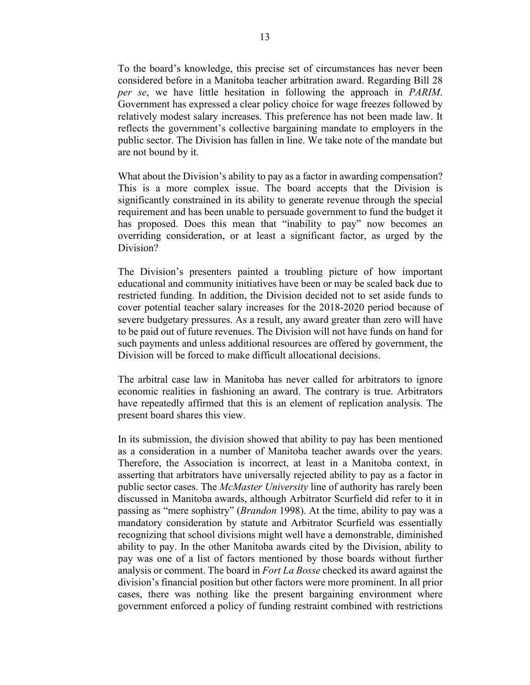To the board's knowledge, this precise set of circumstances has never been considered before in a Manitoba teacher arbitration award. Regarding Bill 28 *per se*, we have little hesitation in following the approach in *PARIM*. Government has expressed a clear policy choice for wage freezes followed by relatively modest salary increases. This preference has not been made law. It reflects the government's collective bargaining mandate to employers in the public sector. The Division has fallen in line. We take note of the mandate but are not bound by it.

What about the Division's ability to pay as a factor in awarding compensation? This is a more complex issue. The board accepts that the Division is significantly constrained in its ability to generate revenue through the special requirement and has been unable to persuade government to fund the budget it has proposed. Does this mean that "inability to pay" now becomes an overriding consideration, or at least a significant factor, as urged by the Division?

The Division's presenters painted a troubling picture of how important educational and community initiatives have been or may be scaled back due to restricted funding. In addition, the Division decided not to set aside funds to cover potential teacher salary increases for the 2018-2020 period because of severe budgetary pressures. As a result, any award greater than zero will have to be paid out of future revenues. The Division will not have funds on hand for such payments and unless additional resources are offered by government, the Division will be forced to make difficult allocational decisions.

The arbitral case law in Manitoba has never called for arbitrators to ignore economic realities in fashioning an award. The contrary is true. Arbitrators have repeatedly affirmed that this is an element of replication analysis. The present board shares this view.

In its submission, the division showed that ability to pay has been mentioned as a consideration in a number of Manitoba teacher awards over the years. Therefore, the Association is incorrect, at least in a Manitoba context, in asserting that arbitrators have universally rejected ability to pay as a factor in public sector cases. The *McMaster University* line of authority has rarely been discussed in Manitoba awards, although Arbitrator Scurfield did refer to it in passing as "mere sophistry" (*Brandon* 1998). At the time, ability to pay was a mandatory consideration by statute and Arbitrator Scurfield was essentially recognizing that school divisions might well have a demonstrable, diminished ability to pay. In the other Manitoba awards cited by the Division, ability to pay was one of a list of factors mentioned by those boards without further analysis or comment. The board in *Fort La Bosse* checked its award against the division's financial position but other factors were more prominent. In all prior cases, there was nothing like the present bargaining environment where government enforced a policy of funding restraint combined with restrictions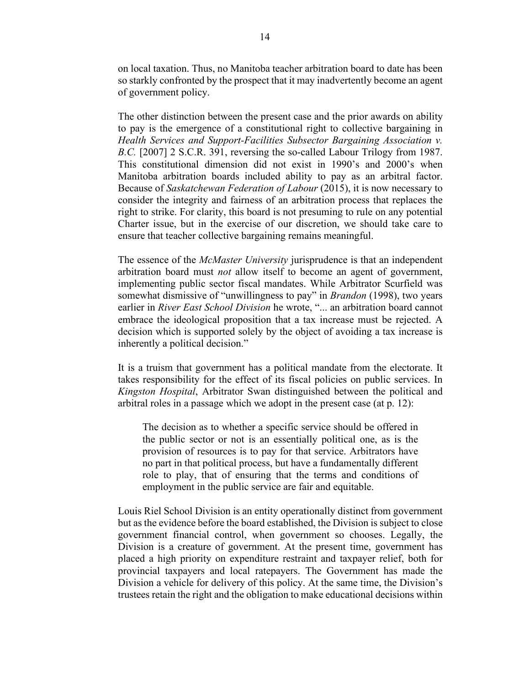on local taxation. Thus, no Manitoba teacher arbitration board to date has been so starkly confronted by the prospect that it may inadvertently become an agent of government policy.

The other distinction between the present case and the prior awards on ability to pay is the emergence of a constitutional right to collective bargaining in *Health Services and Support-Facilities Subsector Bargaining Association v. B.C.* [2007] 2 S.C.R. 391, reversing the so-called Labour Trilogy from 1987. This constitutional dimension did not exist in 1990's and 2000's when Manitoba arbitration boards included ability to pay as an arbitral factor. Because of *Saskatchewan Federation of Labour* (2015), it is now necessary to consider the integrity and fairness of an arbitration process that replaces the right to strike. For clarity, this board is not presuming to rule on any potential Charter issue, but in the exercise of our discretion, we should take care to ensure that teacher collective bargaining remains meaningful.

The essence of the *McMaster University* jurisprudence is that an independent arbitration board must *not* allow itself to become an agent of government, implementing public sector fiscal mandates. While Arbitrator Scurfield was somewhat dismissive of "unwillingness to pay" in *Brandon* (1998), two years earlier in *River East School Division* he wrote, "... an arbitration board cannot embrace the ideological proposition that a tax increase must be rejected. A decision which is supported solely by the object of avoiding a tax increase is inherently a political decision."

It is a truism that government has a political mandate from the electorate. It takes responsibility for the effect of its fiscal policies on public services. In *Kingston Hospital*, Arbitrator Swan distinguished between the political and arbitral roles in a passage which we adopt in the present case (at p. 12):

The decision as to whether a specific service should be offered in the public sector or not is an essentially political one, as is the provision of resources is to pay for that service. Arbitrators have no part in that political process, but have a fundamentally different role to play, that of ensuring that the terms and conditions of employment in the public service are fair and equitable.

Louis Riel School Division is an entity operationally distinct from government but as the evidence before the board established, the Division is subject to close government financial control, when government so chooses. Legally, the Division is a creature of government. At the present time, government has placed a high priority on expenditure restraint and taxpayer relief, both for provincial taxpayers and local ratepayers. The Government has made the Division a vehicle for delivery of this policy. At the same time, the Division's trustees retain the right and the obligation to make educational decisions within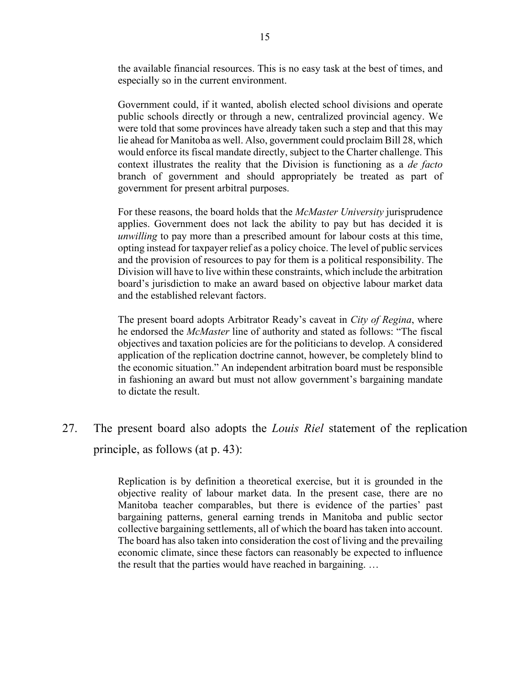the available financial resources. This is no easy task at the best of times, and especially so in the current environment.

Government could, if it wanted, abolish elected school divisions and operate public schools directly or through a new, centralized provincial agency. We were told that some provinces have already taken such a step and that this may lie ahead for Manitoba as well. Also, government could proclaim Bill 28, which would enforce its fiscal mandate directly, subject to the Charter challenge. This context illustrates the reality that the Division is functioning as a *de facto*  branch of government and should appropriately be treated as part of government for present arbitral purposes.

For these reasons, the board holds that the *McMaster University* jurisprudence applies. Government does not lack the ability to pay but has decided it is *unwilling* to pay more than a prescribed amount for labour costs at this time, opting instead for taxpayer relief as a policy choice. The level of public services and the provision of resources to pay for them is a political responsibility. The Division will have to live within these constraints, which include the arbitration board's jurisdiction to make an award based on objective labour market data and the established relevant factors.

The present board adopts Arbitrator Ready's caveat in *City of Regina*, where he endorsed the *McMaster* line of authority and stated as follows: "The fiscal objectives and taxation policies are for the politicians to develop. A considered application of the replication doctrine cannot, however, be completely blind to the economic situation." An independent arbitration board must be responsible in fashioning an award but must not allow government's bargaining mandate to dictate the result.

27. The present board also adopts the *Louis Riel* statement of the replication principle, as follows (at p. 43):

> Replication is by definition a theoretical exercise, but it is grounded in the objective reality of labour market data. In the present case, there are no Manitoba teacher comparables, but there is evidence of the parties' past bargaining patterns, general earning trends in Manitoba and public sector collective bargaining settlements, all of which the board has taken into account. The board has also taken into consideration the cost of living and the prevailing economic climate, since these factors can reasonably be expected to influence the result that the parties would have reached in bargaining. …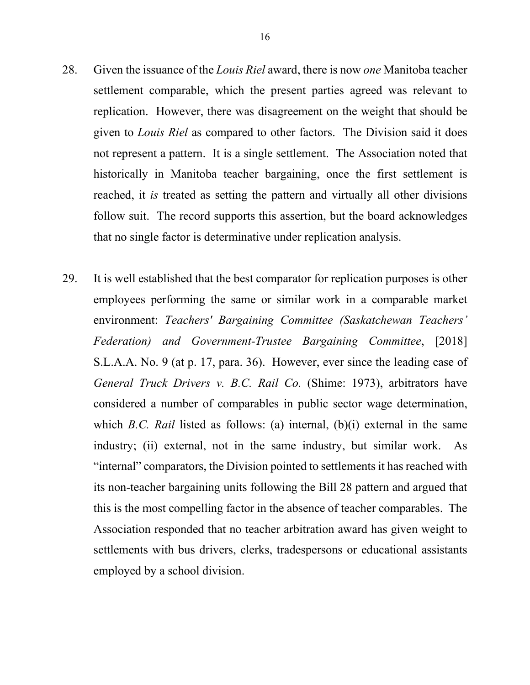- 28. Given the issuance of the *Louis Riel* award, there is now *one* Manitoba teacher settlement comparable, which the present parties agreed was relevant to replication. However, there was disagreement on the weight that should be given to *Louis Riel* as compared to other factors. The Division said it does not represent a pattern. It is a single settlement. The Association noted that historically in Manitoba teacher bargaining, once the first settlement is reached, it *is* treated as setting the pattern and virtually all other divisions follow suit. The record supports this assertion, but the board acknowledges that no single factor is determinative under replication analysis.
- 29. It is well established that the best comparator for replication purposes is other employees performing the same or similar work in a comparable market environment: *Teachers' Bargaining Committee (Saskatchewan Teachers' Federation) and Government-Trustee Bargaining Committee*, [2018] S.L.A.A. No. 9 (at p. 17, para. 36). However, ever since the leading case of *General Truck Drivers v. B.C. Rail Co.* (Shime: 1973), arbitrators have considered a number of comparables in public sector wage determination, which *B.C. Rail* listed as follows: (a) internal, (b)(i) external in the same industry; (ii) external, not in the same industry, but similar work. As "internal" comparators, the Division pointed to settlements it has reached with its non-teacher bargaining units following the Bill 28 pattern and argued that this is the most compelling factor in the absence of teacher comparables. The Association responded that no teacher arbitration award has given weight to settlements with bus drivers, clerks, tradespersons or educational assistants employed by a school division.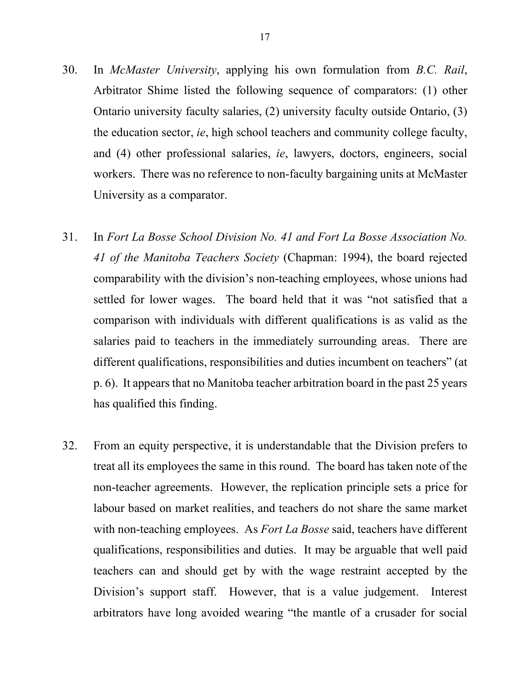- 30. In *McMaster University*, applying his own formulation from *B.C. Rail*, Arbitrator Shime listed the following sequence of comparators: (1) other Ontario university faculty salaries, (2) university faculty outside Ontario, (3) the education sector, *ie*, high school teachers and community college faculty, and (4) other professional salaries, *ie*, lawyers, doctors, engineers, social workers. There was no reference to non-faculty bargaining units at McMaster University as a comparator.
- 31. In *Fort La Bosse School Division No. 41 and Fort La Bosse Association No. 41 of the Manitoba Teachers Society* (Chapman: 1994), the board rejected comparability with the division's non-teaching employees, whose unions had settled for lower wages. The board held that it was "not satisfied that a comparison with individuals with different qualifications is as valid as the salaries paid to teachers in the immediately surrounding areas. There are different qualifications, responsibilities and duties incumbent on teachers" (at p. 6). It appears that no Manitoba teacher arbitration board in the past 25 years has qualified this finding.
- 32. From an equity perspective, it is understandable that the Division prefers to treat all its employees the same in this round. The board has taken note of the non-teacher agreements. However, the replication principle sets a price for labour based on market realities, and teachers do not share the same market with non-teaching employees. As *Fort La Bosse* said, teachers have different qualifications, responsibilities and duties. It may be arguable that well paid teachers can and should get by with the wage restraint accepted by the Division's support staff. However, that is a value judgement. Interest arbitrators have long avoided wearing "the mantle of a crusader for social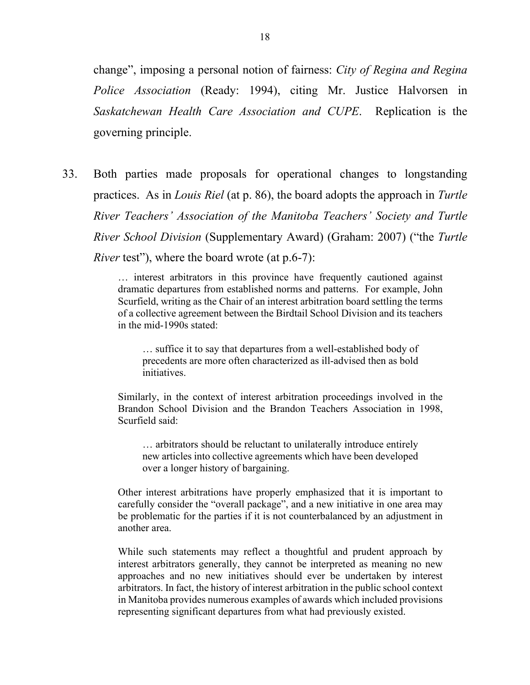change", imposing a personal notion of fairness: *City of Regina and Regina Police Association* (Ready: 1994), citing Mr. Justice Halvorsen in *Saskatchewan Health Care Association and CUPE*. Replication is the governing principle.

33. Both parties made proposals for operational changes to longstanding practices. As in *Louis Riel* (at p. 86), the board adopts the approach in *Turtle River Teachers' Association of the Manitoba Teachers' Society and Turtle River School Division* (Supplementary Award) (Graham: 2007) ("the *Turtle River* test"), where the board wrote (at p.6-7):

> … interest arbitrators in this province have frequently cautioned against dramatic departures from established norms and patterns. For example, John Scurfield, writing as the Chair of an interest arbitration board settling the terms of a collective agreement between the Birdtail School Division and its teachers in the mid-1990s stated:

… suffice it to say that departures from a well-established body of precedents are more often characterized as ill-advised then as bold initiatives.

Similarly, in the context of interest arbitration proceedings involved in the Brandon School Division and the Brandon Teachers Association in 1998, Scurfield said:

… arbitrators should be reluctant to unilaterally introduce entirely new articles into collective agreements which have been developed over a longer history of bargaining.

Other interest arbitrations have properly emphasized that it is important to carefully consider the "overall package", and a new initiative in one area may be problematic for the parties if it is not counterbalanced by an adjustment in another area.

While such statements may reflect a thoughtful and prudent approach by interest arbitrators generally, they cannot be interpreted as meaning no new approaches and no new initiatives should ever be undertaken by interest arbitrators. In fact, the history of interest arbitration in the public school context in Manitoba provides numerous examples of awards which included provisions representing significant departures from what had previously existed.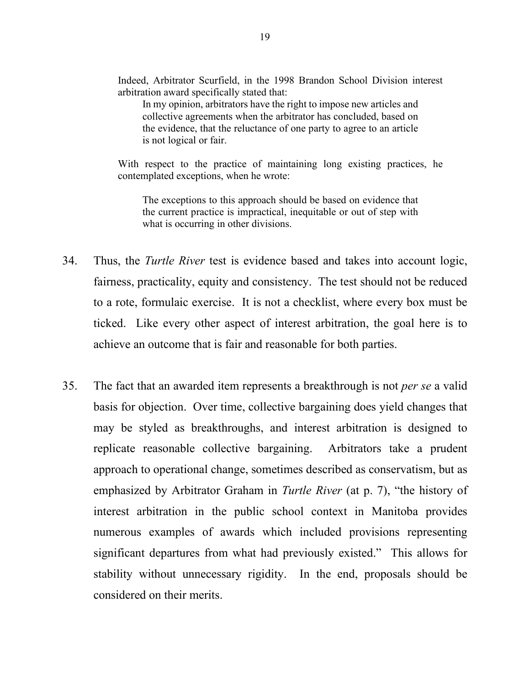Indeed, Arbitrator Scurfield, in the 1998 Brandon School Division interest arbitration award specifically stated that:

In my opinion, arbitrators have the right to impose new articles and collective agreements when the arbitrator has concluded, based on the evidence, that the reluctance of one party to agree to an article is not logical or fair.

With respect to the practice of maintaining long existing practices, he contemplated exceptions, when he wrote:

The exceptions to this approach should be based on evidence that the current practice is impractical, inequitable or out of step with what is occurring in other divisions.

- 34. Thus, the *Turtle River* test is evidence based and takes into account logic, fairness, practicality, equity and consistency. The test should not be reduced to a rote, formulaic exercise. It is not a checklist, where every box must be ticked. Like every other aspect of interest arbitration, the goal here is to achieve an outcome that is fair and reasonable for both parties.
- 35. The fact that an awarded item represents a breakthrough is not *per se* a valid basis for objection. Over time, collective bargaining does yield changes that may be styled as breakthroughs, and interest arbitration is designed to replicate reasonable collective bargaining. Arbitrators take a prudent approach to operational change, sometimes described as conservatism, but as emphasized by Arbitrator Graham in *Turtle River* (at p. 7), "the history of interest arbitration in the public school context in Manitoba provides numerous examples of awards which included provisions representing significant departures from what had previously existed." This allows for stability without unnecessary rigidity. In the end, proposals should be considered on their merits.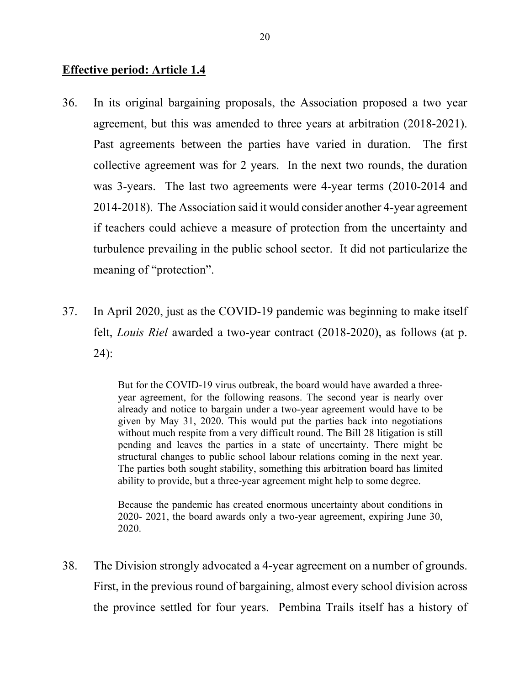### **Effective period: Article 1.4**

- 36. In its original bargaining proposals, the Association proposed a two year agreement, but this was amended to three years at arbitration (2018-2021). Past agreements between the parties have varied in duration. The first collective agreement was for 2 years. In the next two rounds, the duration was 3-years. The last two agreements were 4-year terms (2010-2014 and 2014-2018). The Association said it would consider another 4-year agreement if teachers could achieve a measure of protection from the uncertainty and turbulence prevailing in the public school sector. It did not particularize the meaning of "protection".
- 37. In April 2020, just as the COVID-19 pandemic was beginning to make itself felt, *Louis Riel* awarded a two-year contract (2018-2020), as follows (at p. 24):

But for the COVID-19 virus outbreak, the board would have awarded a threeyear agreement, for the following reasons. The second year is nearly over already and notice to bargain under a two-year agreement would have to be given by May 31, 2020. This would put the parties back into negotiations without much respite from a very difficult round. The Bill 28 litigation is still pending and leaves the parties in a state of uncertainty. There might be structural changes to public school labour relations coming in the next year. The parties both sought stability, something this arbitration board has limited ability to provide, but a three-year agreement might help to some degree.

Because the pandemic has created enormous uncertainty about conditions in 2020- 2021, the board awards only a two-year agreement, expiring June 30, 2020.

38. The Division strongly advocated a 4-year agreement on a number of grounds. First, in the previous round of bargaining, almost every school division across the province settled for four years. Pembina Trails itself has a history of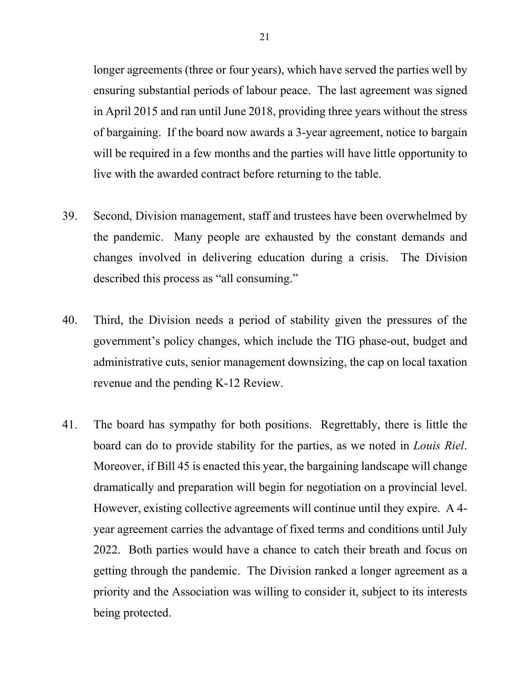longer agreements (three or four years), which have served the parties well by ensuring substantial periods of labour peace. The last agreement was signed in April 2015 and ran until June 2018, providing three years without the stress of bargaining. If the board now awards a 3-year agreement, notice to bargain will be required in a few months and the parties will have little opportunity to live with the awarded contract before returning to the table.

- 39. Second, Division management, staff and trustees have been overwhelmed by the pandemic. Many people are exhausted by the constant demands and changes involved in delivering education during a crisis. The Division described this process as "all consuming."
- 40. Third, the Division needs a period of stability given the pressures of the government's policy changes, which include the TIG phase-out, budget and administrative cuts, senior management downsizing, the cap on local taxation revenue and the pending K-12 Review.
- 41. The board has sympathy for both positions. Regrettably, there is little the board can do to provide stability for the parties, as we noted in *Louis Riel*. Moreover, if Bill 45 is enacted this year, the bargaining landscape will change dramatically and preparation will begin for negotiation on a provincial level. However, existing collective agreements will continue until they expire. A 4 year agreement carries the advantage of fixed terms and conditions until July 2022. Both parties would have a chance to catch their breath and focus on getting through the pandemic. The Division ranked a longer agreement as a priority and the Association was willing to consider it, subject to its interests being protected.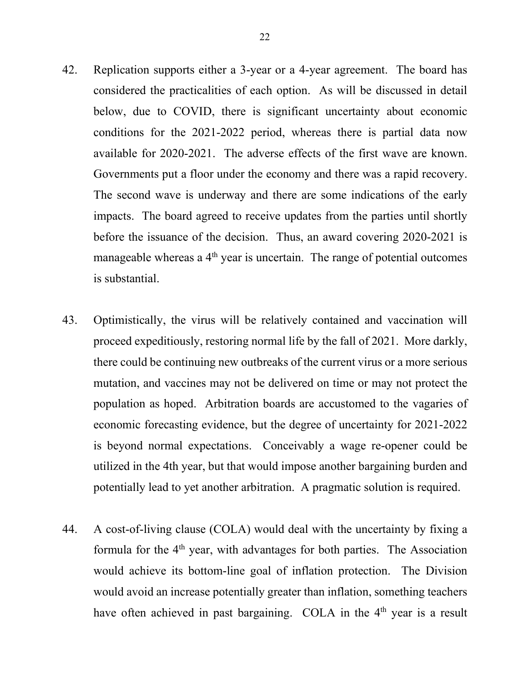- 42. Replication supports either a 3-year or a 4-year agreement. The board has considered the practicalities of each option. As will be discussed in detail below, due to COVID, there is significant uncertainty about economic conditions for the 2021-2022 period, whereas there is partial data now available for 2020-2021. The adverse effects of the first wave are known. Governments put a floor under the economy and there was a rapid recovery. The second wave is underway and there are some indications of the early impacts. The board agreed to receive updates from the parties until shortly before the issuance of the decision. Thus, an award covering 2020-2021 is manageable whereas a  $4<sup>th</sup>$  year is uncertain. The range of potential outcomes is substantial.
- 43. Optimistically, the virus will be relatively contained and vaccination will proceed expeditiously, restoring normal life by the fall of 2021. More darkly, there could be continuing new outbreaks of the current virus or a more serious mutation, and vaccines may not be delivered on time or may not protect the population as hoped. Arbitration boards are accustomed to the vagaries of economic forecasting evidence, but the degree of uncertainty for 2021-2022 is beyond normal expectations. Conceivably a wage re-opener could be utilized in the 4th year, but that would impose another bargaining burden and potentially lead to yet another arbitration. A pragmatic solution is required.
- 44. A cost-of-living clause (COLA) would deal with the uncertainty by fixing a formula for the  $4<sup>th</sup>$  year, with advantages for both parties. The Association would achieve its bottom-line goal of inflation protection. The Division would avoid an increase potentially greater than inflation, something teachers have often achieved in past bargaining. COLA in the 4<sup>th</sup> year is a result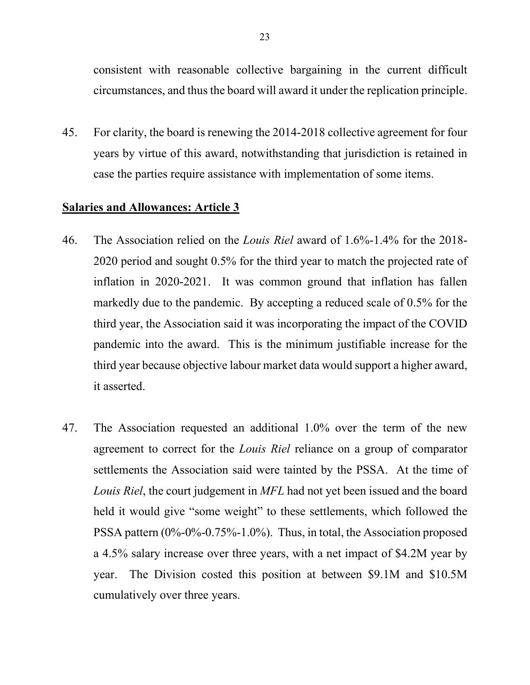consistent with reasonable collective bargaining in the current difficult circumstances, and thus the board will award it under the replication principle.

45. For clarity, the board is renewing the 2014-2018 collective agreement for four years by virtue of this award, notwithstanding that jurisdiction is retained in case the parties require assistance with implementation of some items.

## **Salaries and Allowances: Article 3**

- 46. The Association relied on the *Louis Riel* award of 1.6%-1.4% for the 2018- 2020 period and sought 0.5% for the third year to match the projected rate of inflation in 2020-2021. It was common ground that inflation has fallen markedly due to the pandemic. By accepting a reduced scale of 0.5% for the third year, the Association said it was incorporating the impact of the COVID pandemic into the award. This is the minimum justifiable increase for the third year because objective labour market data would support a higher award, it asserted.
- 47. The Association requested an additional 1.0% over the term of the new agreement to correct for the *Louis Riel* reliance on a group of comparator settlements the Association said were tainted by the PSSA. At the time of *Louis Riel*, the court judgement in *MFL* had not yet been issued and the board held it would give "some weight" to these settlements, which followed the PSSA pattern (0%-0%-0.75%-1.0%). Thus, in total, the Association proposed a 4.5% salary increase over three years, with a net impact of \$4.2M year by year. The Division costed this position at between \$9.1M and \$10.5M cumulatively over three years.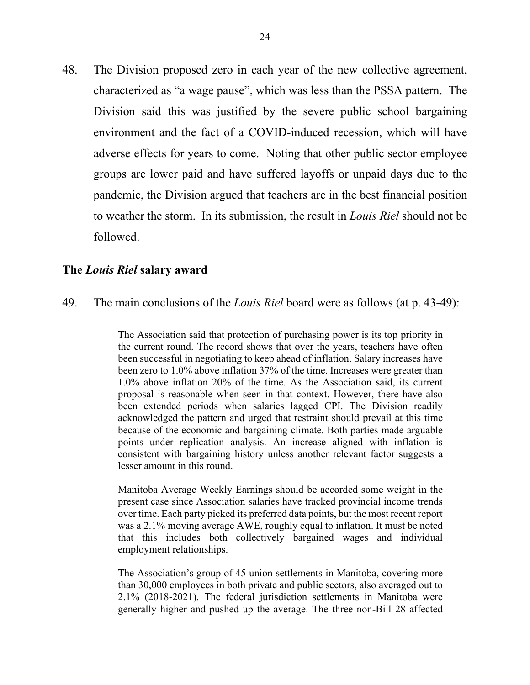48. The Division proposed zero in each year of the new collective agreement, characterized as "a wage pause", which was less than the PSSA pattern. The Division said this was justified by the severe public school bargaining environment and the fact of a COVID-induced recession, which will have adverse effects for years to come. Noting that other public sector employee groups are lower paid and have suffered layoffs or unpaid days due to the pandemic, the Division argued that teachers are in the best financial position to weather the storm. In its submission, the result in *Louis Riel* should not be followed.

#### **The** *Louis Riel* **salary award**

49. The main conclusions of the *Louis Riel* board were as follows (at p. 43-49):

The Association said that protection of purchasing power is its top priority in the current round. The record shows that over the years, teachers have often been successful in negotiating to keep ahead of inflation. Salary increases have been zero to 1.0% above inflation 37% of the time. Increases were greater than 1.0% above inflation 20% of the time. As the Association said, its current proposal is reasonable when seen in that context. However, there have also been extended periods when salaries lagged CPI. The Division readily acknowledged the pattern and urged that restraint should prevail at this time because of the economic and bargaining climate. Both parties made arguable points under replication analysis. An increase aligned with inflation is consistent with bargaining history unless another relevant factor suggests a lesser amount in this round.

Manitoba Average Weekly Earnings should be accorded some weight in the present case since Association salaries have tracked provincial income trends over time. Each party picked its preferred data points, but the most recent report was a 2.1% moving average AWE, roughly equal to inflation. It must be noted that this includes both collectively bargained wages and individual employment relationships.

The Association's group of 45 union settlements in Manitoba, covering more than 30,000 employees in both private and public sectors, also averaged out to 2.1% (2018-2021). The federal jurisdiction settlements in Manitoba were generally higher and pushed up the average. The three non-Bill 28 affected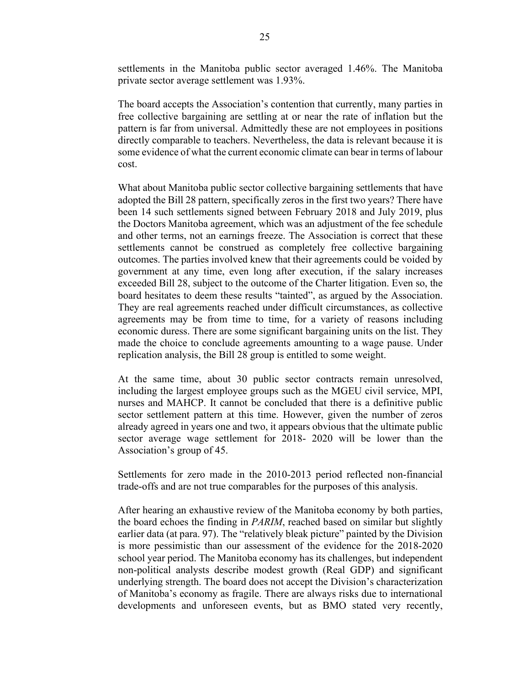settlements in the Manitoba public sector averaged 1.46%. The Manitoba private sector average settlement was 1.93%.

The board accepts the Association's contention that currently, many parties in free collective bargaining are settling at or near the rate of inflation but the pattern is far from universal. Admittedly these are not employees in positions directly comparable to teachers. Nevertheless, the data is relevant because it is some evidence of what the current economic climate can bear in terms of labour cost.

What about Manitoba public sector collective bargaining settlements that have adopted the Bill 28 pattern, specifically zeros in the first two years? There have been 14 such settlements signed between February 2018 and July 2019, plus the Doctors Manitoba agreement, which was an adjustment of the fee schedule and other terms, not an earnings freeze. The Association is correct that these settlements cannot be construed as completely free collective bargaining outcomes. The parties involved knew that their agreements could be voided by government at any time, even long after execution, if the salary increases exceeded Bill 28, subject to the outcome of the Charter litigation. Even so, the board hesitates to deem these results "tainted", as argued by the Association. They are real agreements reached under difficult circumstances, as collective agreements may be from time to time, for a variety of reasons including economic duress. There are some significant bargaining units on the list. They made the choice to conclude agreements amounting to a wage pause. Under replication analysis, the Bill 28 group is entitled to some weight.

At the same time, about 30 public sector contracts remain unresolved, including the largest employee groups such as the MGEU civil service, MPI, nurses and MAHCP. It cannot be concluded that there is a definitive public sector settlement pattern at this time. However, given the number of zeros already agreed in years one and two, it appears obvious that the ultimate public sector average wage settlement for 2018- 2020 will be lower than the Association's group of 45.

Settlements for zero made in the 2010-2013 period reflected non-financial trade-offs and are not true comparables for the purposes of this analysis.

After hearing an exhaustive review of the Manitoba economy by both parties, the board echoes the finding in *PARIM*, reached based on similar but slightly earlier data (at para. 97). The "relatively bleak picture" painted by the Division is more pessimistic than our assessment of the evidence for the 2018-2020 school year period. The Manitoba economy has its challenges, but independent non-political analysts describe modest growth (Real GDP) and significant underlying strength. The board does not accept the Division's characterization of Manitoba's economy as fragile. There are always risks due to international developments and unforeseen events, but as BMO stated very recently,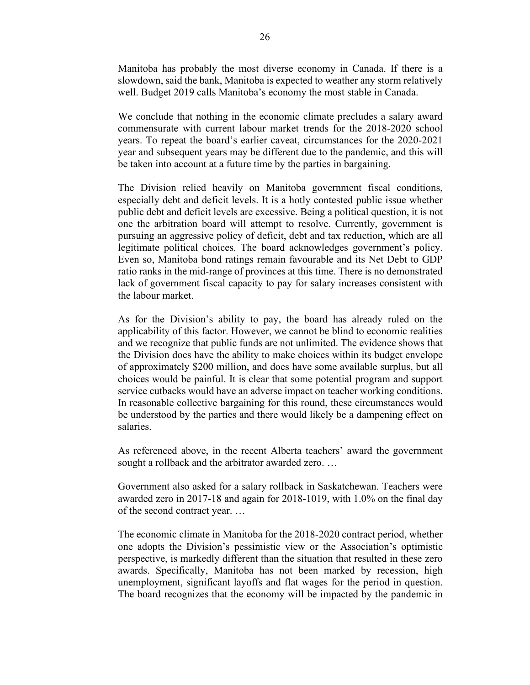Manitoba has probably the most diverse economy in Canada. If there is a slowdown, said the bank, Manitoba is expected to weather any storm relatively well. Budget 2019 calls Manitoba's economy the most stable in Canada.

We conclude that nothing in the economic climate precludes a salary award commensurate with current labour market trends for the 2018-2020 school years. To repeat the board's earlier caveat, circumstances for the 2020-2021 year and subsequent years may be different due to the pandemic, and this will be taken into account at a future time by the parties in bargaining.

The Division relied heavily on Manitoba government fiscal conditions, especially debt and deficit levels. It is a hotly contested public issue whether public debt and deficit levels are excessive. Being a political question, it is not one the arbitration board will attempt to resolve. Currently, government is pursuing an aggressive policy of deficit, debt and tax reduction, which are all legitimate political choices. The board acknowledges government's policy. Even so, Manitoba bond ratings remain favourable and its Net Debt to GDP ratio ranks in the mid-range of provinces at this time. There is no demonstrated lack of government fiscal capacity to pay for salary increases consistent with the labour market.

As for the Division's ability to pay, the board has already ruled on the applicability of this factor. However, we cannot be blind to economic realities and we recognize that public funds are not unlimited. The evidence shows that the Division does have the ability to make choices within its budget envelope of approximately \$200 million, and does have some available surplus, but all choices would be painful. It is clear that some potential program and support service cutbacks would have an adverse impact on teacher working conditions. In reasonable collective bargaining for this round, these circumstances would be understood by the parties and there would likely be a dampening effect on salaries.

As referenced above, in the recent Alberta teachers' award the government sought a rollback and the arbitrator awarded zero. …

Government also asked for a salary rollback in Saskatchewan. Teachers were awarded zero in 2017-18 and again for 2018-1019, with 1.0% on the final day of the second contract year. …

The economic climate in Manitoba for the 2018-2020 contract period, whether one adopts the Division's pessimistic view or the Association's optimistic perspective, is markedly different than the situation that resulted in these zero awards. Specifically, Manitoba has not been marked by recession, high unemployment, significant layoffs and flat wages for the period in question. The board recognizes that the economy will be impacted by the pandemic in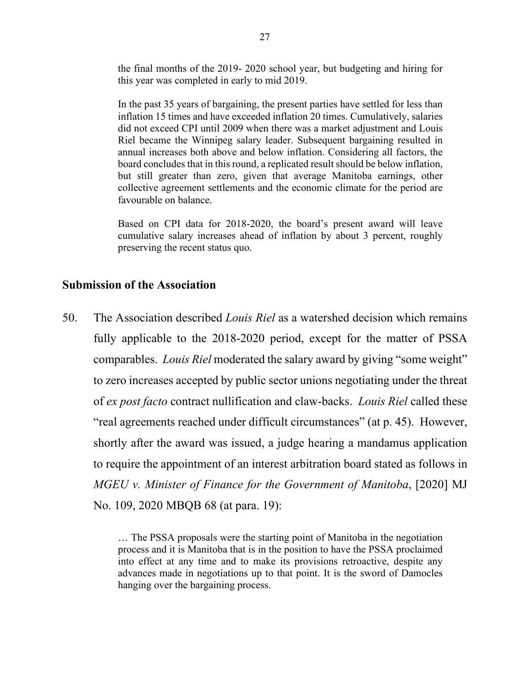the final months of the 2019- 2020 school year, but budgeting and hiring for this year was completed in early to mid 2019.

In the past 35 years of bargaining, the present parties have settled for less than inflation 15 times and have exceeded inflation 20 times. Cumulatively, salaries did not exceed CPI until 2009 when there was a market adjustment and Louis Riel became the Winnipeg salary leader. Subsequent bargaining resulted in annual increases both above and below inflation. Considering all factors, the board concludes that in this round, a replicated result should be below inflation, but still greater than zero, given that average Manitoba earnings, other collective agreement settlements and the economic climate for the period are favourable on balance.

Based on CPI data for 2018-2020, the board's present award will leave cumulative salary increases ahead of inflation by about 3 percent, roughly preserving the recent status quo.

#### **Submission of the Association**

50. The Association described *Louis Riel* as a watershed decision which remains fully applicable to the 2018-2020 period, except for the matter of PSSA comparables. *Louis Riel* moderated the salary award by giving "some weight" to zero increases accepted by public sector unions negotiating under the threat of *ex post facto* contract nullification and claw-backs. *Louis Riel* called these "real agreements reached under difficult circumstances" (at p. 45). However, shortly after the award was issued, a judge hearing a mandamus application to require the appointment of an interest arbitration board stated as follows in *MGEU v. Minister of Finance for the Government of Manitoba*, [2020] MJ No. 109, 2020 MBQB 68 (at para. 19):

> … The PSSA proposals were the starting point of Manitoba in the negotiation process and it is Manitoba that is in the position to have the PSSA proclaimed into effect at any time and to make its provisions retroactive, despite any advances made in negotiations up to that point. It is the sword of Damocles hanging over the bargaining process.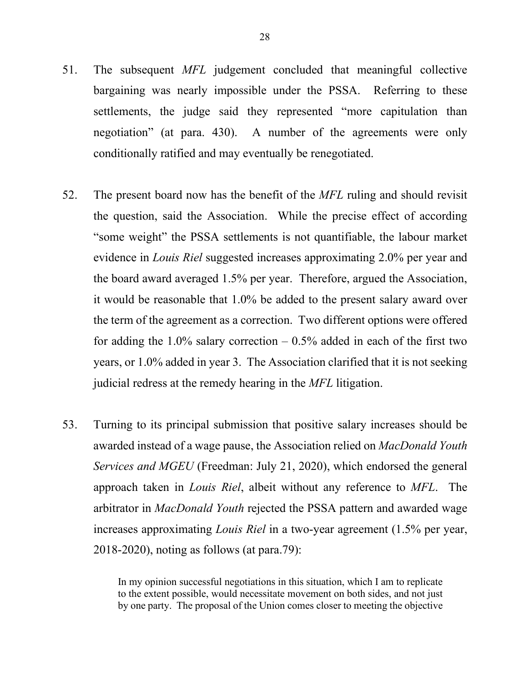- 51. The subsequent *MFL* judgement concluded that meaningful collective bargaining was nearly impossible under the PSSA. Referring to these settlements, the judge said they represented "more capitulation than negotiation" (at para. 430). A number of the agreements were only conditionally ratified and may eventually be renegotiated.
- 52. The present board now has the benefit of the *MFL* ruling and should revisit the question, said the Association. While the precise effect of according "some weight" the PSSA settlements is not quantifiable, the labour market evidence in *Louis Riel* suggested increases approximating 2.0% per year and the board award averaged 1.5% per year. Therefore, argued the Association, it would be reasonable that 1.0% be added to the present salary award over the term of the agreement as a correction. Two different options were offered for adding the 1.0% salary correction  $-0.5%$  added in each of the first two years, or 1.0% added in year 3. The Association clarified that it is not seeking judicial redress at the remedy hearing in the *MFL* litigation.
- 53. Turning to its principal submission that positive salary increases should be awarded instead of a wage pause, the Association relied on *MacDonald Youth Services and MGEU* (Freedman: July 21, 2020), which endorsed the general approach taken in *Louis Riel*, albeit without any reference to *MFL*. The arbitrator in *MacDonald Youth* rejected the PSSA pattern and awarded wage increases approximating *Louis Riel* in a two-year agreement (1.5% per year, 2018-2020), noting as follows (at para.79):

In my opinion successful negotiations in this situation, which I am to replicate to the extent possible, would necessitate movement on both sides, and not just by one party. The proposal of the Union comes closer to meeting the objective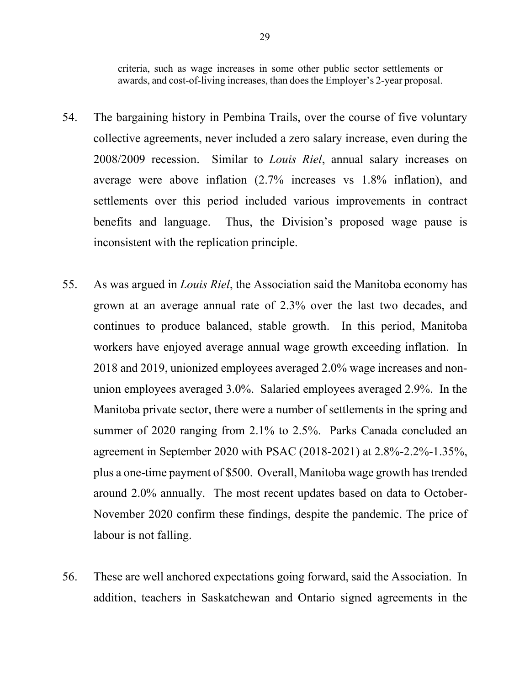criteria, such as wage increases in some other public sector settlements or awards, and cost-of-living increases, than does the Employer's 2-year proposal.

- 54. The bargaining history in Pembina Trails, over the course of five voluntary collective agreements, never included a zero salary increase, even during the 2008/2009 recession. Similar to *Louis Riel*, annual salary increases on average were above inflation (2.7% increases vs 1.8% inflation), and settlements over this period included various improvements in contract benefits and language. Thus, the Division's proposed wage pause is inconsistent with the replication principle.
- 55. As was argued in *Louis Riel*, the Association said the Manitoba economy has grown at an average annual rate of 2.3% over the last two decades, and continues to produce balanced, stable growth. In this period, Manitoba workers have enjoyed average annual wage growth exceeding inflation. In 2018 and 2019, unionized employees averaged 2.0% wage increases and nonunion employees averaged 3.0%. Salaried employees averaged 2.9%. In the Manitoba private sector, there were a number of settlements in the spring and summer of 2020 ranging from 2.1% to 2.5%. Parks Canada concluded an agreement in September 2020 with PSAC (2018-2021) at 2.8%-2.2%-1.35%, plus a one-time payment of \$500. Overall, Manitoba wage growth has trended around 2.0% annually. The most recent updates based on data to October-November 2020 confirm these findings, despite the pandemic. The price of labour is not falling.
- 56. These are well anchored expectations going forward, said the Association. In addition, teachers in Saskatchewan and Ontario signed agreements in the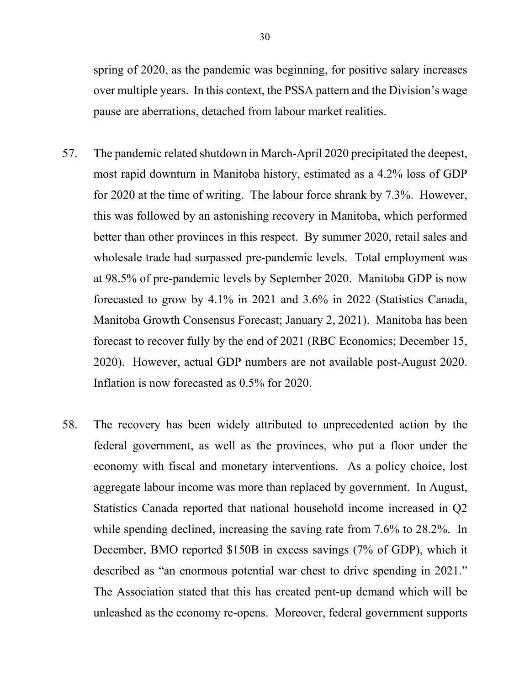spring of 2020, as the pandemic was beginning, for positive salary increases over multiple years. In this context, the PSSA pattern and the Division's wage pause are aberrations, detached from labour market realities.

- 57. The pandemic related shutdown in March-April 2020 precipitated the deepest, most rapid downturn in Manitoba history, estimated as a 4.2% loss of GDP for 2020 at the time of writing. The labour force shrank by 7.3%. However, this was followed by an astonishing recovery in Manitoba, which performed better than other provinces in this respect. By summer 2020, retail sales and wholesale trade had surpassed pre-pandemic levels. Total employment was at 98.5% of pre-pandemic levels by September 2020. Manitoba GDP is now forecasted to grow by 4.1% in 2021 and 3.6% in 2022 (Statistics Canada, Manitoba Growth Consensus Forecast; January 2, 2021). Manitoba has been forecast to recover fully by the end of 2021 (RBC Economics; December 15, 2020). However, actual GDP numbers are not available post-August 2020. Inflation is now forecasted as 0.5% for 2020.
- 58. The recovery has been widely attributed to unprecedented action by the federal government, as well as the provinces, who put a floor under the economy with fiscal and monetary interventions. As a policy choice, lost aggregate labour income was more than replaced by government. In August, Statistics Canada reported that national household income increased in Q2 while spending declined, increasing the saving rate from 7.6% to 28.2%. In December, BMO reported \$150B in excess savings (7% of GDP), which it described as "an enormous potential war chest to drive spending in 2021." The Association stated that this has created pent-up demand which will be unleashed as the economy re-opens. Moreover, federal government supports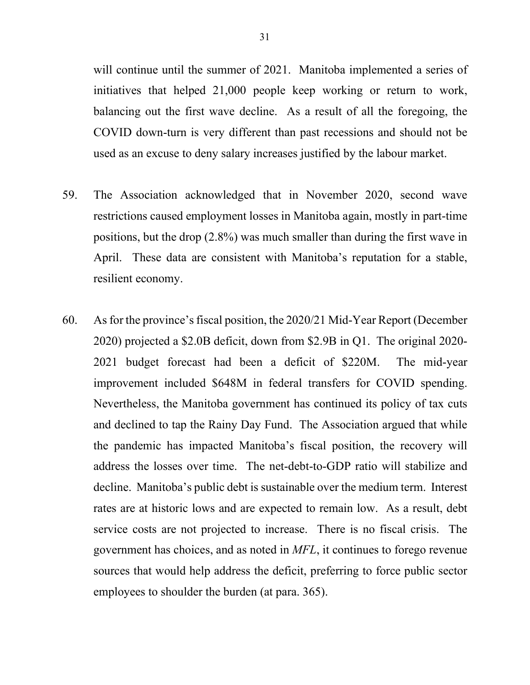will continue until the summer of 2021. Manitoba implemented a series of initiatives that helped 21,000 people keep working or return to work, balancing out the first wave decline. As a result of all the foregoing, the COVID down-turn is very different than past recessions and should not be used as an excuse to deny salary increases justified by the labour market.

- 59. The Association acknowledged that in November 2020, second wave restrictions caused employment losses in Manitoba again, mostly in part-time positions, but the drop (2.8%) was much smaller than during the first wave in April. These data are consistent with Manitoba's reputation for a stable, resilient economy.
- 60. As for the province's fiscal position, the 2020/21 Mid-Year Report (December 2020) projected a \$2.0B deficit, down from \$2.9B in Q1. The original 2020- 2021 budget forecast had been a deficit of \$220M. The mid-year improvement included \$648M in federal transfers for COVID spending. Nevertheless, the Manitoba government has continued its policy of tax cuts and declined to tap the Rainy Day Fund. The Association argued that while the pandemic has impacted Manitoba's fiscal position, the recovery will address the losses over time. The net-debt-to-GDP ratio will stabilize and decline. Manitoba's public debt is sustainable over the medium term. Interest rates are at historic lows and are expected to remain low. As a result, debt service costs are not projected to increase. There is no fiscal crisis. The government has choices, and as noted in *MFL*, it continues to forego revenue sources that would help address the deficit, preferring to force public sector employees to shoulder the burden (at para. 365).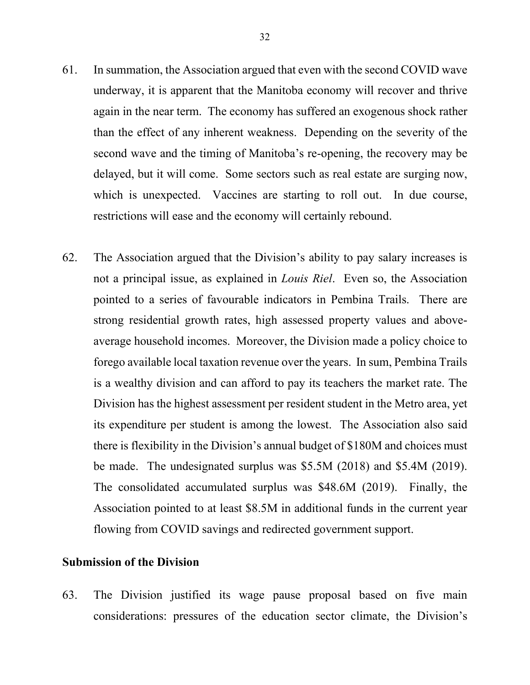61. In summation, the Association argued that even with the second COVID wave underway, it is apparent that the Manitoba economy will recover and thrive again in the near term. The economy has suffered an exogenous shock rather than the effect of any inherent weakness. Depending on the severity of the second wave and the timing of Manitoba's re-opening, the recovery may be delayed, but it will come. Some sectors such as real estate are surging now, which is unexpected. Vaccines are starting to roll out. In due course,

restrictions will ease and the economy will certainly rebound.

62. The Association argued that the Division's ability to pay salary increases is not a principal issue, as explained in *Louis Riel*. Even so, the Association pointed to a series of favourable indicators in Pembina Trails. There are strong residential growth rates, high assessed property values and aboveaverage household incomes. Moreover, the Division made a policy choice to forego available local taxation revenue over the years. In sum, Pembina Trails is a wealthy division and can afford to pay its teachers the market rate. The Division has the highest assessment per resident student in the Metro area, yet its expenditure per student is among the lowest. The Association also said there is flexibility in the Division's annual budget of \$180M and choices must be made. The undesignated surplus was \$5.5M (2018) and \$5.4M (2019). The consolidated accumulated surplus was \$48.6M (2019). Finally, the Association pointed to at least \$8.5M in additional funds in the current year flowing from COVID savings and redirected government support.

### **Submission of the Division**

63. The Division justified its wage pause proposal based on five main considerations: pressures of the education sector climate, the Division's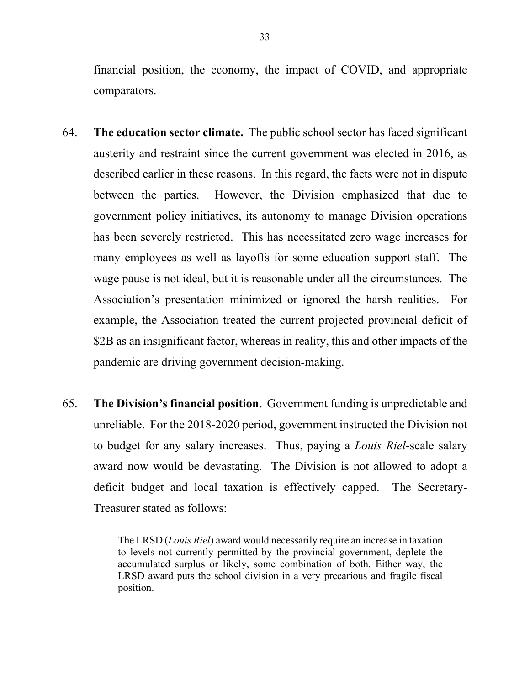financial position, the economy, the impact of COVID, and appropriate comparators.

- 64. **The education sector climate.** The public school sector has faced significant austerity and restraint since the current government was elected in 2016, as described earlier in these reasons. In this regard, the facts were not in dispute between the parties. However, the Division emphasized that due to government policy initiatives, its autonomy to manage Division operations has been severely restricted. This has necessitated zero wage increases for many employees as well as layoffs for some education support staff. The wage pause is not ideal, but it is reasonable under all the circumstances. The Association's presentation minimized or ignored the harsh realities. For example, the Association treated the current projected provincial deficit of \$2B as an insignificant factor, whereas in reality, this and other impacts of the pandemic are driving government decision-making.
- 65. **The Division's financial position.** Government funding is unpredictable and unreliable. For the 2018-2020 period, government instructed the Division not to budget for any salary increases. Thus, paying a *Louis Riel*-scale salary award now would be devastating. The Division is not allowed to adopt a deficit budget and local taxation is effectively capped. The Secretary-Treasurer stated as follows:

The LRSD (*Louis Riel*) award would necessarily require an increase in taxation to levels not currently permitted by the provincial government, deplete the accumulated surplus or likely, some combination of both. Either way, the LRSD award puts the school division in a very precarious and fragile fiscal position.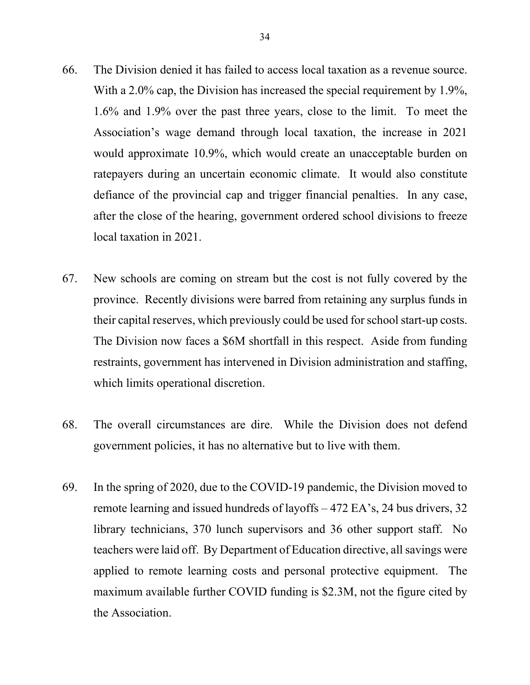- 66. The Division denied it has failed to access local taxation as a revenue source. With a 2.0% cap, the Division has increased the special requirement by 1.9%, 1.6% and 1.9% over the past three years, close to the limit. To meet the Association's wage demand through local taxation, the increase in 2021 would approximate 10.9%, which would create an unacceptable burden on ratepayers during an uncertain economic climate. It would also constitute defiance of the provincial cap and trigger financial penalties. In any case, after the close of the hearing, government ordered school divisions to freeze local taxation in 2021.
- 67. New schools are coming on stream but the cost is not fully covered by the province. Recently divisions were barred from retaining any surplus funds in their capital reserves, which previously could be used for school start-up costs. The Division now faces a \$6M shortfall in this respect. Aside from funding restraints, government has intervened in Division administration and staffing, which limits operational discretion.
- 68. The overall circumstances are dire. While the Division does not defend government policies, it has no alternative but to live with them.
- 69. In the spring of 2020, due to the COVID-19 pandemic, the Division moved to remote learning and issued hundreds of layoffs – 472 EA's, 24 bus drivers, 32 library technicians, 370 lunch supervisors and 36 other support staff. No teachers were laid off. By Department of Education directive, all savings were applied to remote learning costs and personal protective equipment. The maximum available further COVID funding is \$2.3M, not the figure cited by the Association.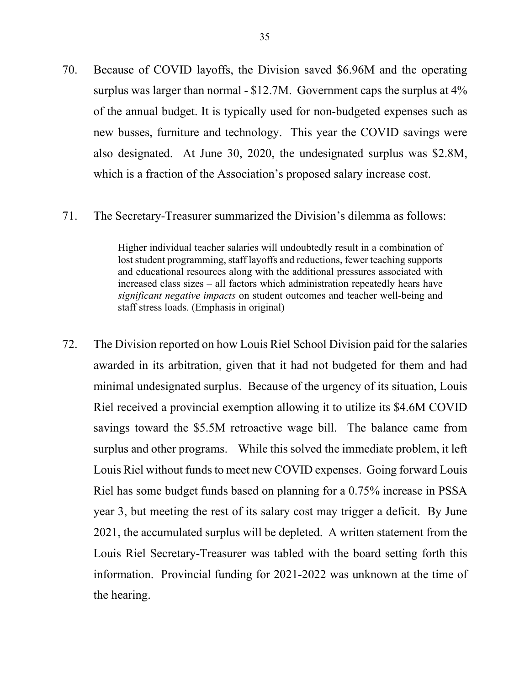70. Because of COVID layoffs, the Division saved \$6.96M and the operating surplus was larger than normal - \$12.7M. Government caps the surplus at 4% of the annual budget. It is typically used for non-budgeted expenses such as new busses, furniture and technology. This year the COVID savings were also designated. At June 30, 2020, the undesignated surplus was \$2.8M, which is a fraction of the Association's proposed salary increase cost.

#### 71. The Secretary-Treasurer summarized the Division's dilemma as follows:

Higher individual teacher salaries will undoubtedly result in a combination of lost student programming, staff layoffs and reductions, fewer teaching supports and educational resources along with the additional pressures associated with increased class sizes – all factors which administration repeatedly hears have *significant negative impacts* on student outcomes and teacher well-being and staff stress loads. (Emphasis in original)

72. The Division reported on how Louis Riel School Division paid for the salaries awarded in its arbitration, given that it had not budgeted for them and had minimal undesignated surplus. Because of the urgency of its situation, Louis Riel received a provincial exemption allowing it to utilize its \$4.6M COVID savings toward the \$5.5M retroactive wage bill. The balance came from surplus and other programs. While this solved the immediate problem, it left Louis Riel without funds to meet new COVID expenses. Going forward Louis Riel has some budget funds based on planning for a 0.75% increase in PSSA year 3, but meeting the rest of its salary cost may trigger a deficit. By June 2021, the accumulated surplus will be depleted. A written statement from the Louis Riel Secretary-Treasurer was tabled with the board setting forth this information. Provincial funding for 2021-2022 was unknown at the time of the hearing.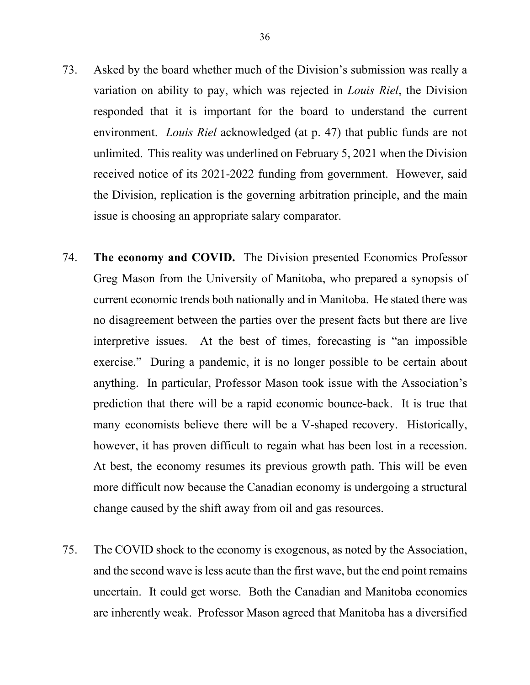- 73. Asked by the board whether much of the Division's submission was really a variation on ability to pay, which was rejected in *Louis Riel*, the Division responded that it is important for the board to understand the current environment. *Louis Riel* acknowledged (at p. 47) that public funds are not unlimited. This reality was underlined on February 5, 2021 when the Division received notice of its 2021-2022 funding from government. However, said the Division, replication is the governing arbitration principle, and the main issue is choosing an appropriate salary comparator.
- 74. **The economy and COVID.** The Division presented Economics Professor Greg Mason from the University of Manitoba, who prepared a synopsis of current economic trends both nationally and in Manitoba. He stated there was no disagreement between the parties over the present facts but there are live interpretive issues. At the best of times, forecasting is "an impossible exercise." During a pandemic, it is no longer possible to be certain about anything. In particular, Professor Mason took issue with the Association's prediction that there will be a rapid economic bounce-back. It is true that many economists believe there will be a V-shaped recovery. Historically, however, it has proven difficult to regain what has been lost in a recession. At best, the economy resumes its previous growth path. This will be even more difficult now because the Canadian economy is undergoing a structural change caused by the shift away from oil and gas resources.
- 75. The COVID shock to the economy is exogenous, as noted by the Association, and the second wave is less acute than the first wave, but the end point remains uncertain. It could get worse. Both the Canadian and Manitoba economies are inherently weak. Professor Mason agreed that Manitoba has a diversified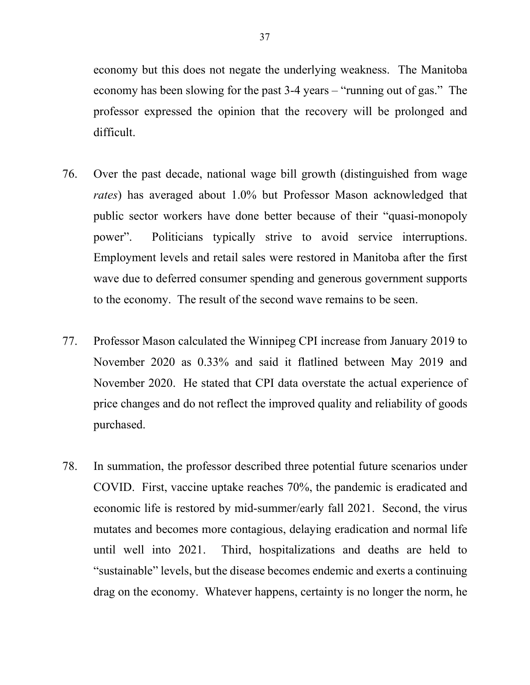economy but this does not negate the underlying weakness. The Manitoba economy has been slowing for the past 3-4 years – "running out of gas." The professor expressed the opinion that the recovery will be prolonged and difficult.

- 76. Over the past decade, national wage bill growth (distinguished from wage *rates*) has averaged about 1.0% but Professor Mason acknowledged that public sector workers have done better because of their "quasi-monopoly power". Politicians typically strive to avoid service interruptions. Employment levels and retail sales were restored in Manitoba after the first wave due to deferred consumer spending and generous government supports to the economy. The result of the second wave remains to be seen.
- 77. Professor Mason calculated the Winnipeg CPI increase from January 2019 to November 2020 as 0.33% and said it flatlined between May 2019 and November 2020. He stated that CPI data overstate the actual experience of price changes and do not reflect the improved quality and reliability of goods purchased.
- 78. In summation, the professor described three potential future scenarios under COVID. First, vaccine uptake reaches 70%, the pandemic is eradicated and economic life is restored by mid-summer/early fall 2021. Second, the virus mutates and becomes more contagious, delaying eradication and normal life until well into 2021. Third, hospitalizations and deaths are held to "sustainable" levels, but the disease becomes endemic and exerts a continuing drag on the economy. Whatever happens, certainty is no longer the norm, he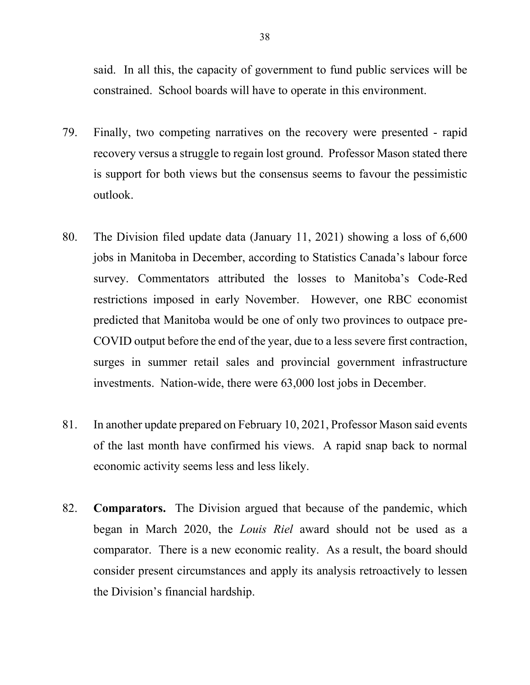said. In all this, the capacity of government to fund public services will be constrained. School boards will have to operate in this environment.

- 79. Finally, two competing narratives on the recovery were presented rapid recovery versus a struggle to regain lost ground. Professor Mason stated there is support for both views but the consensus seems to favour the pessimistic outlook.
- 80. The Division filed update data (January 11, 2021) showing a loss of 6,600 jobs in Manitoba in December, according to Statistics Canada's labour force survey. Commentators attributed the losses to Manitoba's Code-Red restrictions imposed in early November. However, one RBC economist predicted that Manitoba would be one of only two provinces to outpace pre-COVID output before the end of the year, due to a less severe first contraction, surges in summer retail sales and provincial government infrastructure investments. Nation-wide, there were 63,000 lost jobs in December.
- 81. In another update prepared on February 10, 2021, Professor Mason said events of the last month have confirmed his views. A rapid snap back to normal economic activity seems less and less likely.
- 82. **Comparators.** The Division argued that because of the pandemic, which began in March 2020, the *Louis Riel* award should not be used as a comparator. There is a new economic reality. As a result, the board should consider present circumstances and apply its analysis retroactively to lessen the Division's financial hardship.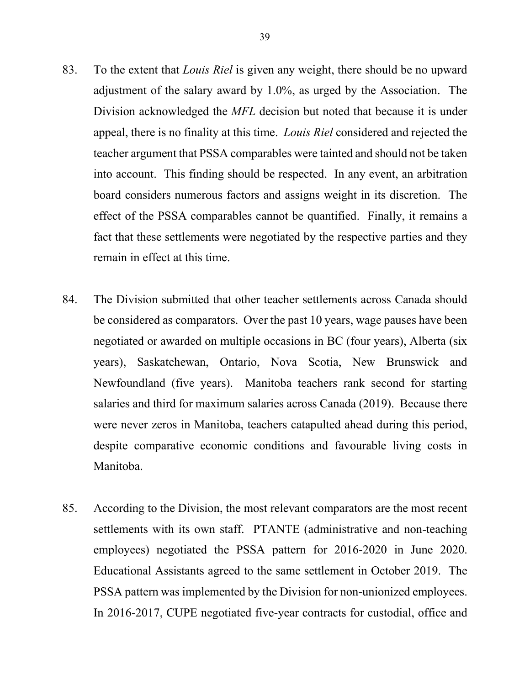- 83. To the extent that *Louis Riel* is given any weight, there should be no upward adjustment of the salary award by 1.0%, as urged by the Association. The Division acknowledged the *MFL* decision but noted that because it is under appeal, there is no finality at this time. *Louis Riel* considered and rejected the teacher argument that PSSA comparables were tainted and should not be taken into account. This finding should be respected. In any event, an arbitration board considers numerous factors and assigns weight in its discretion. The effect of the PSSA comparables cannot be quantified. Finally, it remains a fact that these settlements were negotiated by the respective parties and they remain in effect at this time.
- 84. The Division submitted that other teacher settlements across Canada should be considered as comparators. Over the past 10 years, wage pauses have been negotiated or awarded on multiple occasions in BC (four years), Alberta (six years), Saskatchewan, Ontario, Nova Scotia, New Brunswick and Newfoundland (five years). Manitoba teachers rank second for starting salaries and third for maximum salaries across Canada (2019). Because there were never zeros in Manitoba, teachers catapulted ahead during this period, despite comparative economic conditions and favourable living costs in Manitoba.
- 85. According to the Division, the most relevant comparators are the most recent settlements with its own staff. PTANTE (administrative and non-teaching employees) negotiated the PSSA pattern for 2016-2020 in June 2020. Educational Assistants agreed to the same settlement in October 2019. The PSSA pattern was implemented by the Division for non-unionized employees. In 2016-2017, CUPE negotiated five-year contracts for custodial, office and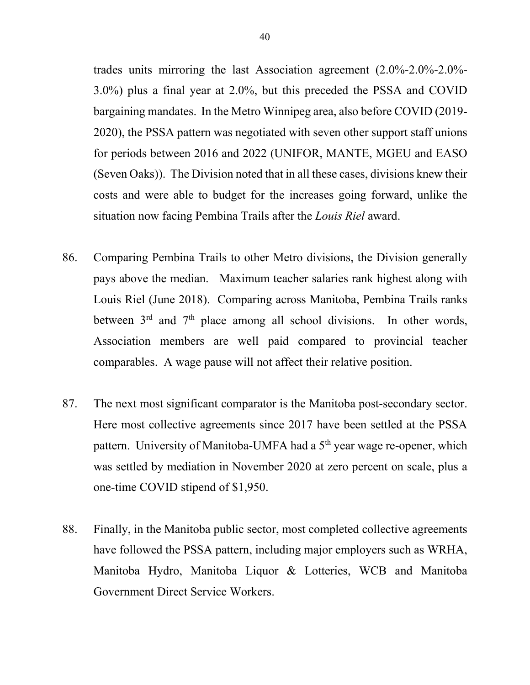trades units mirroring the last Association agreement (2.0%-2.0%-2.0%- 3.0%) plus a final year at 2.0%, but this preceded the PSSA and COVID bargaining mandates. In the Metro Winnipeg area, also before COVID (2019- 2020), the PSSA pattern was negotiated with seven other support staff unions for periods between 2016 and 2022 (UNIFOR, MANTE, MGEU and EASO (Seven Oaks)). The Division noted that in all these cases, divisions knew their costs and were able to budget for the increases going forward, unlike the situation now facing Pembina Trails after the *Louis Riel* award.

- 86. Comparing Pembina Trails to other Metro divisions, the Division generally pays above the median. Maximum teacher salaries rank highest along with Louis Riel (June 2018). Comparing across Manitoba, Pembina Trails ranks between  $3<sup>rd</sup>$  and  $7<sup>th</sup>$  place among all school divisions. In other words, Association members are well paid compared to provincial teacher comparables. A wage pause will not affect their relative position.
- 87. The next most significant comparator is the Manitoba post-secondary sector. Here most collective agreements since 2017 have been settled at the PSSA pattern. University of Manitoba-UMFA had a 5<sup>th</sup> year wage re-opener, which was settled by mediation in November 2020 at zero percent on scale, plus a one-time COVID stipend of \$1,950.
- 88. Finally, in the Manitoba public sector, most completed collective agreements have followed the PSSA pattern, including major employers such as WRHA, Manitoba Hydro, Manitoba Liquor & Lotteries, WCB and Manitoba Government Direct Service Workers.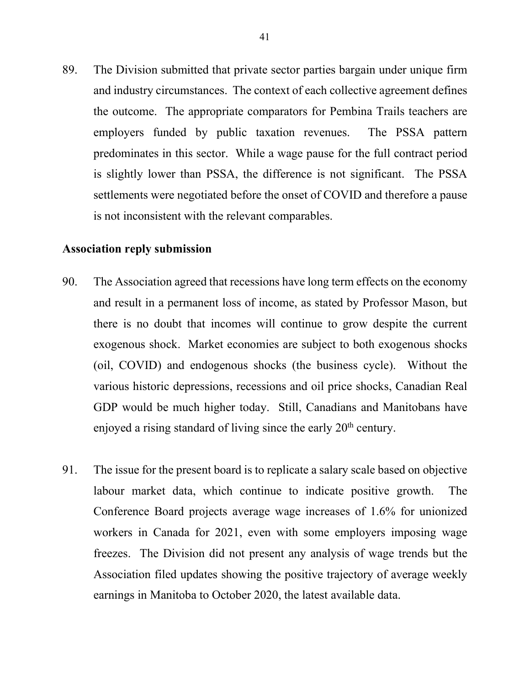89. The Division submitted that private sector parties bargain under unique firm and industry circumstances. The context of each collective agreement defines the outcome. The appropriate comparators for Pembina Trails teachers are employers funded by public taxation revenues. The PSSA pattern predominates in this sector. While a wage pause for the full contract period is slightly lower than PSSA, the difference is not significant. The PSSA settlements were negotiated before the onset of COVID and therefore a pause is not inconsistent with the relevant comparables.

# **Association reply submission**

- 90. The Association agreed that recessions have long term effects on the economy and result in a permanent loss of income, as stated by Professor Mason, but there is no doubt that incomes will continue to grow despite the current exogenous shock. Market economies are subject to both exogenous shocks (oil, COVID) and endogenous shocks (the business cycle). Without the various historic depressions, recessions and oil price shocks, Canadian Real GDP would be much higher today. Still, Canadians and Manitobans have enjoyed a rising standard of living since the early  $20<sup>th</sup>$  century.
- 91. The issue for the present board is to replicate a salary scale based on objective labour market data, which continue to indicate positive growth. The Conference Board projects average wage increases of 1.6% for unionized workers in Canada for 2021, even with some employers imposing wage freezes. The Division did not present any analysis of wage trends but the Association filed updates showing the positive trajectory of average weekly earnings in Manitoba to October 2020, the latest available data.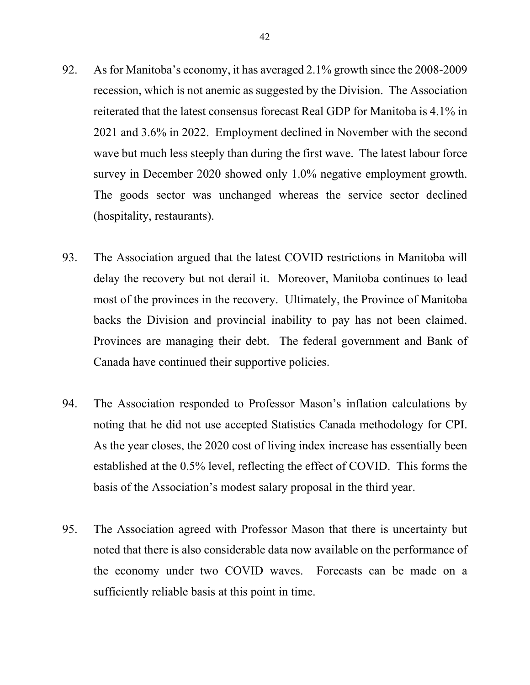- 92. As for Manitoba's economy, it has averaged 2.1% growth since the 2008-2009 recession, which is not anemic as suggested by the Division. The Association reiterated that the latest consensus forecast Real GDP for Manitoba is 4.1% in 2021 and 3.6% in 2022. Employment declined in November with the second wave but much less steeply than during the first wave. The latest labour force survey in December 2020 showed only 1.0% negative employment growth. The goods sector was unchanged whereas the service sector declined (hospitality, restaurants).
- 93. The Association argued that the latest COVID restrictions in Manitoba will delay the recovery but not derail it. Moreover, Manitoba continues to lead most of the provinces in the recovery. Ultimately, the Province of Manitoba backs the Division and provincial inability to pay has not been claimed. Provinces are managing their debt. The federal government and Bank of Canada have continued their supportive policies.
- 94. The Association responded to Professor Mason's inflation calculations by noting that he did not use accepted Statistics Canada methodology for CPI. As the year closes, the 2020 cost of living index increase has essentially been established at the 0.5% level, reflecting the effect of COVID. This forms the basis of the Association's modest salary proposal in the third year.
- 95. The Association agreed with Professor Mason that there is uncertainty but noted that there is also considerable data now available on the performance of the economy under two COVID waves. Forecasts can be made on a sufficiently reliable basis at this point in time.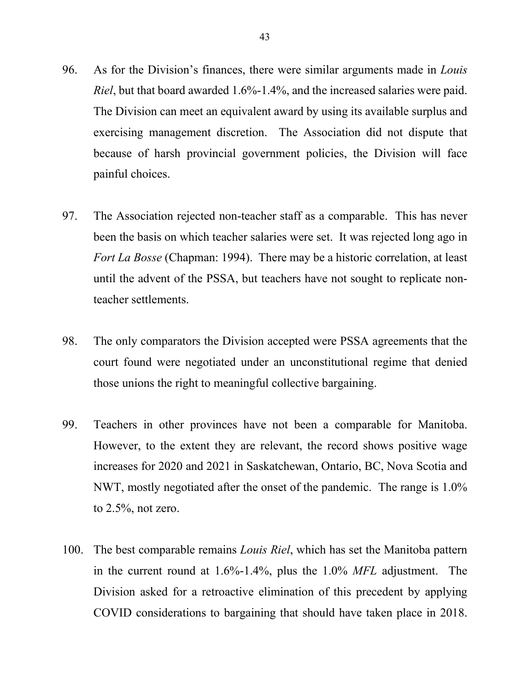- 96. As for the Division's finances, there were similar arguments made in *Louis Riel*, but that board awarded 1.6%-1.4%, and the increased salaries were paid. The Division can meet an equivalent award by using its available surplus and exercising management discretion. The Association did not dispute that because of harsh provincial government policies, the Division will face painful choices.
- 97. The Association rejected non-teacher staff as a comparable. This has never been the basis on which teacher salaries were set. It was rejected long ago in *Fort La Bosse* (Chapman: 1994). There may be a historic correlation, at least until the advent of the PSSA, but teachers have not sought to replicate nonteacher settlements.
- 98. The only comparators the Division accepted were PSSA agreements that the court found were negotiated under an unconstitutional regime that denied those unions the right to meaningful collective bargaining.
- 99. Teachers in other provinces have not been a comparable for Manitoba. However, to the extent they are relevant, the record shows positive wage increases for 2020 and 2021 in Saskatchewan, Ontario, BC, Nova Scotia and NWT, mostly negotiated after the onset of the pandemic. The range is 1.0% to  $2.5\%$ , not zero.
- 100. The best comparable remains *Louis Riel*, which has set the Manitoba pattern in the current round at 1.6%-1.4%, plus the 1.0% *MFL* adjustment. The Division asked for a retroactive elimination of this precedent by applying COVID considerations to bargaining that should have taken place in 2018.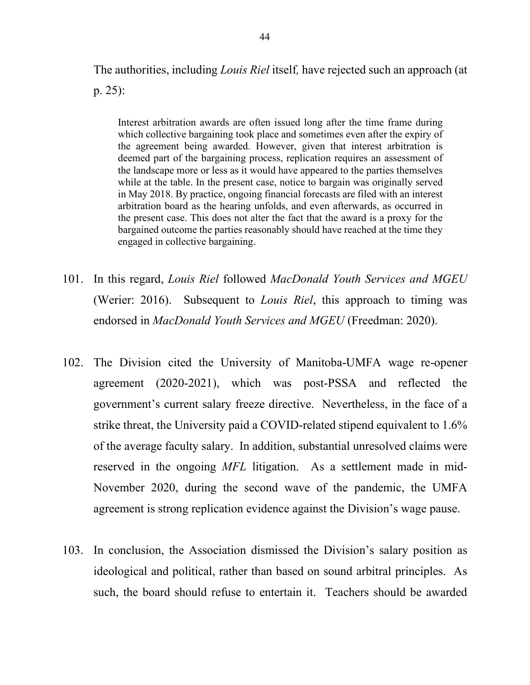The authorities, including *Louis Riel* itself*,* have rejected such an approach (at p. 25):

Interest arbitration awards are often issued long after the time frame during which collective bargaining took place and sometimes even after the expiry of the agreement being awarded. However, given that interest arbitration is deemed part of the bargaining process, replication requires an assessment of the landscape more or less as it would have appeared to the parties themselves while at the table. In the present case, notice to bargain was originally served in May 2018. By practice, ongoing financial forecasts are filed with an interest arbitration board as the hearing unfolds, and even afterwards, as occurred in the present case. This does not alter the fact that the award is a proxy for the bargained outcome the parties reasonably should have reached at the time they engaged in collective bargaining.

- 101. In this regard, *Louis Riel* followed *MacDonald Youth Services and MGEU* (Werier: 2016). Subsequent to *Louis Riel*, this approach to timing was endorsed in *MacDonald Youth Services and MGEU* (Freedman: 2020).
- 102. The Division cited the University of Manitoba-UMFA wage re-opener agreement (2020-2021), which was post-PSSA and reflected the government's current salary freeze directive. Nevertheless, in the face of a strike threat, the University paid a COVID-related stipend equivalent to 1.6% of the average faculty salary. In addition, substantial unresolved claims were reserved in the ongoing *MFL* litigation. As a settlement made in mid-November 2020, during the second wave of the pandemic, the UMFA agreement is strong replication evidence against the Division's wage pause.
- 103. In conclusion, the Association dismissed the Division's salary position as ideological and political, rather than based on sound arbitral principles. As such, the board should refuse to entertain it. Teachers should be awarded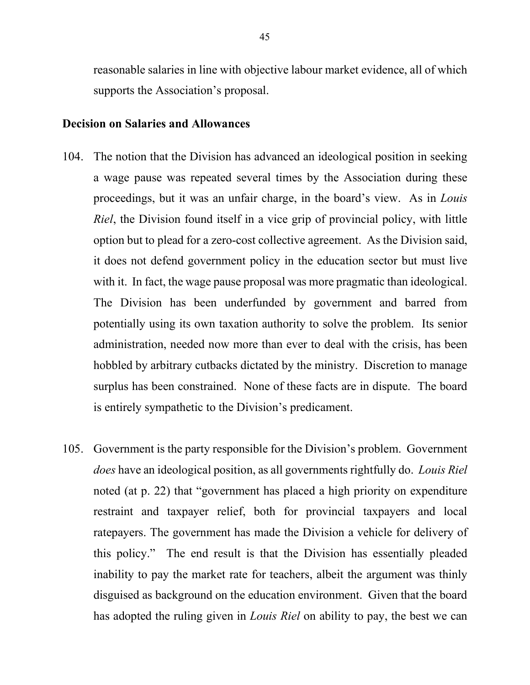reasonable salaries in line with objective labour market evidence, all of which supports the Association's proposal.

#### **Decision on Salaries and Allowances**

- 104. The notion that the Division has advanced an ideological position in seeking a wage pause was repeated several times by the Association during these proceedings, but it was an unfair charge, in the board's view. As in *Louis Riel*, the Division found itself in a vice grip of provincial policy, with little option but to plead for a zero-cost collective agreement. As the Division said, it does not defend government policy in the education sector but must live with it. In fact, the wage pause proposal was more pragmatic than ideological. The Division has been underfunded by government and barred from potentially using its own taxation authority to solve the problem. Its senior administration, needed now more than ever to deal with the crisis, has been hobbled by arbitrary cutbacks dictated by the ministry. Discretion to manage surplus has been constrained. None of these facts are in dispute. The board is entirely sympathetic to the Division's predicament.
- 105. Government is the party responsible for the Division's problem. Government *does* have an ideological position, as all governments rightfully do. *Louis Riel* noted (at p. 22) that "government has placed a high priority on expenditure restraint and taxpayer relief, both for provincial taxpayers and local ratepayers. The government has made the Division a vehicle for delivery of this policy." The end result is that the Division has essentially pleaded inability to pay the market rate for teachers, albeit the argument was thinly disguised as background on the education environment. Given that the board has adopted the ruling given in *Louis Riel* on ability to pay, the best we can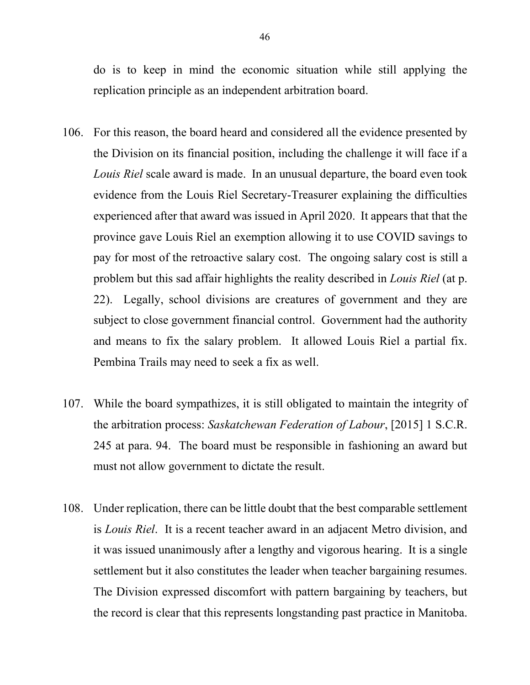do is to keep in mind the economic situation while still applying the replication principle as an independent arbitration board.

- 106. For this reason, the board heard and considered all the evidence presented by the Division on its financial position, including the challenge it will face if a *Louis Riel* scale award is made. In an unusual departure, the board even took evidence from the Louis Riel Secretary-Treasurer explaining the difficulties experienced after that award was issued in April 2020. It appears that that the province gave Louis Riel an exemption allowing it to use COVID savings to pay for most of the retroactive salary cost. The ongoing salary cost is still a problem but this sad affair highlights the reality described in *Louis Riel* (at p. 22). Legally, school divisions are creatures of government and they are subject to close government financial control. Government had the authority and means to fix the salary problem. It allowed Louis Riel a partial fix. Pembina Trails may need to seek a fix as well.
- 107. While the board sympathizes, it is still obligated to maintain the integrity of the arbitration process: *Saskatchewan Federation of Labour*, [2015] 1 S.C.R. 245 at para. 94. The board must be responsible in fashioning an award but must not allow government to dictate the result.
- 108. Under replication, there can be little doubt that the best comparable settlement is *Louis Riel*. It is a recent teacher award in an adjacent Metro division, and it was issued unanimously after a lengthy and vigorous hearing. It is a single settlement but it also constitutes the leader when teacher bargaining resumes. The Division expressed discomfort with pattern bargaining by teachers, but the record is clear that this represents longstanding past practice in Manitoba.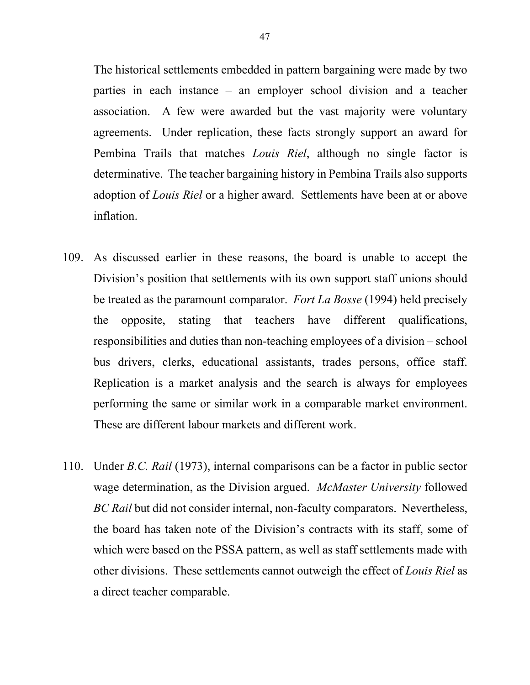The historical settlements embedded in pattern bargaining were made by two parties in each instance – an employer school division and a teacher association. A few were awarded but the vast majority were voluntary agreements. Under replication, these facts strongly support an award for Pembina Trails that matches *Louis Riel*, although no single factor is determinative. The teacher bargaining history in Pembina Trails also supports adoption of *Louis Riel* or a higher award. Settlements have been at or above inflation.

- 109. As discussed earlier in these reasons, the board is unable to accept the Division's position that settlements with its own support staff unions should be treated as the paramount comparator. *Fort La Bosse* (1994) held precisely the opposite, stating that teachers have different qualifications, responsibilities and duties than non-teaching employees of a division – school bus drivers, clerks, educational assistants, trades persons, office staff. Replication is a market analysis and the search is always for employees performing the same or similar work in a comparable market environment. These are different labour markets and different work.
- 110. Under *B.C. Rail* (1973), internal comparisons can be a factor in public sector wage determination, as the Division argued. *McMaster University* followed *BC Rail* but did not consider internal, non-faculty comparators. Nevertheless, the board has taken note of the Division's contracts with its staff, some of which were based on the PSSA pattern, as well as staff settlements made with other divisions. These settlements cannot outweigh the effect of *Louis Riel* as a direct teacher comparable.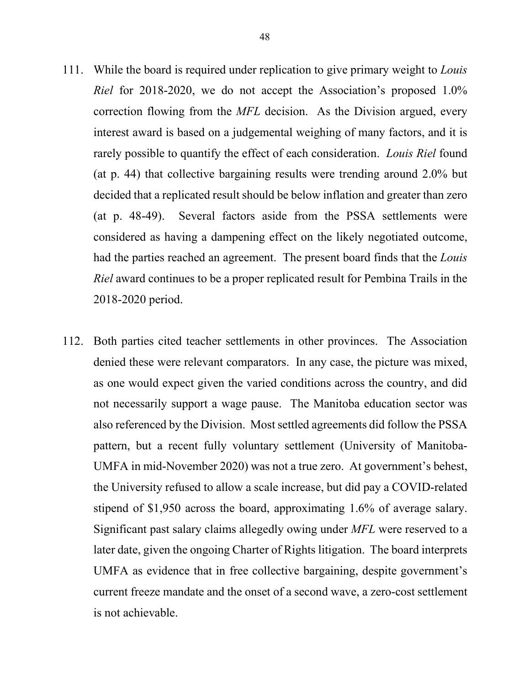- 111. While the board is required under replication to give primary weight to *Louis Riel* for 2018-2020, we do not accept the Association's proposed 1.0% correction flowing from the *MFL* decision. As the Division argued, every interest award is based on a judgemental weighing of many factors, and it is rarely possible to quantify the effect of each consideration. *Louis Riel* found (at p. 44) that collective bargaining results were trending around 2.0% but decided that a replicated result should be below inflation and greater than zero (at p. 48-49). Several factors aside from the PSSA settlements were considered as having a dampening effect on the likely negotiated outcome, had the parties reached an agreement. The present board finds that the *Louis Riel* award continues to be a proper replicated result for Pembina Trails in the 2018-2020 period.
- 112. Both parties cited teacher settlements in other provinces. The Association denied these were relevant comparators. In any case, the picture was mixed, as one would expect given the varied conditions across the country, and did not necessarily support a wage pause. The Manitoba education sector was also referenced by the Division. Most settled agreements did follow the PSSA pattern, but a recent fully voluntary settlement (University of Manitoba-UMFA in mid-November 2020) was not a true zero. At government's behest, the University refused to allow a scale increase, but did pay a COVID-related stipend of \$1,950 across the board, approximating 1.6% of average salary. Significant past salary claims allegedly owing under *MFL* were reserved to a later date, given the ongoing Charter of Rights litigation. The board interprets UMFA as evidence that in free collective bargaining, despite government's current freeze mandate and the onset of a second wave, a zero-cost settlement is not achievable.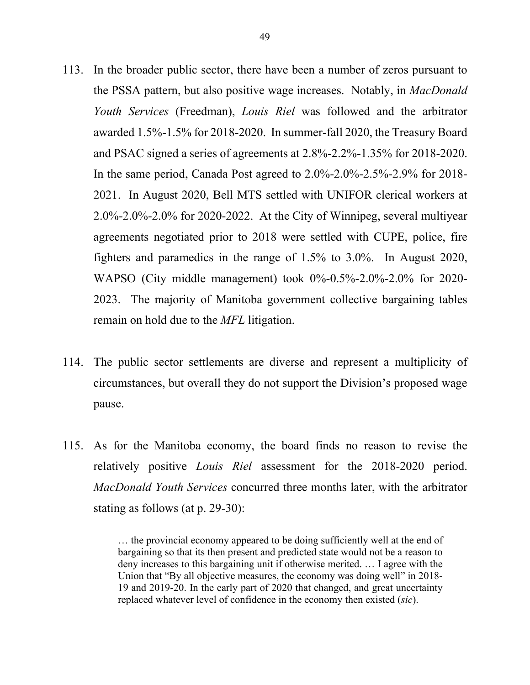- 113. In the broader public sector, there have been a number of zeros pursuant to the PSSA pattern, but also positive wage increases. Notably, in *MacDonald Youth Services* (Freedman), *Louis Riel* was followed and the arbitrator awarded 1.5%-1.5% for 2018-2020. In summer-fall 2020, the Treasury Board and PSAC signed a series of agreements at 2.8%-2.2%-1.35% for 2018-2020. In the same period, Canada Post agreed to 2.0%-2.0%-2.5%-2.9% for 2018- 2021. In August 2020, Bell MTS settled with UNIFOR clerical workers at 2.0%-2.0%-2.0% for 2020-2022. At the City of Winnipeg, several multiyear agreements negotiated prior to 2018 were settled with CUPE, police, fire fighters and paramedics in the range of 1.5% to 3.0%. In August 2020, WAPSO (City middle management) took 0%-0.5%-2.0%-2.0% for 2020- 2023. The majority of Manitoba government collective bargaining tables remain on hold due to the *MFL* litigation.
- 114. The public sector settlements are diverse and represent a multiplicity of circumstances, but overall they do not support the Division's proposed wage pause.
- 115. As for the Manitoba economy, the board finds no reason to revise the relatively positive *Louis Riel* assessment for the 2018-2020 period. *MacDonald Youth Services* concurred three months later, with the arbitrator stating as follows (at p. 29-30):

… the provincial economy appeared to be doing sufficiently well at the end of bargaining so that its then present and predicted state would not be a reason to deny increases to this bargaining unit if otherwise merited. … I agree with the Union that "By all objective measures, the economy was doing well" in 2018- 19 and 2019-20. In the early part of 2020 that changed, and great uncertainty replaced whatever level of confidence in the economy then existed (*sic*).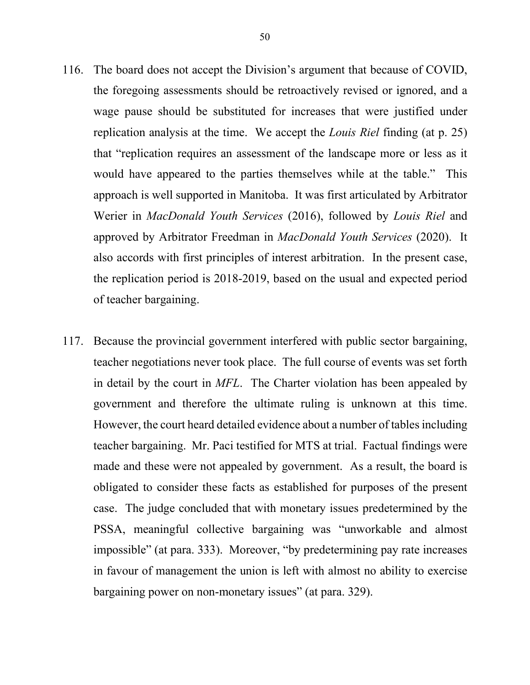- 116. The board does not accept the Division's argument that because of COVID, the foregoing assessments should be retroactively revised or ignored, and a wage pause should be substituted for increases that were justified under replication analysis at the time. We accept the *Louis Riel* finding (at p. 25) that "replication requires an assessment of the landscape more or less as it would have appeared to the parties themselves while at the table." This approach is well supported in Manitoba. It was first articulated by Arbitrator Werier in *MacDonald Youth Services* (2016), followed by *Louis Riel* and approved by Arbitrator Freedman in *MacDonald Youth Services* (2020). It also accords with first principles of interest arbitration. In the present case, the replication period is 2018-2019, based on the usual and expected period of teacher bargaining.
- 117. Because the provincial government interfered with public sector bargaining, teacher negotiations never took place. The full course of events was set forth in detail by the court in *MFL*. The Charter violation has been appealed by government and therefore the ultimate ruling is unknown at this time. However, the court heard detailed evidence about a number of tables including teacher bargaining. Mr. Paci testified for MTS at trial. Factual findings were made and these were not appealed by government. As a result, the board is obligated to consider these facts as established for purposes of the present case. The judge concluded that with monetary issues predetermined by the PSSA, meaningful collective bargaining was "unworkable and almost impossible" (at para. 333). Moreover, "by predetermining pay rate increases in favour of management the union is left with almost no ability to exercise bargaining power on non-monetary issues" (at para. 329).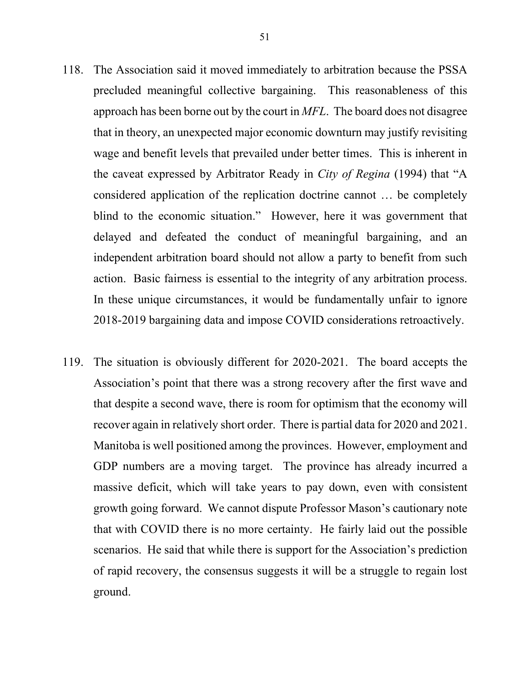- 118. The Association said it moved immediately to arbitration because the PSSA precluded meaningful collective bargaining. This reasonableness of this approach has been borne out by the court in *MFL*. The board does not disagree that in theory, an unexpected major economic downturn may justify revisiting wage and benefit levels that prevailed under better times. This is inherent in the caveat expressed by Arbitrator Ready in *City of Regina* (1994) that "A considered application of the replication doctrine cannot … be completely blind to the economic situation." However, here it was government that delayed and defeated the conduct of meaningful bargaining, and an independent arbitration board should not allow a party to benefit from such action. Basic fairness is essential to the integrity of any arbitration process. In these unique circumstances, it would be fundamentally unfair to ignore 2018-2019 bargaining data and impose COVID considerations retroactively.
- 119. The situation is obviously different for 2020-2021. The board accepts the Association's point that there was a strong recovery after the first wave and that despite a second wave, there is room for optimism that the economy will recover again in relatively short order. There is partial data for 2020 and 2021. Manitoba is well positioned among the provinces. However, employment and GDP numbers are a moving target. The province has already incurred a massive deficit, which will take years to pay down, even with consistent growth going forward. We cannot dispute Professor Mason's cautionary note that with COVID there is no more certainty. He fairly laid out the possible scenarios. He said that while there is support for the Association's prediction of rapid recovery, the consensus suggests it will be a struggle to regain lost ground.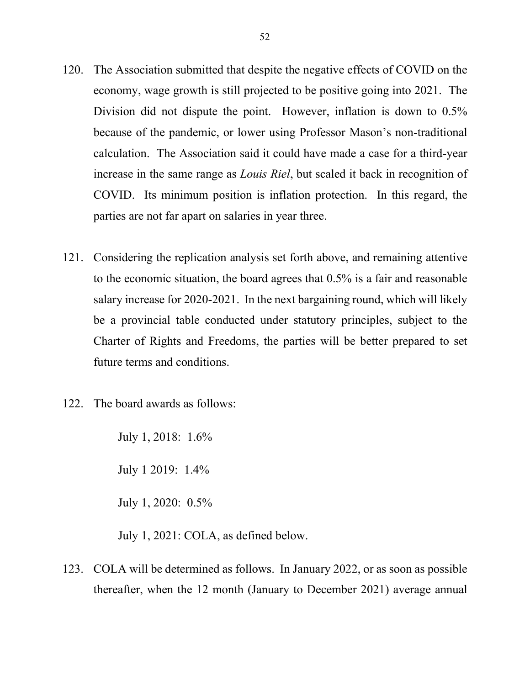- 120. The Association submitted that despite the negative effects of COVID on the economy, wage growth is still projected to be positive going into 2021. The Division did not dispute the point. However, inflation is down to 0.5% because of the pandemic, or lower using Professor Mason's non-traditional calculation. The Association said it could have made a case for a third-year increase in the same range as *Louis Riel*, but scaled it back in recognition of COVID. Its minimum position is inflation protection. In this regard, the parties are not far apart on salaries in year three.
- 121. Considering the replication analysis set forth above, and remaining attentive to the economic situation, the board agrees that 0.5% is a fair and reasonable salary increase for 2020-2021. In the next bargaining round, which will likely be a provincial table conducted under statutory principles, subject to the Charter of Rights and Freedoms, the parties will be better prepared to set future terms and conditions.
- 122. The board awards as follows:

July 1, 2018: 1.6% July 1 2019: 1.4%

July 1, 2020: 0.5%

July 1, 2021: COLA, as defined below.

123. COLA will be determined as follows. In January 2022, or as soon as possible thereafter, when the 12 month (January to December 2021) average annual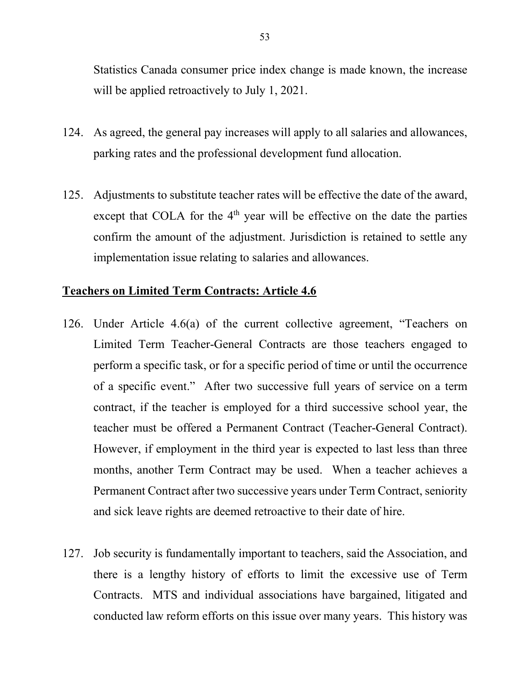Statistics Canada consumer price index change is made known, the increase will be applied retroactively to July 1, 2021.

- 124. As agreed, the general pay increases will apply to all salaries and allowances, parking rates and the professional development fund allocation.
- 125. Adjustments to substitute teacher rates will be effective the date of the award, except that COLA for the  $4<sup>th</sup>$  year will be effective on the date the parties confirm the amount of the adjustment. Jurisdiction is retained to settle any implementation issue relating to salaries and allowances.

# **Teachers on Limited Term Contracts: Article 4.6**

- 126. Under Article 4.6(a) of the current collective agreement, "Teachers on Limited Term Teacher-General Contracts are those teachers engaged to perform a specific task, or for a specific period of time or until the occurrence of a specific event." After two successive full years of service on a term contract, if the teacher is employed for a third successive school year, the teacher must be offered a Permanent Contract (Teacher-General Contract). However, if employment in the third year is expected to last less than three months, another Term Contract may be used. When a teacher achieves a Permanent Contract after two successive years under Term Contract, seniority and sick leave rights are deemed retroactive to their date of hire.
- 127. Job security is fundamentally important to teachers, said the Association, and there is a lengthy history of efforts to limit the excessive use of Term Contracts. MTS and individual associations have bargained, litigated and conducted law reform efforts on this issue over many years. This history was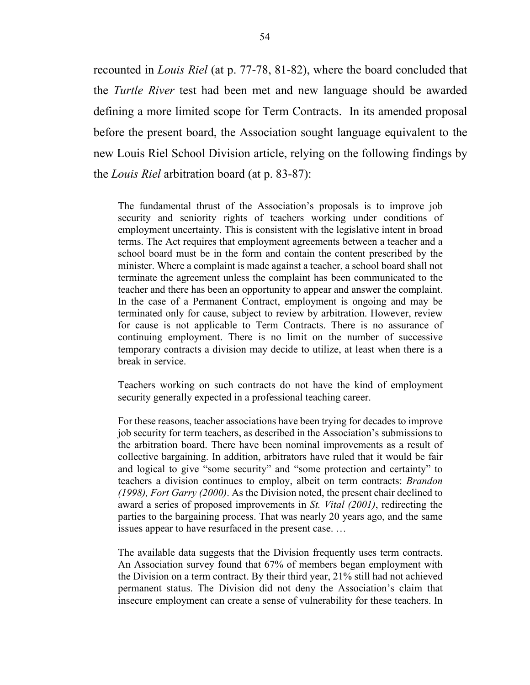recounted in *Louis Riel* (at p. 77-78, 81-82), where the board concluded that the *Turtle River* test had been met and new language should be awarded defining a more limited scope for Term Contracts. In its amended proposal before the present board, the Association sought language equivalent to the new Louis Riel School Division article, relying on the following findings by the *Louis Riel* arbitration board (at p. 83-87):

The fundamental thrust of the Association's proposals is to improve job security and seniority rights of teachers working under conditions of employment uncertainty. This is consistent with the legislative intent in broad terms. The Act requires that employment agreements between a teacher and a school board must be in the form and contain the content prescribed by the minister. Where a complaint is made against a teacher, a school board shall not terminate the agreement unless the complaint has been communicated to the teacher and there has been an opportunity to appear and answer the complaint. In the case of a Permanent Contract, employment is ongoing and may be terminated only for cause, subject to review by arbitration. However, review for cause is not applicable to Term Contracts. There is no assurance of continuing employment. There is no limit on the number of successive temporary contracts a division may decide to utilize, at least when there is a break in service.

Teachers working on such contracts do not have the kind of employment security generally expected in a professional teaching career.

For these reasons, teacher associations have been trying for decades to improve job security for term teachers, as described in the Association's submissions to the arbitration board. There have been nominal improvements as a result of collective bargaining. In addition, arbitrators have ruled that it would be fair and logical to give "some security" and "some protection and certainty" to teachers a division continues to employ, albeit on term contracts: *Brandon (1998), Fort Garry (2000)*. As the Division noted, the present chair declined to award a series of proposed improvements in *St. Vital (2001)*, redirecting the parties to the bargaining process. That was nearly 20 years ago, and the same issues appear to have resurfaced in the present case. …

The available data suggests that the Division frequently uses term contracts. An Association survey found that 67% of members began employment with the Division on a term contract. By their third year, 21% still had not achieved permanent status. The Division did not deny the Association's claim that insecure employment can create a sense of vulnerability for these teachers. In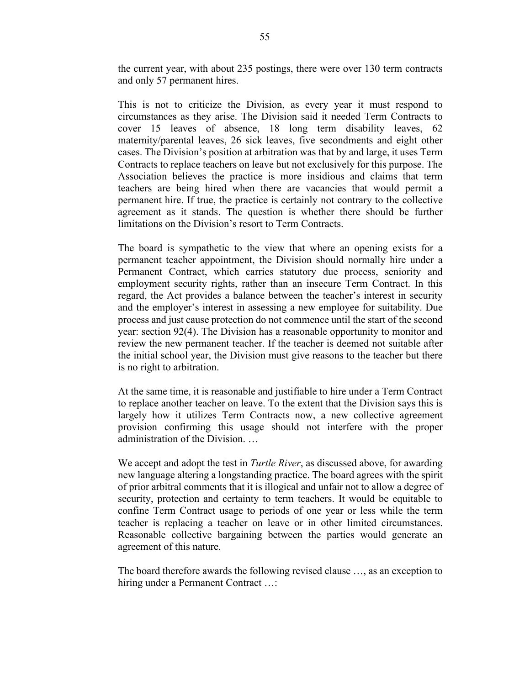the current year, with about 235 postings, there were over 130 term contracts and only 57 permanent hires.

This is not to criticize the Division, as every year it must respond to circumstances as they arise. The Division said it needed Term Contracts to cover 15 leaves of absence, 18 long term disability leaves, 62 maternity/parental leaves, 26 sick leaves, five secondments and eight other cases. The Division's position at arbitration was that by and large, it uses Term Contracts to replace teachers on leave but not exclusively for this purpose. The Association believes the practice is more insidious and claims that term teachers are being hired when there are vacancies that would permit a permanent hire. If true, the practice is certainly not contrary to the collective agreement as it stands. The question is whether there should be further limitations on the Division's resort to Term Contracts.

The board is sympathetic to the view that where an opening exists for a permanent teacher appointment, the Division should normally hire under a Permanent Contract, which carries statutory due process, seniority and employment security rights, rather than an insecure Term Contract. In this regard, the Act provides a balance between the teacher's interest in security and the employer's interest in assessing a new employee for suitability. Due process and just cause protection do not commence until the start of the second year: section 92(4). The Division has a reasonable opportunity to monitor and review the new permanent teacher. If the teacher is deemed not suitable after the initial school year, the Division must give reasons to the teacher but there is no right to arbitration.

At the same time, it is reasonable and justifiable to hire under a Term Contract to replace another teacher on leave. To the extent that the Division says this is largely how it utilizes Term Contracts now, a new collective agreement provision confirming this usage should not interfere with the proper administration of the Division. …

We accept and adopt the test in *Turtle River*, as discussed above, for awarding new language altering a longstanding practice. The board agrees with the spirit of prior arbitral comments that it is illogical and unfair not to allow a degree of security, protection and certainty to term teachers. It would be equitable to confine Term Contract usage to periods of one year or less while the term teacher is replacing a teacher on leave or in other limited circumstances. Reasonable collective bargaining between the parties would generate an agreement of this nature.

The board therefore awards the following revised clause …, as an exception to hiring under a Permanent Contract ...: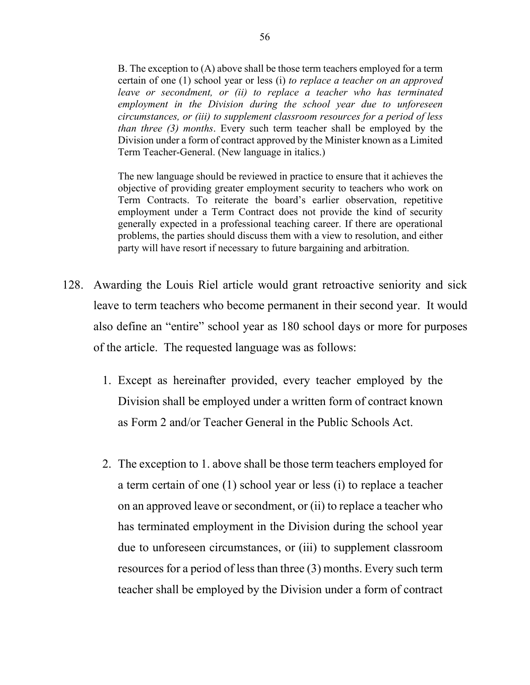B. The exception to (A) above shall be those term teachers employed for a term certain of one (1) school year or less (i) *to replace a teacher on an approved leave or secondment, or (ii) to replace a teacher who has terminated employment in the Division during the school year due to unforeseen circumstances, or (iii) to supplement classroom resources for a period of less than three (3) months*. Every such term teacher shall be employed by the Division under a form of contract approved by the Minister known as a Limited Term Teacher-General. (New language in italics.)

The new language should be reviewed in practice to ensure that it achieves the objective of providing greater employment security to teachers who work on Term Contracts. To reiterate the board's earlier observation, repetitive employment under a Term Contract does not provide the kind of security generally expected in a professional teaching career. If there are operational problems, the parties should discuss them with a view to resolution, and either party will have resort if necessary to future bargaining and arbitration.

- 128. Awarding the Louis Riel article would grant retroactive seniority and sick leave to term teachers who become permanent in their second year. It would also define an "entire" school year as 180 school days or more for purposes of the article. The requested language was as follows:
	- 1. Except as hereinafter provided, every teacher employed by the Division shall be employed under a written form of contract known as Form 2 and/or Teacher General in the Public Schools Act.
	- 2. The exception to 1. above shall be those term teachers employed for a term certain of one (1) school year or less (i) to replace a teacher on an approved leave or secondment, or (ii) to replace a teacher who has terminated employment in the Division during the school year due to unforeseen circumstances, or (iii) to supplement classroom resources for a period of less than three (3) months. Every such term teacher shall be employed by the Division under a form of contract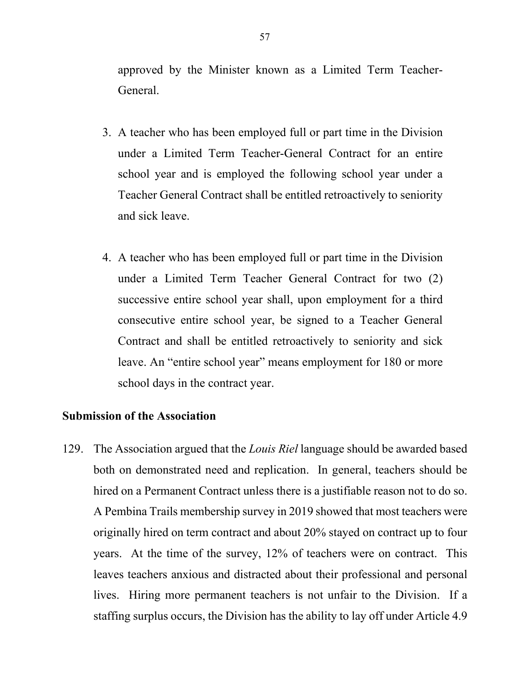approved by the Minister known as a Limited Term Teacher-General.

- 3. A teacher who has been employed full or part time in the Division under a Limited Term Teacher-General Contract for an entire school year and is employed the following school year under a Teacher General Contract shall be entitled retroactively to seniority and sick leave.
- 4. A teacher who has been employed full or part time in the Division under a Limited Term Teacher General Contract for two (2) successive entire school year shall, upon employment for a third consecutive entire school year, be signed to a Teacher General Contract and shall be entitled retroactively to seniority and sick leave. An "entire school year" means employment for 180 or more school days in the contract year.

# **Submission of the Association**

129. The Association argued that the *Louis Riel* language should be awarded based both on demonstrated need and replication. In general, teachers should be hired on a Permanent Contract unless there is a justifiable reason not to do so. A Pembina Trails membership survey in 2019 showed that most teachers were originally hired on term contract and about 20% stayed on contract up to four years. At the time of the survey, 12% of teachers were on contract. This leaves teachers anxious and distracted about their professional and personal lives. Hiring more permanent teachers is not unfair to the Division. If a staffing surplus occurs, the Division has the ability to lay off under Article 4.9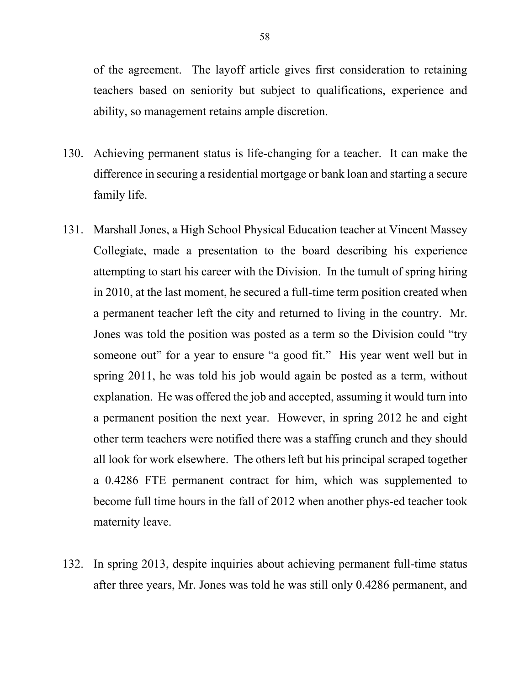of the agreement. The layoff article gives first consideration to retaining teachers based on seniority but subject to qualifications, experience and ability, so management retains ample discretion.

- 130. Achieving permanent status is life-changing for a teacher. It can make the difference in securing a residential mortgage or bank loan and starting a secure family life.
- 131. Marshall Jones, a High School Physical Education teacher at Vincent Massey Collegiate, made a presentation to the board describing his experience attempting to start his career with the Division. In the tumult of spring hiring in 2010, at the last moment, he secured a full-time term position created when a permanent teacher left the city and returned to living in the country. Mr. Jones was told the position was posted as a term so the Division could "try someone out" for a year to ensure "a good fit." His year went well but in spring 2011, he was told his job would again be posted as a term, without explanation. He was offered the job and accepted, assuming it would turn into a permanent position the next year. However, in spring 2012 he and eight other term teachers were notified there was a staffing crunch and they should all look for work elsewhere. The others left but his principal scraped together a 0.4286 FTE permanent contract for him, which was supplemented to become full time hours in the fall of 2012 when another phys-ed teacher took maternity leave.
- 132. In spring 2013, despite inquiries about achieving permanent full-time status after three years, Mr. Jones was told he was still only 0.4286 permanent, and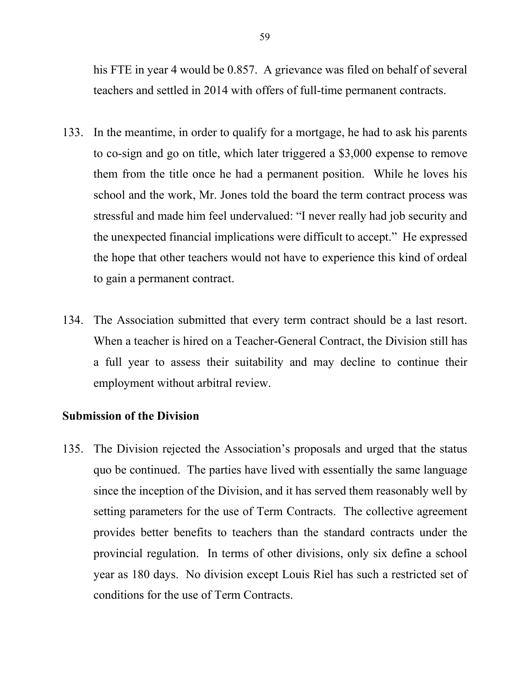his FTE in year 4 would be 0.857. A grievance was filed on behalf of several teachers and settled in 2014 with offers of full-time permanent contracts.

- 133. In the meantime, in order to qualify for a mortgage, he had to ask his parents to co-sign and go on title, which later triggered a \$3,000 expense to remove them from the title once he had a permanent position. While he loves his school and the work, Mr. Jones told the board the term contract process was stressful and made him feel undervalued: "I never really had job security and the unexpected financial implications were difficult to accept." He expressed the hope that other teachers would not have to experience this kind of ordeal to gain a permanent contract.
- 134. The Association submitted that every term contract should be a last resort. When a teacher is hired on a Teacher-General Contract, the Division still has a full year to assess their suitability and may decline to continue their employment without arbitral review.

# **Submission of the Division**

135. The Division rejected the Association's proposals and urged that the status quo be continued. The parties have lived with essentially the same language since the inception of the Division, and it has served them reasonably well by setting parameters for the use of Term Contracts. The collective agreement provides better benefits to teachers than the standard contracts under the provincial regulation. In terms of other divisions, only six define a school year as 180 days. No division except Louis Riel has such a restricted set of conditions for the use of Term Contracts.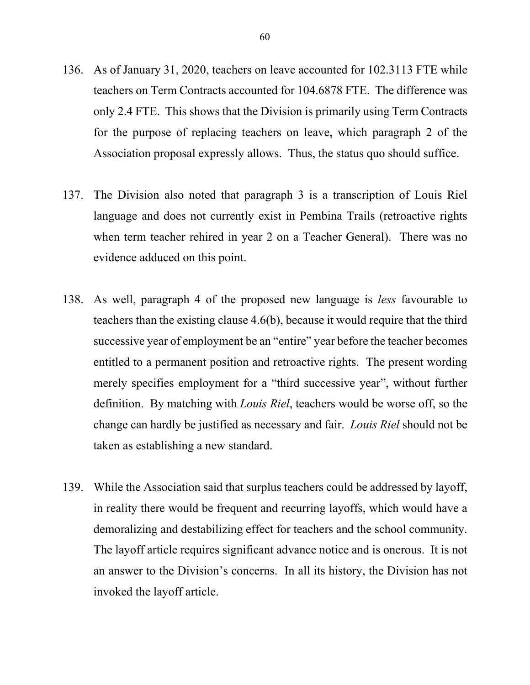- 136. As of January 31, 2020, teachers on leave accounted for 102.3113 FTE while teachers on Term Contracts accounted for 104.6878 FTE. The difference was only 2.4 FTE. This shows that the Division is primarily using Term Contracts for the purpose of replacing teachers on leave, which paragraph 2 of the Association proposal expressly allows. Thus, the status quo should suffice.
- 137. The Division also noted that paragraph 3 is a transcription of Louis Riel language and does not currently exist in Pembina Trails (retroactive rights when term teacher rehired in year 2 on a Teacher General). There was no evidence adduced on this point.
- 138. As well, paragraph 4 of the proposed new language is *less* favourable to teachers than the existing clause 4.6(b), because it would require that the third successive year of employment be an "entire" year before the teacher becomes entitled to a permanent position and retroactive rights. The present wording merely specifies employment for a "third successive year", without further definition. By matching with *Louis Riel*, teachers would be worse off, so the change can hardly be justified as necessary and fair. *Louis Riel* should not be taken as establishing a new standard.
- 139. While the Association said that surplus teachers could be addressed by layoff, in reality there would be frequent and recurring layoffs, which would have a demoralizing and destabilizing effect for teachers and the school community. The layoff article requires significant advance notice and is onerous. It is not an answer to the Division's concerns. In all its history, the Division has not invoked the layoff article.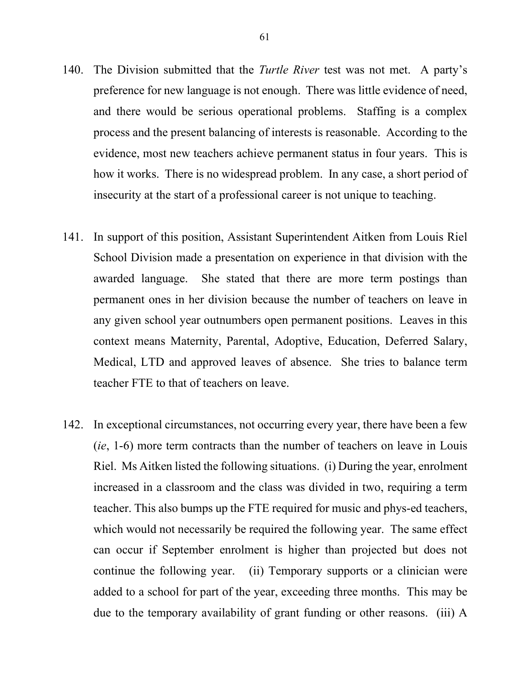- 140. The Division submitted that the *Turtle River* test was not met. A party's preference for new language is not enough. There was little evidence of need, and there would be serious operational problems. Staffing is a complex process and the present balancing of interests is reasonable. According to the evidence, most new teachers achieve permanent status in four years. This is how it works. There is no widespread problem. In any case, a short period of insecurity at the start of a professional career is not unique to teaching.
- 141. In support of this position, Assistant Superintendent Aitken from Louis Riel School Division made a presentation on experience in that division with the awarded language. She stated that there are more term postings than permanent ones in her division because the number of teachers on leave in any given school year outnumbers open permanent positions. Leaves in this context means Maternity, Parental, Adoptive, Education, Deferred Salary, Medical, LTD and approved leaves of absence. She tries to balance term teacher FTE to that of teachers on leave.
- 142. In exceptional circumstances, not occurring every year, there have been a few (*ie*, 1-6) more term contracts than the number of teachers on leave in Louis Riel. Ms Aitken listed the following situations. (i) During the year, enrolment increased in a classroom and the class was divided in two, requiring a term teacher. This also bumps up the FTE required for music and phys-ed teachers, which would not necessarily be required the following year. The same effect can occur if September enrolment is higher than projected but does not continue the following year. (ii) Temporary supports or a clinician were added to a school for part of the year, exceeding three months. This may be due to the temporary availability of grant funding or other reasons. (iii) A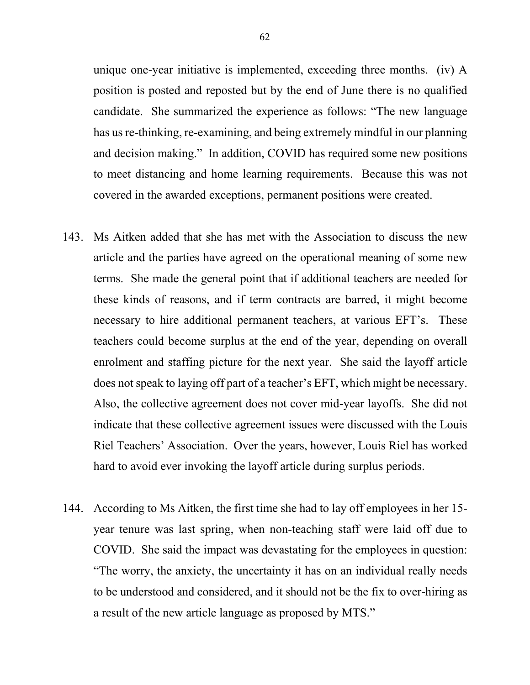unique one-year initiative is implemented, exceeding three months. (iv) A position is posted and reposted but by the end of June there is no qualified candidate. She summarized the experience as follows: "The new language has us re-thinking, re-examining, and being extremely mindful in our planning and decision making." In addition, COVID has required some new positions to meet distancing and home learning requirements. Because this was not covered in the awarded exceptions, permanent positions were created.

- 143. Ms Aitken added that she has met with the Association to discuss the new article and the parties have agreed on the operational meaning of some new terms. She made the general point that if additional teachers are needed for these kinds of reasons, and if term contracts are barred, it might become necessary to hire additional permanent teachers, at various EFT's. These teachers could become surplus at the end of the year, depending on overall enrolment and staffing picture for the next year. She said the layoff article does not speak to laying off part of a teacher's EFT, which might be necessary. Also, the collective agreement does not cover mid-year layoffs. She did not indicate that these collective agreement issues were discussed with the Louis Riel Teachers' Association. Over the years, however, Louis Riel has worked hard to avoid ever invoking the layoff article during surplus periods.
- 144. According to Ms Aitken, the first time she had to lay off employees in her 15 year tenure was last spring, when non-teaching staff were laid off due to COVID. She said the impact was devastating for the employees in question: "The worry, the anxiety, the uncertainty it has on an individual really needs to be understood and considered, and it should not be the fix to over-hiring as a result of the new article language as proposed by MTS."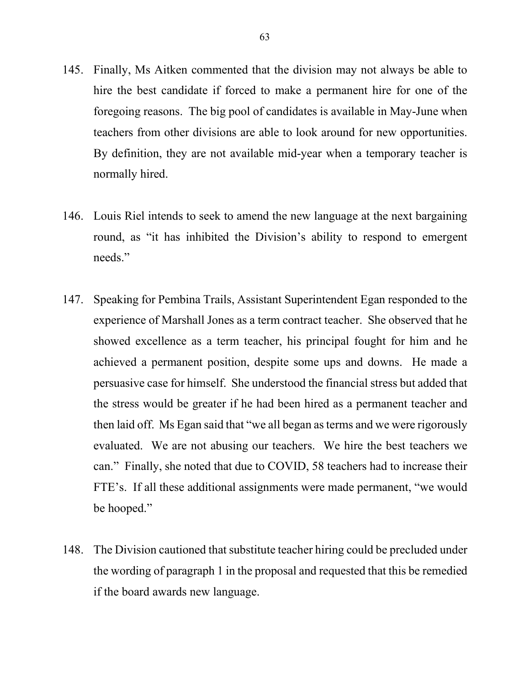- 145. Finally, Ms Aitken commented that the division may not always be able to hire the best candidate if forced to make a permanent hire for one of the foregoing reasons. The big pool of candidates is available in May-June when teachers from other divisions are able to look around for new opportunities. By definition, they are not available mid-year when a temporary teacher is normally hired.
- 146. Louis Riel intends to seek to amend the new language at the next bargaining round, as "it has inhibited the Division's ability to respond to emergent needs."
- 147. Speaking for Pembina Trails, Assistant Superintendent Egan responded to the experience of Marshall Jones as a term contract teacher. She observed that he showed excellence as a term teacher, his principal fought for him and he achieved a permanent position, despite some ups and downs. He made a persuasive case for himself. She understood the financial stress but added that the stress would be greater if he had been hired as a permanent teacher and then laid off. Ms Egan said that "we all began as terms and we were rigorously evaluated. We are not abusing our teachers. We hire the best teachers we can." Finally, she noted that due to COVID, 58 teachers had to increase their FTE's. If all these additional assignments were made permanent, "we would be hooped."
- 148. The Division cautioned that substitute teacher hiring could be precluded under the wording of paragraph 1 in the proposal and requested that this be remedied if the board awards new language.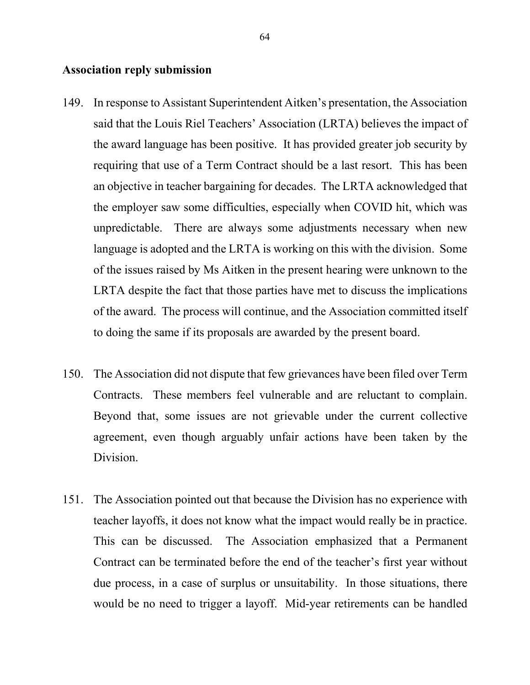#### **Association reply submission**

- 149. In response to Assistant Superintendent Aitken's presentation, the Association said that the Louis Riel Teachers' Association (LRTA) believes the impact of the award language has been positive. It has provided greater job security by requiring that use of a Term Contract should be a last resort. This has been an objective in teacher bargaining for decades. The LRTA acknowledged that the employer saw some difficulties, especially when COVID hit, which was unpredictable. There are always some adjustments necessary when new language is adopted and the LRTA is working on this with the division. Some of the issues raised by Ms Aitken in the present hearing were unknown to the LRTA despite the fact that those parties have met to discuss the implications of the award. The process will continue, and the Association committed itself to doing the same if its proposals are awarded by the present board.
- 150. The Association did not dispute that few grievances have been filed over Term Contracts. These members feel vulnerable and are reluctant to complain. Beyond that, some issues are not grievable under the current collective agreement, even though arguably unfair actions have been taken by the Division.
- 151. The Association pointed out that because the Division has no experience with teacher layoffs, it does not know what the impact would really be in practice. This can be discussed. The Association emphasized that a Permanent Contract can be terminated before the end of the teacher's first year without due process, in a case of surplus or unsuitability. In those situations, there would be no need to trigger a layoff. Mid-year retirements can be handled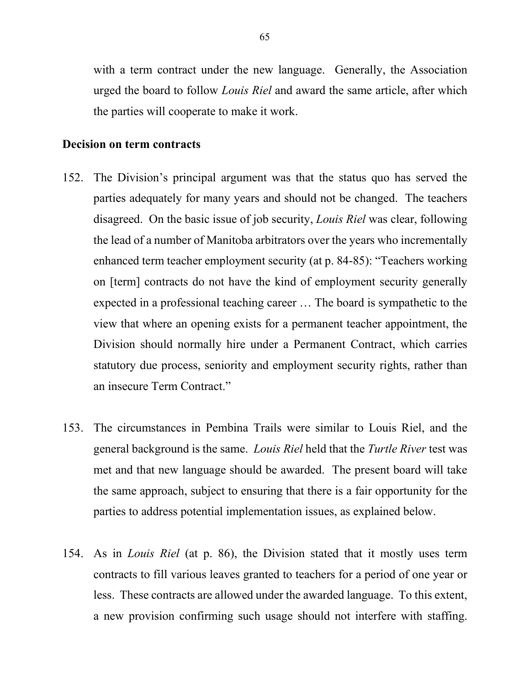with a term contract under the new language. Generally, the Association urged the board to follow *Louis Riel* and award the same article, after which the parties will cooperate to make it work.

#### **Decision on term contracts**

- 152. The Division's principal argument was that the status quo has served the parties adequately for many years and should not be changed. The teachers disagreed. On the basic issue of job security, *Louis Riel* was clear, following the lead of a number of Manitoba arbitrators over the years who incrementally enhanced term teacher employment security (at p. 84-85): "Teachers working on [term] contracts do not have the kind of employment security generally expected in a professional teaching career … The board is sympathetic to the view that where an opening exists for a permanent teacher appointment, the Division should normally hire under a Permanent Contract, which carries statutory due process, seniority and employment security rights, rather than an insecure Term Contract."
- 153. The circumstances in Pembina Trails were similar to Louis Riel, and the general background is the same. *Louis Riel* held that the *Turtle River* test was met and that new language should be awarded. The present board will take the same approach, subject to ensuring that there is a fair opportunity for the parties to address potential implementation issues, as explained below.
- 154. As in *Louis Riel* (at p. 86), the Division stated that it mostly uses term contracts to fill various leaves granted to teachers for a period of one year or less. These contracts are allowed under the awarded language. To this extent, a new provision confirming such usage should not interfere with staffing.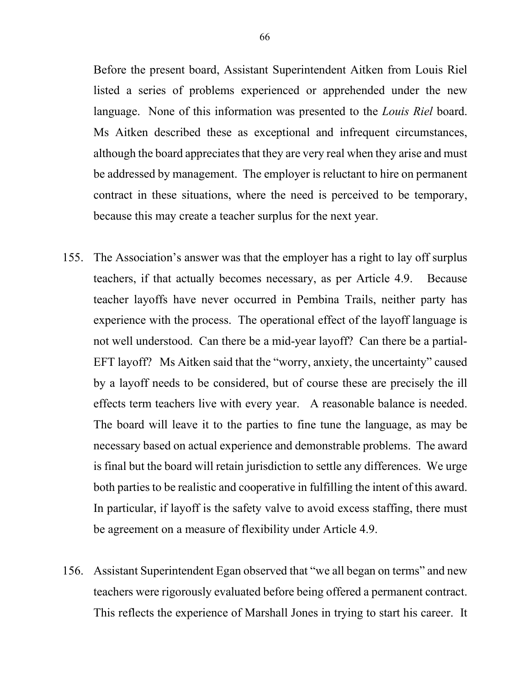Before the present board, Assistant Superintendent Aitken from Louis Riel listed a series of problems experienced or apprehended under the new language. None of this information was presented to the *Louis Riel* board. Ms Aitken described these as exceptional and infrequent circumstances, although the board appreciates that they are very real when they arise and must be addressed by management. The employer is reluctant to hire on permanent contract in these situations, where the need is perceived to be temporary, because this may create a teacher surplus for the next year.

- 155. The Association's answer was that the employer has a right to lay off surplus teachers, if that actually becomes necessary, as per Article 4.9. Because teacher layoffs have never occurred in Pembina Trails, neither party has experience with the process. The operational effect of the layoff language is not well understood. Can there be a mid-year layoff? Can there be a partial-EFT layoff? Ms Aitken said that the "worry, anxiety, the uncertainty" caused by a layoff needs to be considered, but of course these are precisely the ill effects term teachers live with every year. A reasonable balance is needed. The board will leave it to the parties to fine tune the language, as may be necessary based on actual experience and demonstrable problems. The award is final but the board will retain jurisdiction to settle any differences. We urge both parties to be realistic and cooperative in fulfilling the intent of this award. In particular, if layoff is the safety valve to avoid excess staffing, there must be agreement on a measure of flexibility under Article 4.9.
- 156. Assistant Superintendent Egan observed that "we all began on terms" and new teachers were rigorously evaluated before being offered a permanent contract. This reflects the experience of Marshall Jones in trying to start his career. It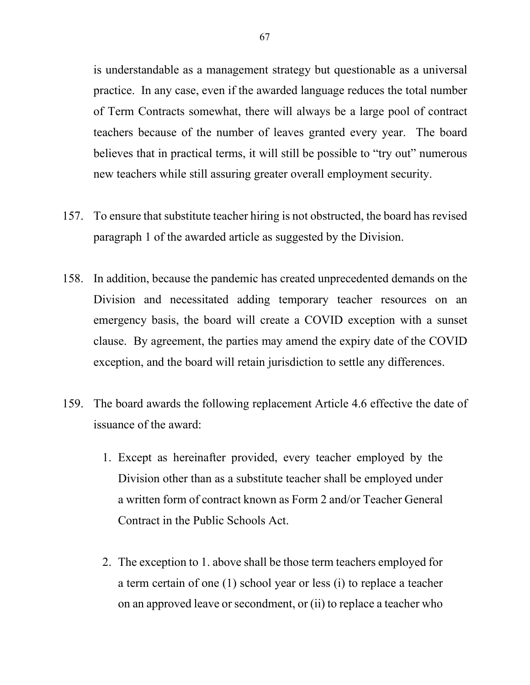is understandable as a management strategy but questionable as a universal practice. In any case, even if the awarded language reduces the total number of Term Contracts somewhat, there will always be a large pool of contract teachers because of the number of leaves granted every year. The board believes that in practical terms, it will still be possible to "try out" numerous new teachers while still assuring greater overall employment security.

- 157. To ensure that substitute teacher hiring is not obstructed, the board has revised paragraph 1 of the awarded article as suggested by the Division.
- 158. In addition, because the pandemic has created unprecedented demands on the Division and necessitated adding temporary teacher resources on an emergency basis, the board will create a COVID exception with a sunset clause. By agreement, the parties may amend the expiry date of the COVID exception, and the board will retain jurisdiction to settle any differences.
- 159. The board awards the following replacement Article 4.6 effective the date of issuance of the award:
	- 1. Except as hereinafter provided, every teacher employed by the Division other than as a substitute teacher shall be employed under a written form of contract known as Form 2 and/or Teacher General Contract in the Public Schools Act.
	- 2. The exception to 1. above shall be those term teachers employed for a term certain of one (1) school year or less (i) to replace a teacher on an approved leave or secondment, or (ii) to replace a teacher who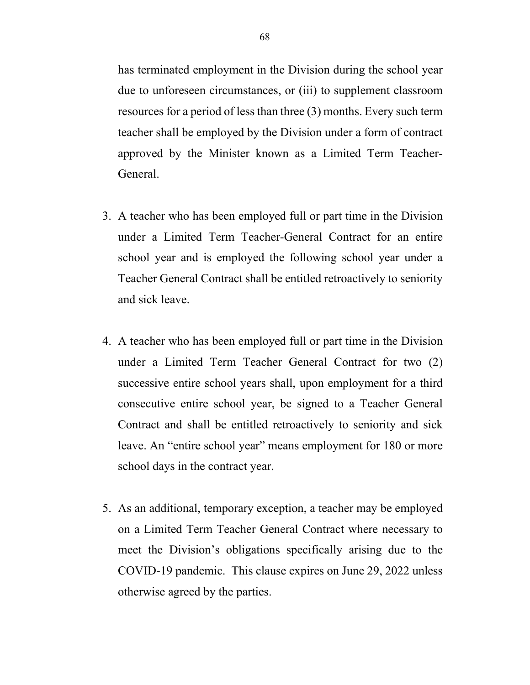has terminated employment in the Division during the school year due to unforeseen circumstances, or (iii) to supplement classroom resources for a period of less than three (3) months. Every such term teacher shall be employed by the Division under a form of contract approved by the Minister known as a Limited Term Teacher-General.

- 3. A teacher who has been employed full or part time in the Division under a Limited Term Teacher-General Contract for an entire school year and is employed the following school year under a Teacher General Contract shall be entitled retroactively to seniority and sick leave.
- 4. A teacher who has been employed full or part time in the Division under a Limited Term Teacher General Contract for two (2) successive entire school years shall, upon employment for a third consecutive entire school year, be signed to a Teacher General Contract and shall be entitled retroactively to seniority and sick leave. An "entire school year" means employment for 180 or more school days in the contract year.
- 5. As an additional, temporary exception, a teacher may be employed on a Limited Term Teacher General Contract where necessary to meet the Division's obligations specifically arising due to the COVID-19 pandemic. This clause expires on June 29, 2022 unless otherwise agreed by the parties.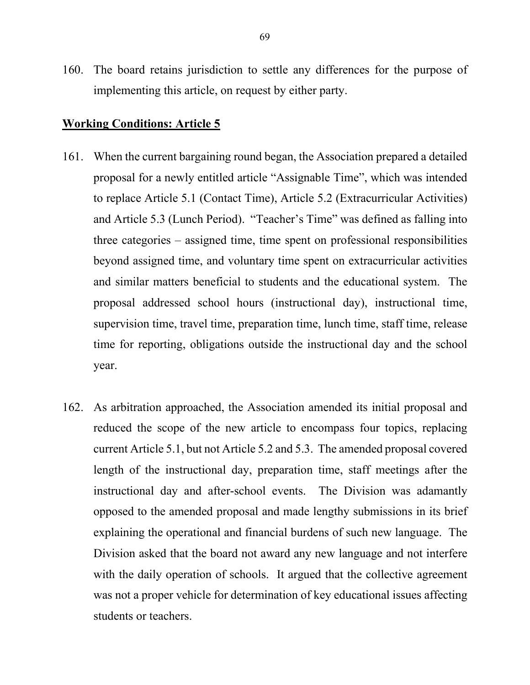160. The board retains jurisdiction to settle any differences for the purpose of implementing this article, on request by either party.

### **Working Conditions: Article 5**

- 161. When the current bargaining round began, the Association prepared a detailed proposal for a newly entitled article "Assignable Time", which was intended to replace Article 5.1 (Contact Time), Article 5.2 (Extracurricular Activities) and Article 5.3 (Lunch Period). "Teacher's Time" was defined as falling into three categories – assigned time, time spent on professional responsibilities beyond assigned time, and voluntary time spent on extracurricular activities and similar matters beneficial to students and the educational system. The proposal addressed school hours (instructional day), instructional time, supervision time, travel time, preparation time, lunch time, staff time, release time for reporting, obligations outside the instructional day and the school year.
- 162. As arbitration approached, the Association amended its initial proposal and reduced the scope of the new article to encompass four topics, replacing current Article 5.1, but not Article 5.2 and 5.3. The amended proposal covered length of the instructional day, preparation time, staff meetings after the instructional day and after-school events. The Division was adamantly opposed to the amended proposal and made lengthy submissions in its brief explaining the operational and financial burdens of such new language. The Division asked that the board not award any new language and not interfere with the daily operation of schools. It argued that the collective agreement was not a proper vehicle for determination of key educational issues affecting students or teachers.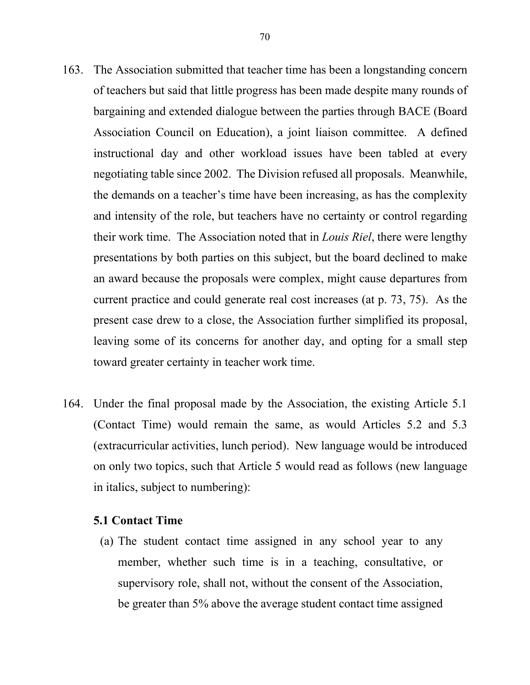- 163. The Association submitted that teacher time has been a longstanding concern of teachers but said that little progress has been made despite many rounds of bargaining and extended dialogue between the parties through BACE (Board Association Council on Education), a joint liaison committee. A defined instructional day and other workload issues have been tabled at every negotiating table since 2002. The Division refused all proposals. Meanwhile, the demands on a teacher's time have been increasing, as has the complexity and intensity of the role, but teachers have no certainty or control regarding their work time. The Association noted that in *Louis Riel*, there were lengthy presentations by both parties on this subject, but the board declined to make an award because the proposals were complex, might cause departures from current practice and could generate real cost increases (at p. 73, 75). As the present case drew to a close, the Association further simplified its proposal, leaving some of its concerns for another day, and opting for a small step toward greater certainty in teacher work time.
- 164. Under the final proposal made by the Association, the existing Article 5.1 (Contact Time) would remain the same, as would Articles 5.2 and 5.3 (extracurricular activities, lunch period). New language would be introduced on only two topics, such that Article 5 would read as follows (new language in italics, subject to numbering):

#### **5.1 Contact Time**

(a) The student contact time assigned in any school year to any member, whether such time is in a teaching, consultative, or supervisory role, shall not, without the consent of the Association, be greater than 5% above the average student contact time assigned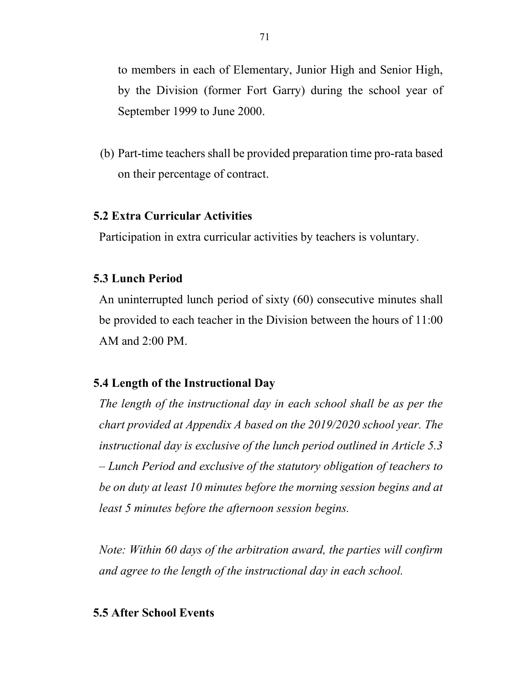to members in each of Elementary, Junior High and Senior High, by the Division (former Fort Garry) during the school year of September 1999 to June 2000.

(b) Part-time teachers shall be provided preparation time pro-rata based on their percentage of contract.

# **5.2 Extra Curricular Activities**

Participation in extra curricular activities by teachers is voluntary.

### **5.3 Lunch Period**

An uninterrupted lunch period of sixty (60) consecutive minutes shall be provided to each teacher in the Division between the hours of 11:00 AM and 2:00 PM.

# **5.4 Length of the Instructional Day**

*The length of the instructional day in each school shall be as per the chart provided at Appendix A based on the 2019/2020 school year. The instructional day is exclusive of the lunch period outlined in Article 5.3 – Lunch Period and exclusive of the statutory obligation of teachers to be on duty at least 10 minutes before the morning session begins and at least 5 minutes before the afternoon session begins.*

*Note: Within 60 days of the arbitration award, the parties will confirm and agree to the length of the instructional day in each school.* 

### **5.5 After School Events**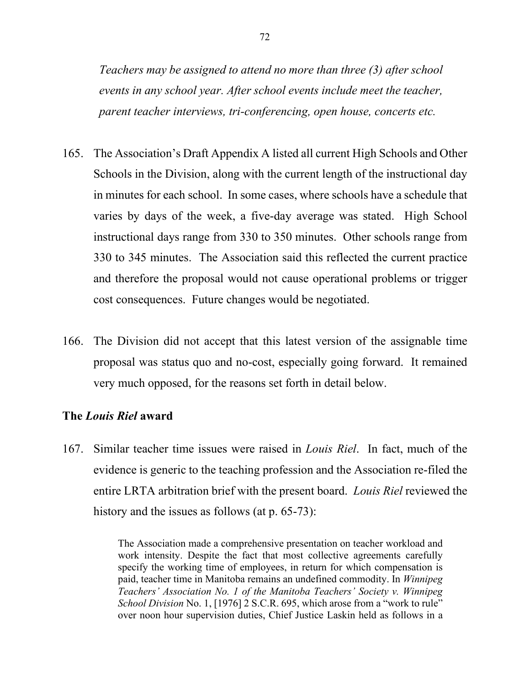*Teachers may be assigned to attend no more than three (3) after school events in any school year. After school events include meet the teacher, parent teacher interviews, tri-conferencing, open house, concerts etc.* 

- 165. The Association's Draft Appendix A listed all current High Schools and Other Schools in the Division, along with the current length of the instructional day in minutes for each school. In some cases, where schools have a schedule that varies by days of the week, a five-day average was stated. High School instructional days range from 330 to 350 minutes. Other schools range from 330 to 345 minutes. The Association said this reflected the current practice and therefore the proposal would not cause operational problems or trigger cost consequences. Future changes would be negotiated.
- 166. The Division did not accept that this latest version of the assignable time proposal was status quo and no-cost, especially going forward. It remained very much opposed, for the reasons set forth in detail below.

### **The** *Louis Riel* **award**

167. Similar teacher time issues were raised in *Louis Riel*. In fact, much of the evidence is generic to the teaching profession and the Association re-filed the entire LRTA arbitration brief with the present board. *Louis Riel* reviewed the history and the issues as follows (at p. 65-73):

> The Association made a comprehensive presentation on teacher workload and work intensity. Despite the fact that most collective agreements carefully specify the working time of employees, in return for which compensation is paid, teacher time in Manitoba remains an undefined commodity. In *Winnipeg Teachers' Association No. 1 of the Manitoba Teachers' Society v. Winnipeg School Division* No. 1, [1976] 2 S.C.R. 695, which arose from a "work to rule" over noon hour supervision duties, Chief Justice Laskin held as follows in a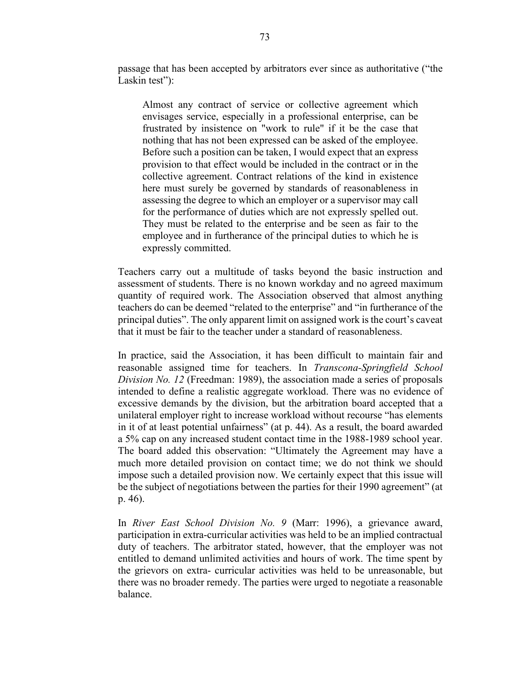passage that has been accepted by arbitrators ever since as authoritative ("the Laskin test":

Almost any contract of service or collective agreement which envisages service, especially in a professional enterprise, can be frustrated by insistence on "work to rule" if it be the case that nothing that has not been expressed can be asked of the employee. Before such a position can be taken, I would expect that an express provision to that effect would be included in the contract or in the collective agreement. Contract relations of the kind in existence here must surely be governed by standards of reasonableness in assessing the degree to which an employer or a supervisor may call for the performance of duties which are not expressly spelled out. They must be related to the enterprise and be seen as fair to the employee and in furtherance of the principal duties to which he is expressly committed.

Teachers carry out a multitude of tasks beyond the basic instruction and assessment of students. There is no known workday and no agreed maximum quantity of required work. The Association observed that almost anything teachers do can be deemed "related to the enterprise" and "in furtherance of the principal duties". The only apparent limit on assigned work is the court's caveat that it must be fair to the teacher under a standard of reasonableness.

In practice, said the Association, it has been difficult to maintain fair and reasonable assigned time for teachers. In *Transcona-Springfield School Division No. 12* (Freedman: 1989), the association made a series of proposals intended to define a realistic aggregate workload. There was no evidence of excessive demands by the division, but the arbitration board accepted that a unilateral employer right to increase workload without recourse "has elements in it of at least potential unfairness" (at p. 44). As a result, the board awarded a 5% cap on any increased student contact time in the 1988-1989 school year. The board added this observation: "Ultimately the Agreement may have a much more detailed provision on contact time; we do not think we should impose such a detailed provision now. We certainly expect that this issue will be the subject of negotiations between the parties for their 1990 agreement" (at p. 46).

In *River East School Division No. 9* (Marr: 1996), a grievance award, participation in extra-curricular activities was held to be an implied contractual duty of teachers. The arbitrator stated, however, that the employer was not entitled to demand unlimited activities and hours of work. The time spent by the grievors on extra- curricular activities was held to be unreasonable, but there was no broader remedy. The parties were urged to negotiate a reasonable balance.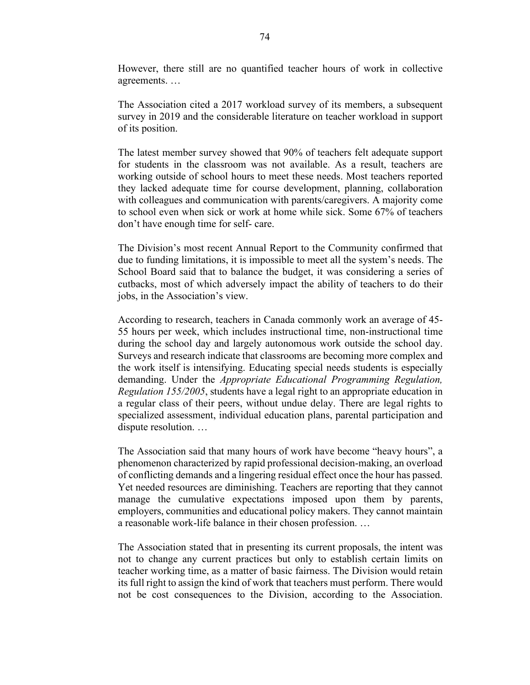However, there still are no quantified teacher hours of work in collective agreements. …

The Association cited a 2017 workload survey of its members, a subsequent survey in 2019 and the considerable literature on teacher workload in support of its position.

The latest member survey showed that 90% of teachers felt adequate support for students in the classroom was not available. As a result, teachers are working outside of school hours to meet these needs. Most teachers reported they lacked adequate time for course development, planning, collaboration with colleagues and communication with parents/caregivers. A majority come to school even when sick or work at home while sick. Some 67% of teachers don't have enough time for self- care.

The Division's most recent Annual Report to the Community confirmed that due to funding limitations, it is impossible to meet all the system's needs. The School Board said that to balance the budget, it was considering a series of cutbacks, most of which adversely impact the ability of teachers to do their jobs, in the Association's view.

According to research, teachers in Canada commonly work an average of 45- 55 hours per week, which includes instructional time, non-instructional time during the school day and largely autonomous work outside the school day. Surveys and research indicate that classrooms are becoming more complex and the work itself is intensifying. Educating special needs students is especially demanding. Under the *Appropriate Educational Programming Regulation, Regulation 155/2005*, students have a legal right to an appropriate education in a regular class of their peers, without undue delay. There are legal rights to specialized assessment, individual education plans, parental participation and dispute resolution. …

The Association said that many hours of work have become "heavy hours", a phenomenon characterized by rapid professional decision-making, an overload of conflicting demands and a lingering residual effect once the hour has passed. Yet needed resources are diminishing. Teachers are reporting that they cannot manage the cumulative expectations imposed upon them by parents, employers, communities and educational policy makers. They cannot maintain a reasonable work-life balance in their chosen profession. …

The Association stated that in presenting its current proposals, the intent was not to change any current practices but only to establish certain limits on teacher working time, as a matter of basic fairness. The Division would retain its full right to assign the kind of work that teachers must perform. There would not be cost consequences to the Division, according to the Association.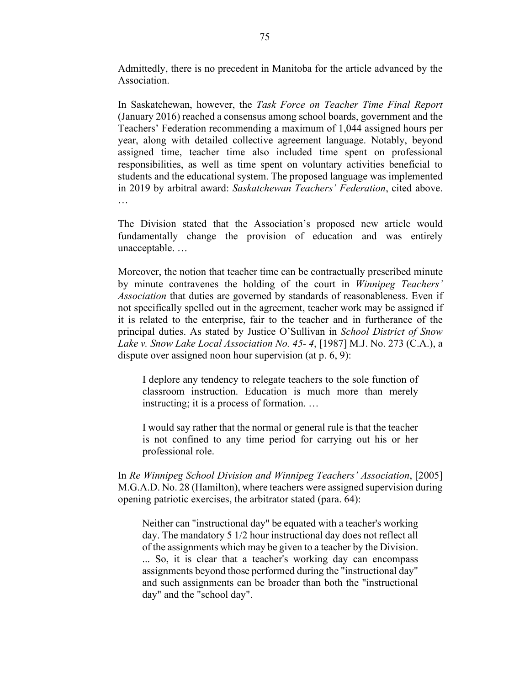Admittedly, there is no precedent in Manitoba for the article advanced by the Association.

In Saskatchewan, however, the *Task Force on Teacher Time Final Report*  (January 2016) reached a consensus among school boards, government and the Teachers' Federation recommending a maximum of 1,044 assigned hours per year, along with detailed collective agreement language. Notably, beyond assigned time, teacher time also included time spent on professional responsibilities, as well as time spent on voluntary activities beneficial to students and the educational system. The proposed language was implemented in 2019 by arbitral award: *Saskatchewan Teachers' Federation*, cited above. …

The Division stated that the Association's proposed new article would fundamentally change the provision of education and was entirely unacceptable. …

Moreover, the notion that teacher time can be contractually prescribed minute by minute contravenes the holding of the court in *Winnipeg Teachers' Association* that duties are governed by standards of reasonableness. Even if not specifically spelled out in the agreement, teacher work may be assigned if it is related to the enterprise, fair to the teacher and in furtherance of the principal duties. As stated by Justice O'Sullivan in *School District of Snow Lake v. Snow Lake Local Association No. 45- 4*, [1987] M.J. No. 273 (C.A.), a dispute over assigned noon hour supervision (at p. 6, 9):

I deplore any tendency to relegate teachers to the sole function of classroom instruction. Education is much more than merely instructing; it is a process of formation. …

I would say rather that the normal or general rule is that the teacher is not confined to any time period for carrying out his or her professional role.

In *Re Winnipeg School Division and Winnipeg Teachers' Association*, [2005] M.G.A.D. No. 28 (Hamilton), where teachers were assigned supervision during opening patriotic exercises, the arbitrator stated (para. 64):

Neither can "instructional day" be equated with a teacher's working day. The mandatory 5 1/2 hour instructional day does not reflect all of the assignments which may be given to a teacher by the Division. ... So, it is clear that a teacher's working day can encompass assignments beyond those performed during the "instructional day" and such assignments can be broader than both the "instructional day" and the "school day".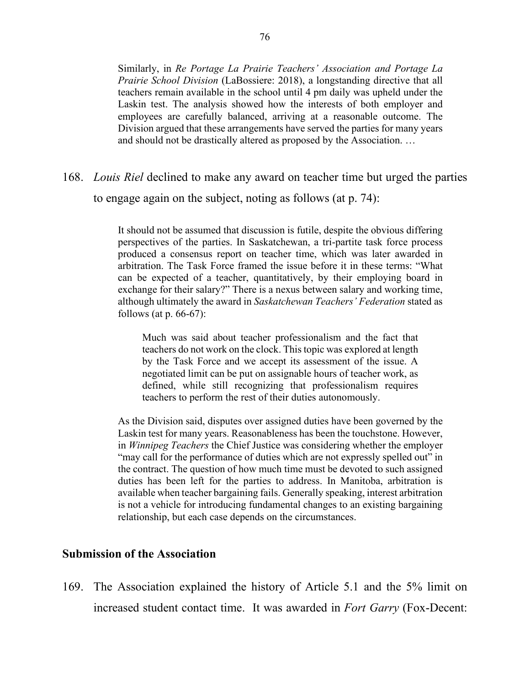Similarly, in *Re Portage La Prairie Teachers' Association and Portage La Prairie School Division* (LaBossiere: 2018), a longstanding directive that all teachers remain available in the school until 4 pm daily was upheld under the Laskin test. The analysis showed how the interests of both employer and employees are carefully balanced, arriving at a reasonable outcome. The Division argued that these arrangements have served the parties for many years and should not be drastically altered as proposed by the Association. …

# 168. *Louis Riel* declined to make any award on teacher time but urged the parties to engage again on the subject, noting as follows (at p. 74):

It should not be assumed that discussion is futile, despite the obvious differing perspectives of the parties. In Saskatchewan, a tri-partite task force process produced a consensus report on teacher time, which was later awarded in arbitration. The Task Force framed the issue before it in these terms: "What can be expected of a teacher, quantitatively, by their employing board in exchange for their salary?" There is a nexus between salary and working time, although ultimately the award in *Saskatchewan Teachers' Federation* stated as follows (at p. 66-67):

Much was said about teacher professionalism and the fact that teachers do not work on the clock. This topic was explored at length by the Task Force and we accept its assessment of the issue. A negotiated limit can be put on assignable hours of teacher work, as defined, while still recognizing that professionalism requires teachers to perform the rest of their duties autonomously.

As the Division said, disputes over assigned duties have been governed by the Laskin test for many years. Reasonableness has been the touchstone. However, in *Winnipeg Teachers* the Chief Justice was considering whether the employer "may call for the performance of duties which are not expressly spelled out" in the contract. The question of how much time must be devoted to such assigned duties has been left for the parties to address. In Manitoba, arbitration is available when teacher bargaining fails. Generally speaking, interest arbitration is not a vehicle for introducing fundamental changes to an existing bargaining relationship, but each case depends on the circumstances.

### **Submission of the Association**

169. The Association explained the history of Article 5.1 and the 5% limit on increased student contact time. It was awarded in *Fort Garry* (Fox-Decent: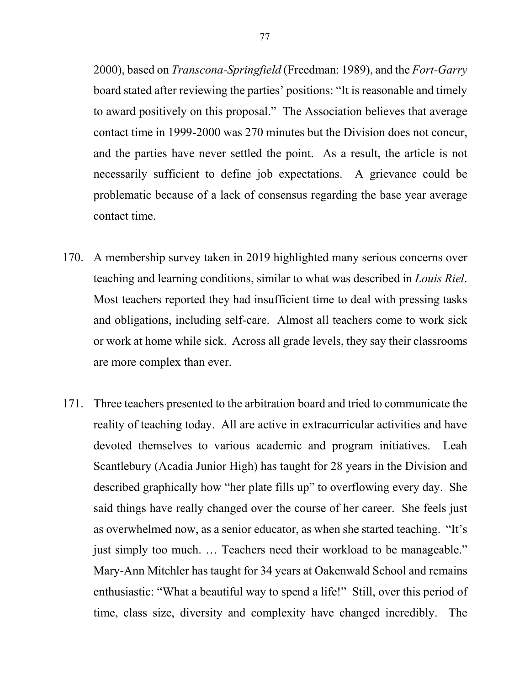2000), based on *Transcona-Springfield* (Freedman: 1989), and the *Fort-Garry* board stated after reviewing the parties' positions: "It is reasonable and timely to award positively on this proposal." The Association believes that average contact time in 1999-2000 was 270 minutes but the Division does not concur, and the parties have never settled the point. As a result, the article is not necessarily sufficient to define job expectations. A grievance could be problematic because of a lack of consensus regarding the base year average contact time.

- 170. A membership survey taken in 2019 highlighted many serious concerns over teaching and learning conditions, similar to what was described in *Louis Riel*. Most teachers reported they had insufficient time to deal with pressing tasks and obligations, including self-care. Almost all teachers come to work sick or work at home while sick. Across all grade levels, they say their classrooms are more complex than ever.
- 171. Three teachers presented to the arbitration board and tried to communicate the reality of teaching today. All are active in extracurricular activities and have devoted themselves to various academic and program initiatives. Leah Scantlebury (Acadia Junior High) has taught for 28 years in the Division and described graphically how "her plate fills up" to overflowing every day. She said things have really changed over the course of her career. She feels just as overwhelmed now, as a senior educator, as when she started teaching. "It's just simply too much. ... Teachers need their workload to be manageable." Mary-Ann Mitchler has taught for 34 years at Oakenwald School and remains enthusiastic: "What a beautiful way to spend a life!" Still, over this period of time, class size, diversity and complexity have changed incredibly. The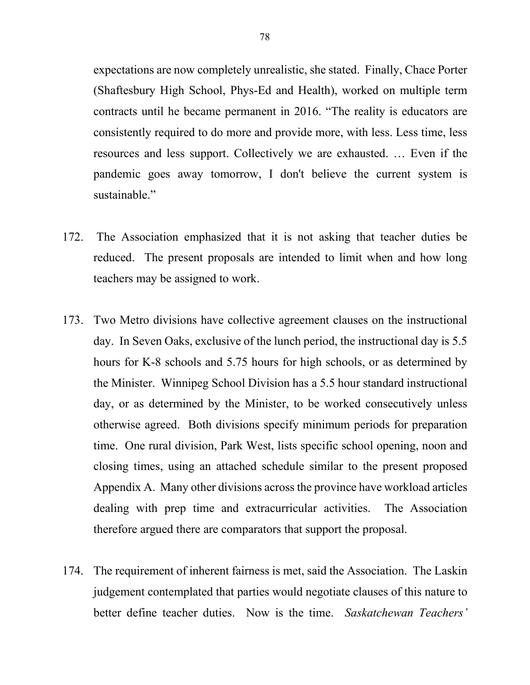expectations are now completely unrealistic, she stated. Finally, Chace Porter (Shaftesbury High School, Phys-Ed and Health), worked on multiple term contracts until he became permanent in 2016. "The reality is educators are consistently required to do more and provide more, with less. Less time, less resources and less support. Collectively we are exhausted. … Even if the pandemic goes away tomorrow, I don't believe the current system is sustainable."

- 172. The Association emphasized that it is not asking that teacher duties be reduced. The present proposals are intended to limit when and how long teachers may be assigned to work.
- 173. Two Metro divisions have collective agreement clauses on the instructional day. In Seven Oaks, exclusive of the lunch period, the instructional day is 5.5 hours for K-8 schools and 5.75 hours for high schools, or as determined by the Minister. Winnipeg School Division has a 5.5 hour standard instructional day, or as determined by the Minister, to be worked consecutively unless otherwise agreed. Both divisions specify minimum periods for preparation time. One rural division, Park West, lists specific school opening, noon and closing times, using an attached schedule similar to the present proposed Appendix A. Many other divisions across the province have workload articles dealing with prep time and extracurricular activities. The Association therefore argued there are comparators that support the proposal.
- 174. The requirement of inherent fairness is met, said the Association. The Laskin judgement contemplated that parties would negotiate clauses of this nature to better define teacher duties. Now is the time. *Saskatchewan Teachers'*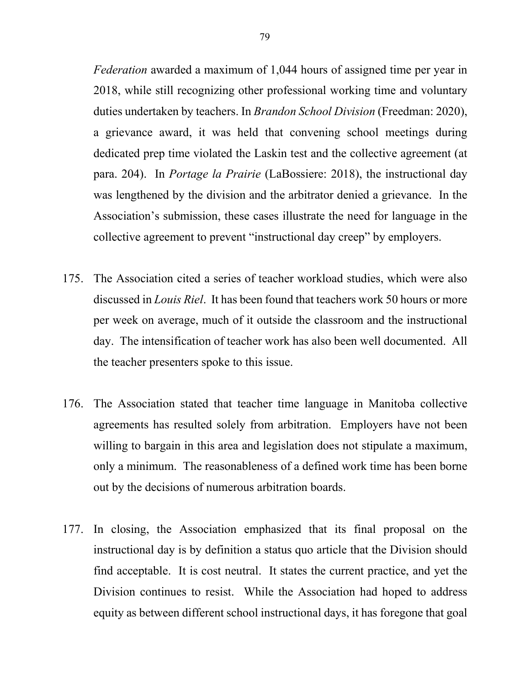*Federation* awarded a maximum of 1,044 hours of assigned time per year in 2018, while still recognizing other professional working time and voluntary duties undertaken by teachers. In *Brandon School Division* (Freedman: 2020), a grievance award, it was held that convening school meetings during dedicated prep time violated the Laskin test and the collective agreement (at para. 204). In *Portage la Prairie* (LaBossiere: 2018), the instructional day was lengthened by the division and the arbitrator denied a grievance. In the Association's submission, these cases illustrate the need for language in the collective agreement to prevent "instructional day creep" by employers.

- 175. The Association cited a series of teacher workload studies, which were also discussed in *Louis Riel*. It has been found that teachers work 50 hours or more per week on average, much of it outside the classroom and the instructional day. The intensification of teacher work has also been well documented. All the teacher presenters spoke to this issue.
- 176. The Association stated that teacher time language in Manitoba collective agreements has resulted solely from arbitration. Employers have not been willing to bargain in this area and legislation does not stipulate a maximum, only a minimum. The reasonableness of a defined work time has been borne out by the decisions of numerous arbitration boards.
- 177. In closing, the Association emphasized that its final proposal on the instructional day is by definition a status quo article that the Division should find acceptable. It is cost neutral. It states the current practice, and yet the Division continues to resist. While the Association had hoped to address equity as between different school instructional days, it has foregone that goal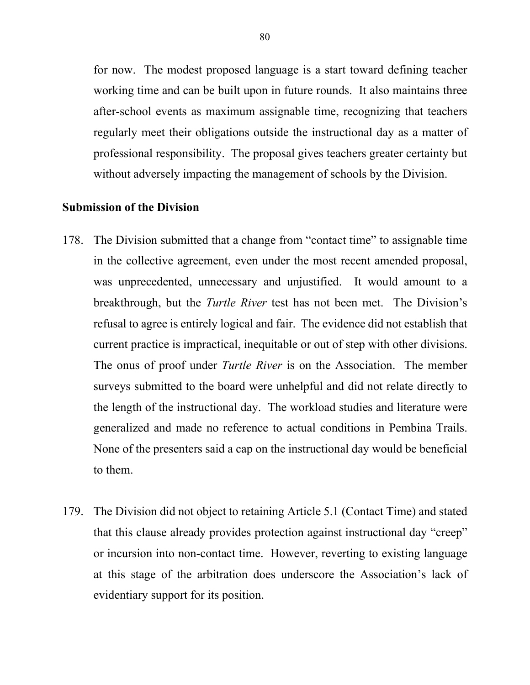for now. The modest proposed language is a start toward defining teacher working time and can be built upon in future rounds. It also maintains three after-school events as maximum assignable time, recognizing that teachers regularly meet their obligations outside the instructional day as a matter of professional responsibility. The proposal gives teachers greater certainty but without adversely impacting the management of schools by the Division.

### **Submission of the Division**

- 178. The Division submitted that a change from "contact time" to assignable time in the collective agreement, even under the most recent amended proposal, was unprecedented, unnecessary and unjustified. It would amount to a breakthrough, but the *Turtle River* test has not been met. The Division's refusal to agree is entirely logical and fair. The evidence did not establish that current practice is impractical, inequitable or out of step with other divisions. The onus of proof under *Turtle River* is on the Association. The member surveys submitted to the board were unhelpful and did not relate directly to the length of the instructional day. The workload studies and literature were generalized and made no reference to actual conditions in Pembina Trails. None of the presenters said a cap on the instructional day would be beneficial to them.
- 179. The Division did not object to retaining Article 5.1 (Contact Time) and stated that this clause already provides protection against instructional day "creep" or incursion into non-contact time. However, reverting to existing language at this stage of the arbitration does underscore the Association's lack of evidentiary support for its position.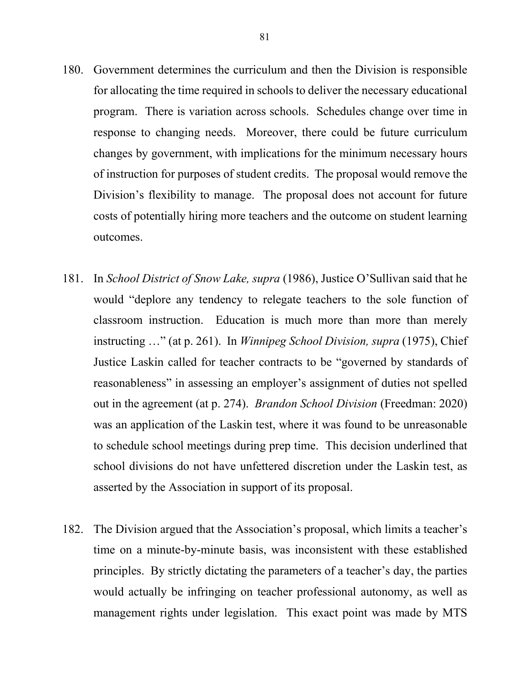- 180. Government determines the curriculum and then the Division is responsible for allocating the time required in schools to deliver the necessary educational program. There is variation across schools. Schedules change over time in response to changing needs. Moreover, there could be future curriculum changes by government, with implications for the minimum necessary hours of instruction for purposes of student credits. The proposal would remove the Division's flexibility to manage. The proposal does not account for future costs of potentially hiring more teachers and the outcome on student learning outcomes.
- 181. In *School District of Snow Lake, supra* (1986), Justice O'Sullivan said that he would "deplore any tendency to relegate teachers to the sole function of classroom instruction. Education is much more than more than merely instructing …" (at p. 261). In *Winnipeg School Division, supra* (1975), Chief Justice Laskin called for teacher contracts to be "governed by standards of reasonableness" in assessing an employer's assignment of duties not spelled out in the agreement (at p. 274). *Brandon School Division* (Freedman: 2020) was an application of the Laskin test, where it was found to be unreasonable to schedule school meetings during prep time. This decision underlined that school divisions do not have unfettered discretion under the Laskin test, as asserted by the Association in support of its proposal.
- 182. The Division argued that the Association's proposal, which limits a teacher's time on a minute-by-minute basis, was inconsistent with these established principles. By strictly dictating the parameters of a teacher's day, the parties would actually be infringing on teacher professional autonomy, as well as management rights under legislation. This exact point was made by MTS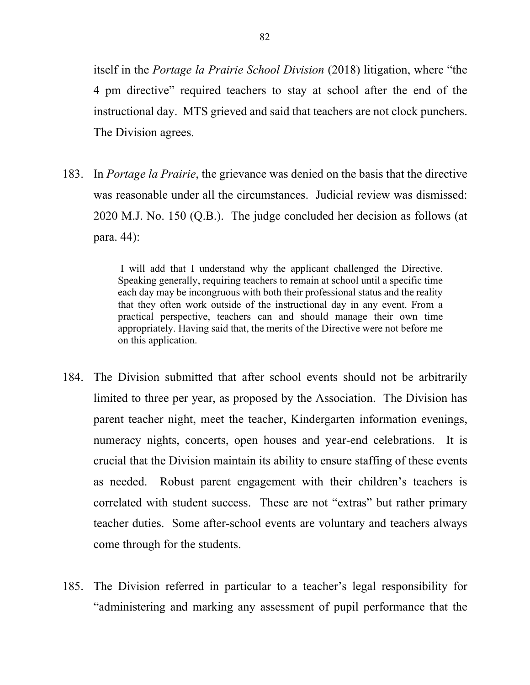itself in the *Portage la Prairie School Division* (2018) litigation, where "the 4 pm directive" required teachers to stay at school after the end of the instructional day. MTS grieved and said that teachers are not clock punchers. The Division agrees.

183. In *Portage la Prairie*, the grievance was denied on the basis that the directive was reasonable under all the circumstances. Judicial review was dismissed: 2020 M.J. No. 150 (Q.B.). The judge concluded her decision as follows (at para. 44):

> I will add that I understand why the applicant challenged the Directive. Speaking generally, requiring teachers to remain at school until a specific time each day may be incongruous with both their professional status and the reality that they often work outside of the instructional day in any event. From a practical perspective, teachers can and should manage their own time appropriately. Having said that, the merits of the Directive were not before me on this application.

- 184. The Division submitted that after school events should not be arbitrarily limited to three per year, as proposed by the Association. The Division has parent teacher night, meet the teacher, Kindergarten information evenings, numeracy nights, concerts, open houses and year-end celebrations. It is crucial that the Division maintain its ability to ensure staffing of these events as needed. Robust parent engagement with their children's teachers is correlated with student success. These are not "extras" but rather primary teacher duties. Some after-school events are voluntary and teachers always come through for the students.
- 185. The Division referred in particular to a teacher's legal responsibility for "administering and marking any assessment of pupil performance that the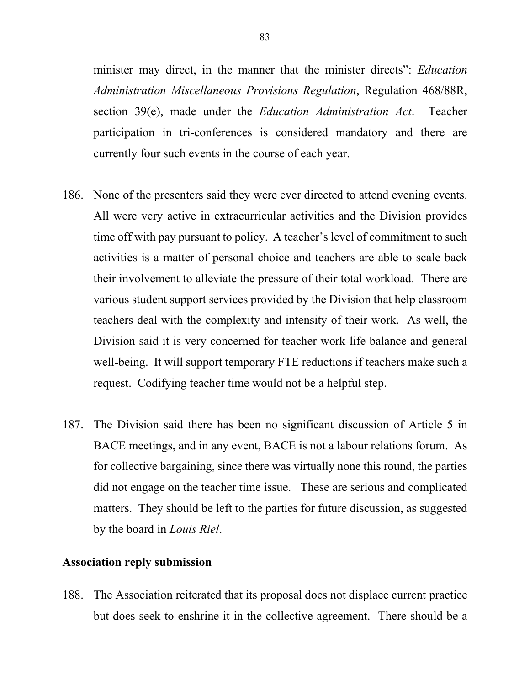minister may direct, in the manner that the minister directs": *Education Administration Miscellaneous Provisions Regulation*, Regulation 468/88R, section 39(e), made under the *Education Administration Act*. Teacher participation in tri-conferences is considered mandatory and there are currently four such events in the course of each year.

- 186. None of the presenters said they were ever directed to attend evening events. All were very active in extracurricular activities and the Division provides time off with pay pursuant to policy. A teacher's level of commitment to such activities is a matter of personal choice and teachers are able to scale back their involvement to alleviate the pressure of their total workload. There are various student support services provided by the Division that help classroom teachers deal with the complexity and intensity of their work. As well, the Division said it is very concerned for teacher work-life balance and general well-being. It will support temporary FTE reductions if teachers make such a request. Codifying teacher time would not be a helpful step.
- 187. The Division said there has been no significant discussion of Article 5 in BACE meetings, and in any event, BACE is not a labour relations forum. As for collective bargaining, since there was virtually none this round, the parties did not engage on the teacher time issue. These are serious and complicated matters. They should be left to the parties for future discussion, as suggested by the board in *Louis Riel*.

## **Association reply submission**

188. The Association reiterated that its proposal does not displace current practice but does seek to enshrine it in the collective agreement. There should be a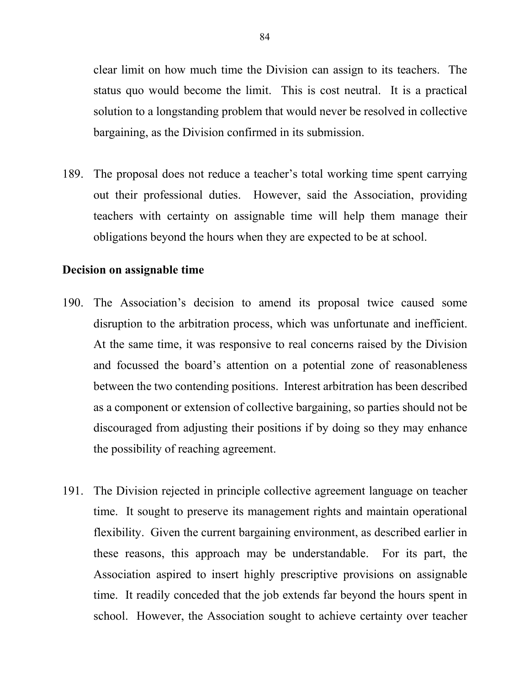clear limit on how much time the Division can assign to its teachers. The status quo would become the limit. This is cost neutral. It is a practical solution to a longstanding problem that would never be resolved in collective bargaining, as the Division confirmed in its submission.

189. The proposal does not reduce a teacher's total working time spent carrying out their professional duties. However, said the Association, providing teachers with certainty on assignable time will help them manage their obligations beyond the hours when they are expected to be at school.

### **Decision on assignable time**

- 190. The Association's decision to amend its proposal twice caused some disruption to the arbitration process, which was unfortunate and inefficient. At the same time, it was responsive to real concerns raised by the Division and focussed the board's attention on a potential zone of reasonableness between the two contending positions. Interest arbitration has been described as a component or extension of collective bargaining, so parties should not be discouraged from adjusting their positions if by doing so they may enhance the possibility of reaching agreement.
- 191. The Division rejected in principle collective agreement language on teacher time. It sought to preserve its management rights and maintain operational flexibility. Given the current bargaining environment, as described earlier in these reasons, this approach may be understandable. For its part, the Association aspired to insert highly prescriptive provisions on assignable time. It readily conceded that the job extends far beyond the hours spent in school. However, the Association sought to achieve certainty over teacher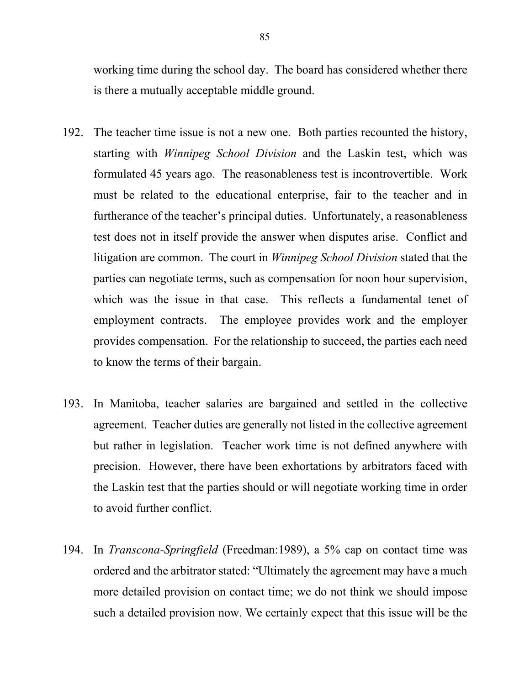working time during the school day. The board has considered whether there is there a mutually acceptable middle ground.

- 192. The teacher time issue is not a new one. Both parties recounted the history, starting with *Winnipeg School Division* and the Laskin test, which was formulated 45 years ago. The reasonableness test is incontrovertible. Work must be related to the educational enterprise, fair to the teacher and in furtherance of the teacher's principal duties. Unfortunately, a reasonableness test does not in itself provide the answer when disputes arise. Conflict and litigation are common. The court in *Winnipeg School Division* stated that the parties can negotiate terms, such as compensation for noon hour supervision, which was the issue in that case. This reflects a fundamental tenet of employment contracts. The employee provides work and the employer provides compensation. For the relationship to succeed, the parties each need to know the terms of their bargain.
- 193. In Manitoba, teacher salaries are bargained and settled in the collective agreement. Teacher duties are generally not listed in the collective agreement but rather in legislation. Teacher work time is not defined anywhere with precision. However, there have been exhortations by arbitrators faced with the Laskin test that the parties should or will negotiate working time in order to avoid further conflict.
- 194. In *Transcona-Springfield* (Freedman:1989), a 5% cap on contact time was ordered and the arbitrator stated: "Ultimately the agreement may have a much more detailed provision on contact time; we do not think we should impose such a detailed provision now. We certainly expect that this issue will be the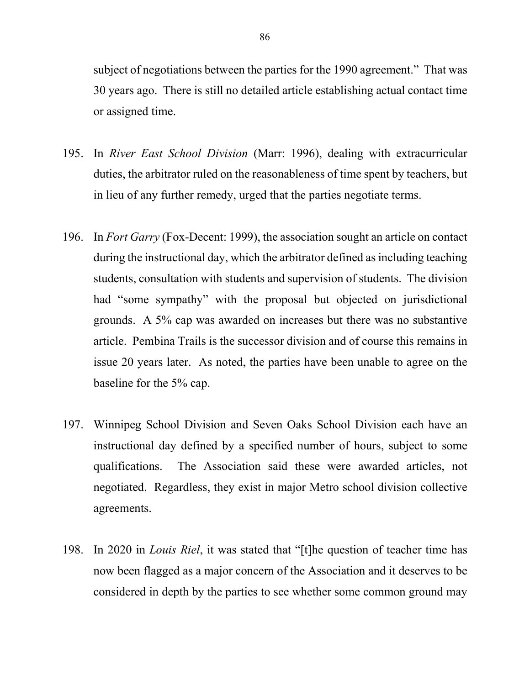subject of negotiations between the parties for the 1990 agreement." That was 30 years ago. There is still no detailed article establishing actual contact time or assigned time.

- 195. In *River East School Division* (Marr: 1996), dealing with extracurricular duties, the arbitrator ruled on the reasonableness of time spent by teachers, but in lieu of any further remedy, urged that the parties negotiate terms.
- 196. In *Fort Garry* (Fox-Decent: 1999), the association sought an article on contact during the instructional day, which the arbitrator defined as including teaching students, consultation with students and supervision of students. The division had "some sympathy" with the proposal but objected on jurisdictional grounds. A 5% cap was awarded on increases but there was no substantive article. Pembina Trails is the successor division and of course this remains in issue 20 years later. As noted, the parties have been unable to agree on the baseline for the 5% cap.
- 197. Winnipeg School Division and Seven Oaks School Division each have an instructional day defined by a specified number of hours, subject to some qualifications. The Association said these were awarded articles, not negotiated. Regardless, they exist in major Metro school division collective agreements.
- 198. In 2020 in *Louis Riel*, it was stated that "[t]he question of teacher time has now been flagged as a major concern of the Association and it deserves to be considered in depth by the parties to see whether some common ground may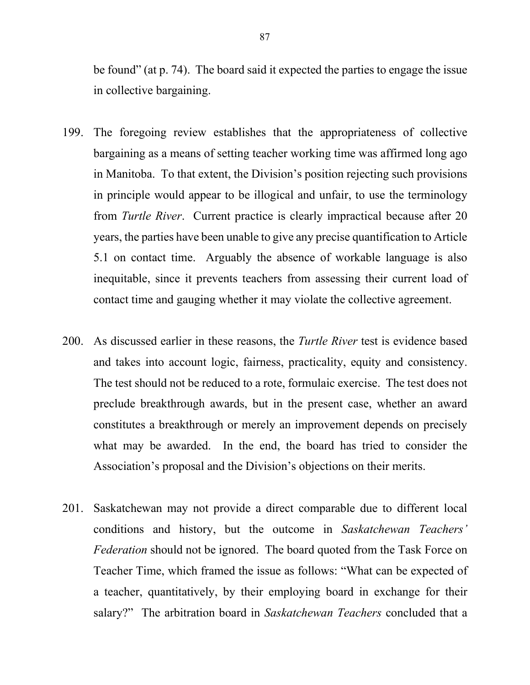be found" (at p. 74). The board said it expected the parties to engage the issue in collective bargaining.

- 199. The foregoing review establishes that the appropriateness of collective bargaining as a means of setting teacher working time was affirmed long ago in Manitoba. To that extent, the Division's position rejecting such provisions in principle would appear to be illogical and unfair, to use the terminology from *Turtle River*. Current practice is clearly impractical because after 20 years, the parties have been unable to give any precise quantification to Article 5.1 on contact time. Arguably the absence of workable language is also inequitable, since it prevents teachers from assessing their current load of contact time and gauging whether it may violate the collective agreement.
- 200. As discussed earlier in these reasons, the *Turtle River* test is evidence based and takes into account logic, fairness, practicality, equity and consistency. The test should not be reduced to a rote, formulaic exercise. The test does not preclude breakthrough awards, but in the present case, whether an award constitutes a breakthrough or merely an improvement depends on precisely what may be awarded. In the end, the board has tried to consider the Association's proposal and the Division's objections on their merits.
- 201. Saskatchewan may not provide a direct comparable due to different local conditions and history, but the outcome in *Saskatchewan Teachers' Federation* should not be ignored. The board quoted from the Task Force on Teacher Time, which framed the issue as follows: "What can be expected of a teacher, quantitatively, by their employing board in exchange for their salary?" The arbitration board in *Saskatchewan Teachers* concluded that a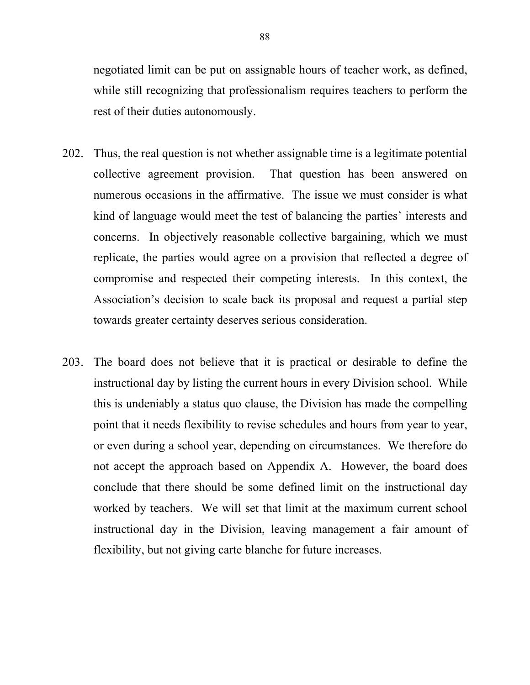negotiated limit can be put on assignable hours of teacher work, as defined, while still recognizing that professionalism requires teachers to perform the rest of their duties autonomously.

- 202. Thus, the real question is not whether assignable time is a legitimate potential collective agreement provision. That question has been answered on numerous occasions in the affirmative. The issue we must consider is what kind of language would meet the test of balancing the parties' interests and concerns. In objectively reasonable collective bargaining, which we must replicate, the parties would agree on a provision that reflected a degree of compromise and respected their competing interests. In this context, the Association's decision to scale back its proposal and request a partial step towards greater certainty deserves serious consideration.
- 203. The board does not believe that it is practical or desirable to define the instructional day by listing the current hours in every Division school. While this is undeniably a status quo clause, the Division has made the compelling point that it needs flexibility to revise schedules and hours from year to year, or even during a school year, depending on circumstances. We therefore do not accept the approach based on Appendix A. However, the board does conclude that there should be some defined limit on the instructional day worked by teachers. We will set that limit at the maximum current school instructional day in the Division, leaving management a fair amount of flexibility, but not giving carte blanche for future increases.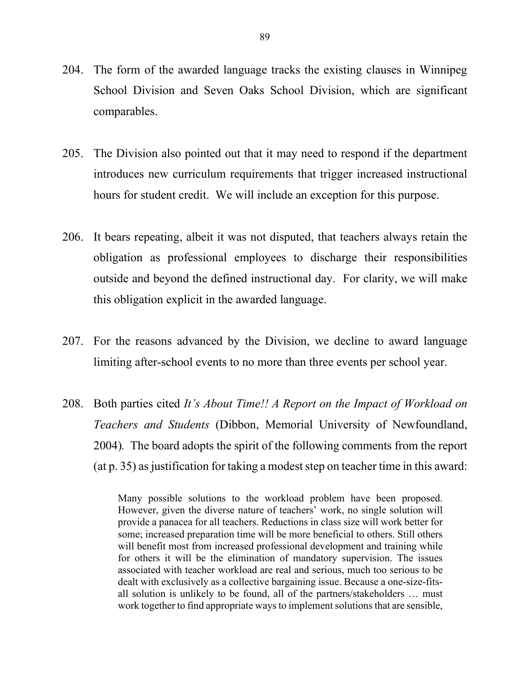- 204. The form of the awarded language tracks the existing clauses in Winnipeg School Division and Seven Oaks School Division, which are significant comparables.
- 205. The Division also pointed out that it may need to respond if the department introduces new curriculum requirements that trigger increased instructional hours for student credit. We will include an exception for this purpose.
- 206. It bears repeating, albeit it was not disputed, that teachers always retain the obligation as professional employees to discharge their responsibilities outside and beyond the defined instructional day. For clarity, we will make this obligation explicit in the awarded language.
- 207. For the reasons advanced by the Division, we decline to award language limiting after-school events to no more than three events per school year.
- 208. Both parties cited *It's About Time!! A Report on the Impact of Workload on Teachers and Students* (Dibbon, Memorial University of Newfoundland, 2004)*.* The board adopts the spirit of the following comments from the report (at p. 35) as justification for taking a modest step on teacher time in this award:

Many possible solutions to the workload problem have been proposed. However, given the diverse nature of teachers' work, no single solution will provide a panacea for all teachers. Reductions in class size will work better for some; increased preparation time will be more beneficial to others. Still others will benefit most from increased professional development and training while for others it will be the elimination of mandatory supervision. The issues associated with teacher workload are real and serious, much too serious to be dealt with exclusively as a collective bargaining issue. Because a one-size-fitsall solution is unlikely to be found, all of the partners/stakeholders … must work together to find appropriate ways to implement solutions that are sensible,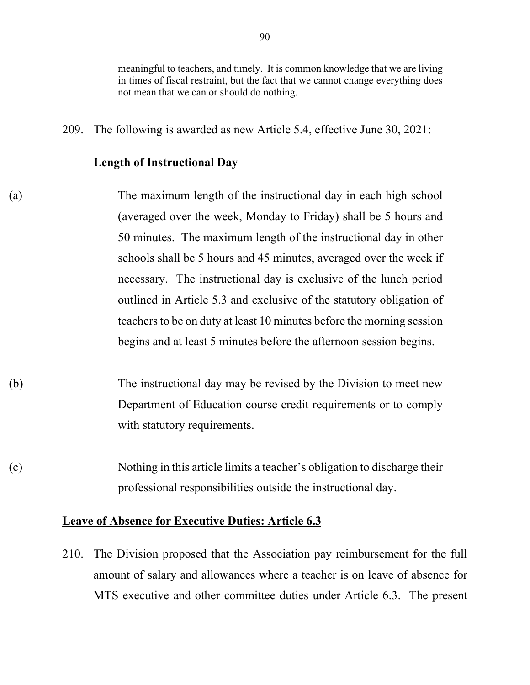meaningful to teachers, and timely. It is common knowledge that we are living in times of fiscal restraint, but the fact that we cannot change everything does not mean that we can or should do nothing.

209. The following is awarded as new Article 5.4, effective June 30, 2021:

#### **Length of Instructional Day**

- (a) The maximum length of the instructional day in each high school (averaged over the week, Monday to Friday) shall be 5 hours and 50 minutes. The maximum length of the instructional day in other schools shall be 5 hours and 45 minutes, averaged over the week if necessary. The instructional day is exclusive of the lunch period outlined in Article 5.3 and exclusive of the statutory obligation of teachers to be on duty at least 10 minutes before the morning session begins and at least 5 minutes before the afternoon session begins.
- (b) The instructional day may be revised by the Division to meet new Department of Education course credit requirements or to comply with statutory requirements.
- (c) Nothing in this article limits a teacher's obligation to discharge their professional responsibilities outside the instructional day.

## **Leave of Absence for Executive Duties: Article 6.3**

210. The Division proposed that the Association pay reimbursement for the full amount of salary and allowances where a teacher is on leave of absence for MTS executive and other committee duties under Article 6.3. The present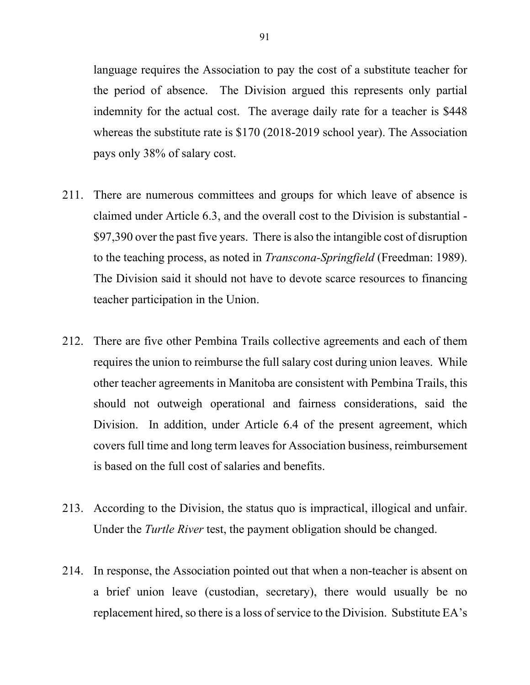language requires the Association to pay the cost of a substitute teacher for the period of absence. The Division argued this represents only partial indemnity for the actual cost. The average daily rate for a teacher is \$448 whereas the substitute rate is \$170 (2018-2019 school year). The Association pays only 38% of salary cost.

- 211. There are numerous committees and groups for which leave of absence is claimed under Article 6.3, and the overall cost to the Division is substantial - \$97,390 over the past five years. There is also the intangible cost of disruption to the teaching process, as noted in *Transcona-Springfield* (Freedman: 1989). The Division said it should not have to devote scarce resources to financing teacher participation in the Union.
- 212. There are five other Pembina Trails collective agreements and each of them requires the union to reimburse the full salary cost during union leaves. While other teacher agreements in Manitoba are consistent with Pembina Trails, this should not outweigh operational and fairness considerations, said the Division. In addition, under Article 6.4 of the present agreement, which covers full time and long term leaves for Association business, reimbursement is based on the full cost of salaries and benefits.
- 213. According to the Division, the status quo is impractical, illogical and unfair. Under the *Turtle River* test, the payment obligation should be changed.
- 214. In response, the Association pointed out that when a non-teacher is absent on a brief union leave (custodian, secretary), there would usually be no replacement hired, so there is a loss of service to the Division. Substitute EA's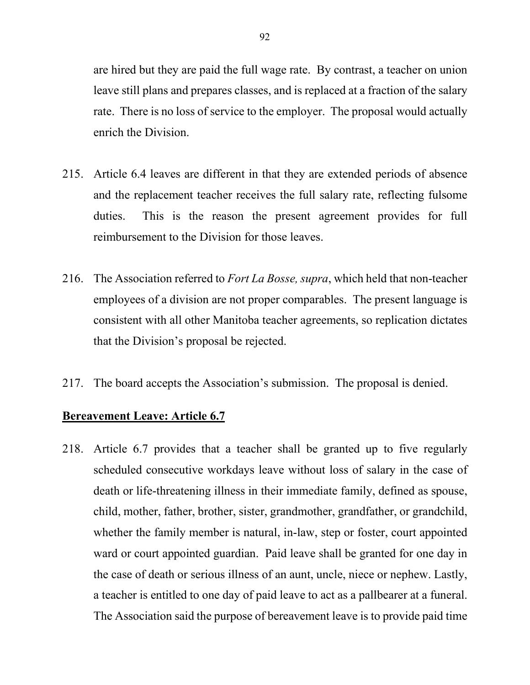are hired but they are paid the full wage rate. By contrast, a teacher on union leave still plans and prepares classes, and is replaced at a fraction of the salary rate. There is no loss of service to the employer. The proposal would actually enrich the Division.

- 215. Article 6.4 leaves are different in that they are extended periods of absence and the replacement teacher receives the full salary rate, reflecting fulsome duties. This is the reason the present agreement provides for full reimbursement to the Division for those leaves.
- 216. The Association referred to *Fort La Bosse, supra*, which held that non-teacher employees of a division are not proper comparables. The present language is consistent with all other Manitoba teacher agreements, so replication dictates that the Division's proposal be rejected.
- 217. The board accepts the Association's submission. The proposal is denied.

### **Bereavement Leave: Article 6.7**

218. Article 6.7 provides that a teacher shall be granted up to five regularly scheduled consecutive workdays leave without loss of salary in the case of death or life-threatening illness in their immediate family, defined as spouse, child, mother, father, brother, sister, grandmother, grandfather, or grandchild, whether the family member is natural, in-law, step or foster, court appointed ward or court appointed guardian. Paid leave shall be granted for one day in the case of death or serious illness of an aunt, uncle, niece or nephew. Lastly, a teacher is entitled to one day of paid leave to act as a pallbearer at a funeral. The Association said the purpose of bereavement leave is to provide paid time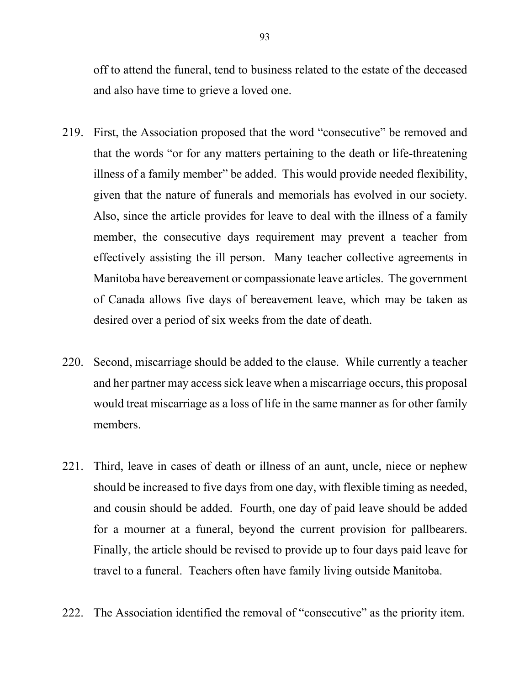off to attend the funeral, tend to business related to the estate of the deceased and also have time to grieve a loved one.

- 219. First, the Association proposed that the word "consecutive" be removed and that the words "or for any matters pertaining to the death or life-threatening illness of a family member" be added. This would provide needed flexibility, given that the nature of funerals and memorials has evolved in our society. Also, since the article provides for leave to deal with the illness of a family member, the consecutive days requirement may prevent a teacher from effectively assisting the ill person. Many teacher collective agreements in Manitoba have bereavement or compassionate leave articles. The government of Canada allows five days of bereavement leave, which may be taken as desired over a period of six weeks from the date of death.
- 220. Second, miscarriage should be added to the clause. While currently a teacher and her partner may access sick leave when a miscarriage occurs, this proposal would treat miscarriage as a loss of life in the same manner as for other family members.
- 221. Third, leave in cases of death or illness of an aunt, uncle, niece or nephew should be increased to five days from one day, with flexible timing as needed, and cousin should be added. Fourth, one day of paid leave should be added for a mourner at a funeral, beyond the current provision for pallbearers. Finally, the article should be revised to provide up to four days paid leave for travel to a funeral. Teachers often have family living outside Manitoba.
- 222. The Association identified the removal of "consecutive" as the priority item.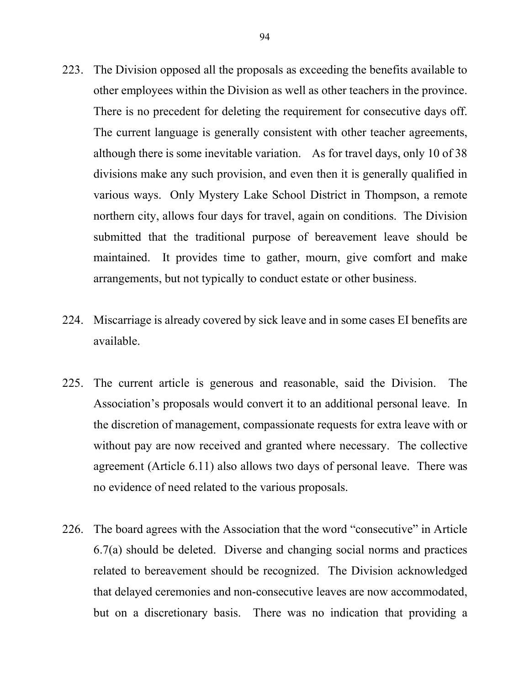- 223. The Division opposed all the proposals as exceeding the benefits available to other employees within the Division as well as other teachers in the province. There is no precedent for deleting the requirement for consecutive days off. The current language is generally consistent with other teacher agreements, although there is some inevitable variation. As for travel days, only 10 of 38 divisions make any such provision, and even then it is generally qualified in various ways. Only Mystery Lake School District in Thompson, a remote northern city, allows four days for travel, again on conditions. The Division submitted that the traditional purpose of bereavement leave should be maintained. It provides time to gather, mourn, give comfort and make arrangements, but not typically to conduct estate or other business.
- 224. Miscarriage is already covered by sick leave and in some cases EI benefits are available.
- 225. The current article is generous and reasonable, said the Division. The Association's proposals would convert it to an additional personal leave. In the discretion of management, compassionate requests for extra leave with or without pay are now received and granted where necessary. The collective agreement (Article 6.11) also allows two days of personal leave. There was no evidence of need related to the various proposals.
- 226. The board agrees with the Association that the word "consecutive" in Article 6.7(a) should be deleted. Diverse and changing social norms and practices related to bereavement should be recognized. The Division acknowledged that delayed ceremonies and non-consecutive leaves are now accommodated, but on a discretionary basis. There was no indication that providing a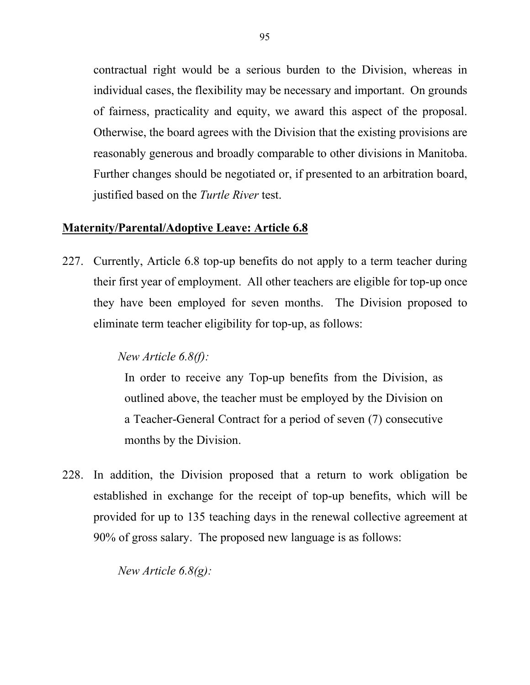contractual right would be a serious burden to the Division, whereas in individual cases, the flexibility may be necessary and important. On grounds of fairness, practicality and equity, we award this aspect of the proposal. Otherwise, the board agrees with the Division that the existing provisions are reasonably generous and broadly comparable to other divisions in Manitoba. Further changes should be negotiated or, if presented to an arbitration board, justified based on the *Turtle River* test.

## **Maternity/Parental/Adoptive Leave: Article 6.8**

227. Currently, Article 6.8 top-up benefits do not apply to a term teacher during their first year of employment. All other teachers are eligible for top-up once they have been employed for seven months. The Division proposed to eliminate term teacher eligibility for top-up, as follows:

# *New Article 6.8(f):*

In order to receive any Top-up benefits from the Division, as outlined above, the teacher must be employed by the Division on a Teacher-General Contract for a period of seven (7) consecutive months by the Division.

228. In addition, the Division proposed that a return to work obligation be established in exchange for the receipt of top-up benefits, which will be provided for up to 135 teaching days in the renewal collective agreement at 90% of gross salary. The proposed new language is as follows:

*New Article 6.8(g):*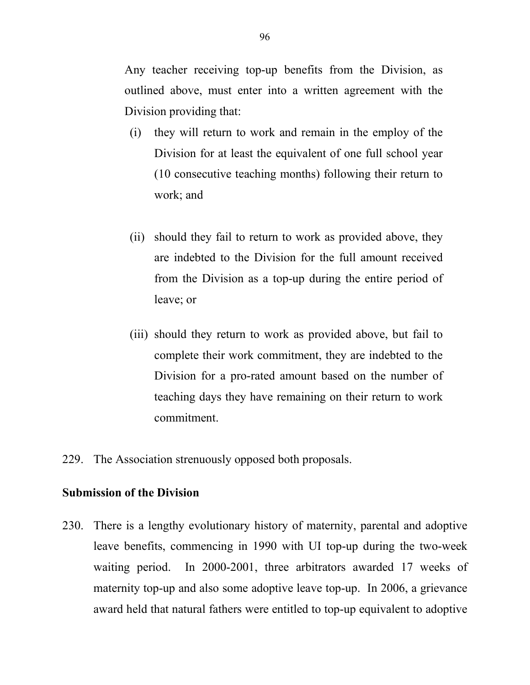Any teacher receiving top-up benefits from the Division, as outlined above, must enter into a written agreement with the Division providing that:

- (i) they will return to work and remain in the employ of the Division for at least the equivalent of one full school year (10 consecutive teaching months) following their return to work; and
- (ii) should they fail to return to work as provided above, they are indebted to the Division for the full amount received from the Division as a top-up during the entire period of leave; or
- (iii) should they return to work as provided above, but fail to complete their work commitment, they are indebted to the Division for a pro-rated amount based on the number of teaching days they have remaining on their return to work commitment.
- 229. The Association strenuously opposed both proposals.

### **Submission of the Division**

230. There is a lengthy evolutionary history of maternity, parental and adoptive leave benefits, commencing in 1990 with UI top-up during the two-week waiting period. In 2000-2001, three arbitrators awarded 17 weeks of maternity top-up and also some adoptive leave top-up. In 2006, a grievance award held that natural fathers were entitled to top-up equivalent to adoptive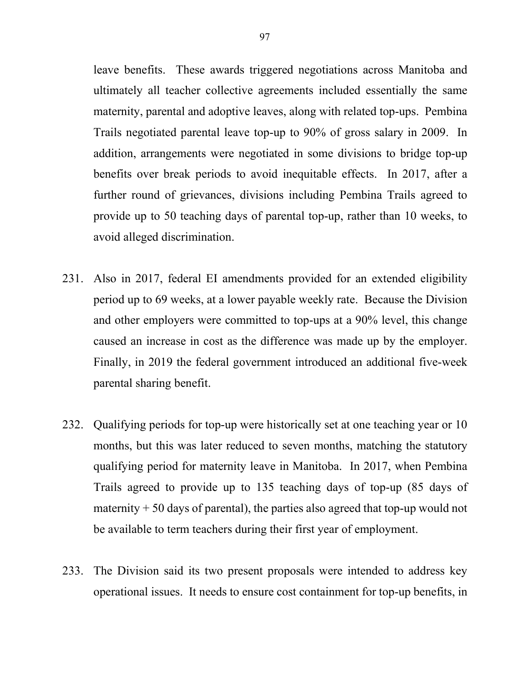leave benefits. These awards triggered negotiations across Manitoba and ultimately all teacher collective agreements included essentially the same maternity, parental and adoptive leaves, along with related top-ups. Pembina Trails negotiated parental leave top-up to 90% of gross salary in 2009. In addition, arrangements were negotiated in some divisions to bridge top-up benefits over break periods to avoid inequitable effects. In 2017, after a further round of grievances, divisions including Pembina Trails agreed to provide up to 50 teaching days of parental top-up, rather than 10 weeks, to avoid alleged discrimination.

- 231. Also in 2017, federal EI amendments provided for an extended eligibility period up to 69 weeks, at a lower payable weekly rate. Because the Division and other employers were committed to top-ups at a 90% level, this change caused an increase in cost as the difference was made up by the employer. Finally, in 2019 the federal government introduced an additional five-week parental sharing benefit.
- 232. Qualifying periods for top-up were historically set at one teaching year or 10 months, but this was later reduced to seven months, matching the statutory qualifying period for maternity leave in Manitoba. In 2017, when Pembina Trails agreed to provide up to 135 teaching days of top-up (85 days of maternity  $+50$  days of parental), the parties also agreed that top-up would not be available to term teachers during their first year of employment.
- 233. The Division said its two present proposals were intended to address key operational issues. It needs to ensure cost containment for top-up benefits, in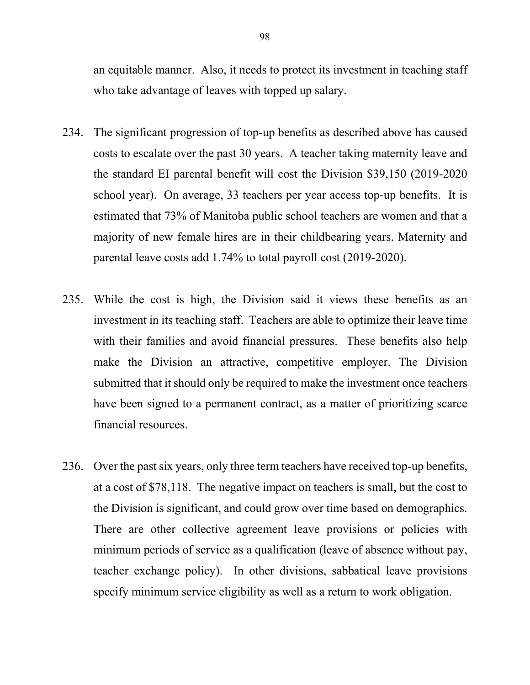an equitable manner. Also, it needs to protect its investment in teaching staff who take advantage of leaves with topped up salary.

- 234. The significant progression of top-up benefits as described above has caused costs to escalate over the past 30 years. A teacher taking maternity leave and the standard EI parental benefit will cost the Division \$39,150 (2019-2020 school year). On average, 33 teachers per year access top-up benefits. It is estimated that 73% of Manitoba public school teachers are women and that a majority of new female hires are in their childbearing years. Maternity and parental leave costs add 1.74% to total payroll cost (2019-2020).
- 235. While the cost is high, the Division said it views these benefits as an investment in its teaching staff. Teachers are able to optimize their leave time with their families and avoid financial pressures. These benefits also help make the Division an attractive, competitive employer. The Division submitted that it should only be required to make the investment once teachers have been signed to a permanent contract, as a matter of prioritizing scarce financial resources.
- 236. Over the past six years, only three term teachers have received top-up benefits, at a cost of \$78,118. The negative impact on teachers is small, but the cost to the Division is significant, and could grow over time based on demographics. There are other collective agreement leave provisions or policies with minimum periods of service as a qualification (leave of absence without pay, teacher exchange policy). In other divisions, sabbatical leave provisions specify minimum service eligibility as well as a return to work obligation.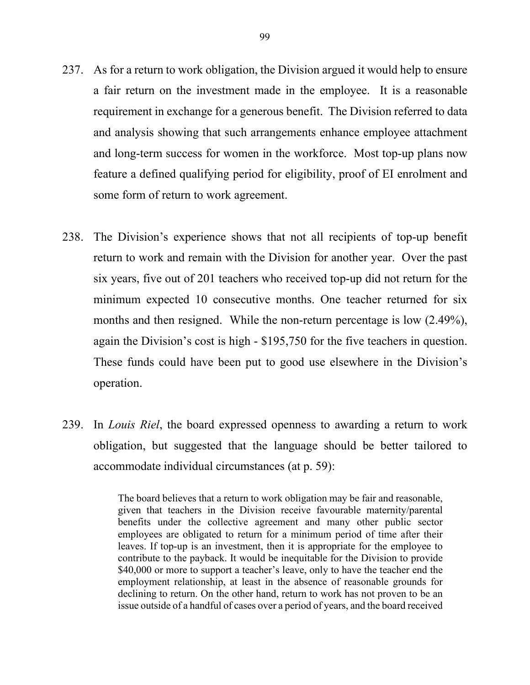- 237. As for a return to work obligation, the Division argued it would help to ensure a fair return on the investment made in the employee. It is a reasonable requirement in exchange for a generous benefit. The Division referred to data and analysis showing that such arrangements enhance employee attachment and long-term success for women in the workforce. Most top-up plans now feature a defined qualifying period for eligibility, proof of EI enrolment and some form of return to work agreement.
- 238. The Division's experience shows that not all recipients of top-up benefit return to work and remain with the Division for another year. Over the past six years, five out of 201 teachers who received top-up did not return for the minimum expected 10 consecutive months. One teacher returned for six months and then resigned. While the non-return percentage is low (2.49%), again the Division's cost is high - \$195,750 for the five teachers in question. These funds could have been put to good use elsewhere in the Division's operation.
- 239. In *Louis Riel*, the board expressed openness to awarding a return to work obligation, but suggested that the language should be better tailored to accommodate individual circumstances (at p. 59):

The board believes that a return to work obligation may be fair and reasonable, given that teachers in the Division receive favourable maternity/parental benefits under the collective agreement and many other public sector employees are obligated to return for a minimum period of time after their leaves. If top-up is an investment, then it is appropriate for the employee to contribute to the payback. It would be inequitable for the Division to provide \$40,000 or more to support a teacher's leave, only to have the teacher end the employment relationship, at least in the absence of reasonable grounds for declining to return. On the other hand, return to work has not proven to be an issue outside of a handful of cases over a period of years, and the board received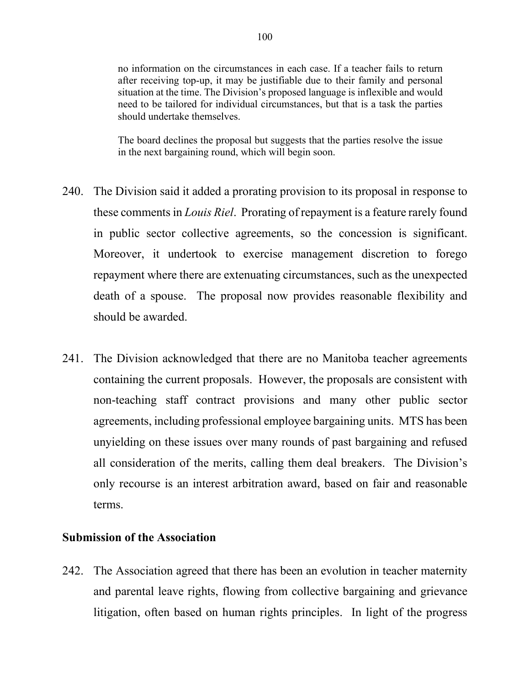no information on the circumstances in each case. If a teacher fails to return after receiving top-up, it may be justifiable due to their family and personal situation at the time. The Division's proposed language is inflexible and would need to be tailored for individual circumstances, but that is a task the parties should undertake themselves.

The board declines the proposal but suggests that the parties resolve the issue in the next bargaining round, which will begin soon.

- 240. The Division said it added a prorating provision to its proposal in response to these comments in *Louis Riel*. Prorating of repayment is a feature rarely found in public sector collective agreements, so the concession is significant. Moreover, it undertook to exercise management discretion to forego repayment where there are extenuating circumstances, such as the unexpected death of a spouse. The proposal now provides reasonable flexibility and should be awarded.
- 241. The Division acknowledged that there are no Manitoba teacher agreements containing the current proposals. However, the proposals are consistent with non-teaching staff contract provisions and many other public sector agreements, including professional employee bargaining units. MTS has been unyielding on these issues over many rounds of past bargaining and refused all consideration of the merits, calling them deal breakers. The Division's only recourse is an interest arbitration award, based on fair and reasonable terms.

### **Submission of the Association**

242. The Association agreed that there has been an evolution in teacher maternity and parental leave rights, flowing from collective bargaining and grievance litigation, often based on human rights principles. In light of the progress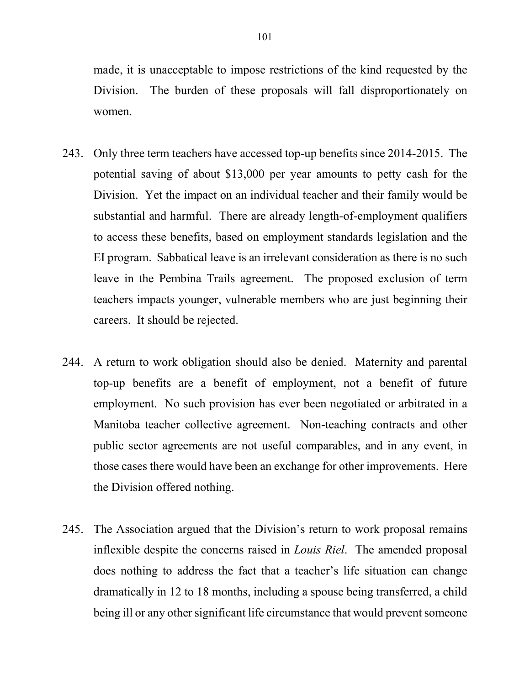made, it is unacceptable to impose restrictions of the kind requested by the Division. The burden of these proposals will fall disproportionately on women.

- 243. Only three term teachers have accessed top-up benefits since 2014-2015. The potential saving of about \$13,000 per year amounts to petty cash for the Division. Yet the impact on an individual teacher and their family would be substantial and harmful. There are already length-of-employment qualifiers to access these benefits, based on employment standards legislation and the EI program. Sabbatical leave is an irrelevant consideration as there is no such leave in the Pembina Trails agreement. The proposed exclusion of term teachers impacts younger, vulnerable members who are just beginning their careers. It should be rejected.
- 244. A return to work obligation should also be denied. Maternity and parental top-up benefits are a benefit of employment, not a benefit of future employment. No such provision has ever been negotiated or arbitrated in a Manitoba teacher collective agreement. Non-teaching contracts and other public sector agreements are not useful comparables, and in any event, in those cases there would have been an exchange for other improvements. Here the Division offered nothing.
- 245. The Association argued that the Division's return to work proposal remains inflexible despite the concerns raised in *Louis Riel*. The amended proposal does nothing to address the fact that a teacher's life situation can change dramatically in 12 to 18 months, including a spouse being transferred, a child being ill or any other significant life circumstance that would prevent someone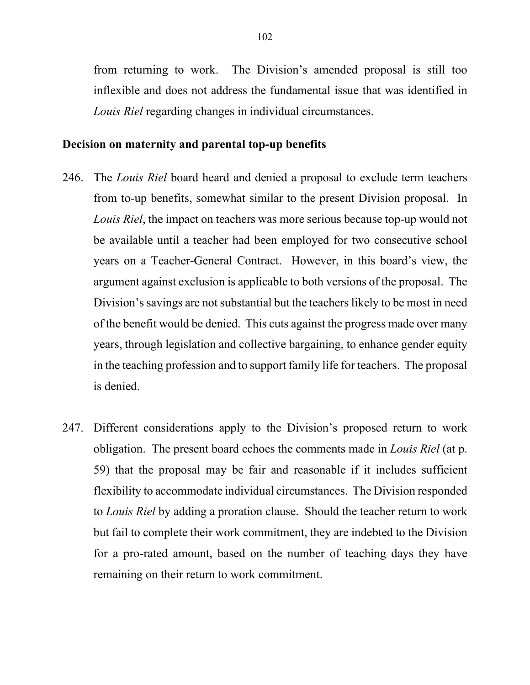from returning to work. The Division's amended proposal is still too inflexible and does not address the fundamental issue that was identified in *Louis Riel* regarding changes in individual circumstances.

#### **Decision on maternity and parental top-up benefits**

- 246. The *Louis Riel* board heard and denied a proposal to exclude term teachers from to-up benefits, somewhat similar to the present Division proposal. In *Louis Riel*, the impact on teachers was more serious because top-up would not be available until a teacher had been employed for two consecutive school years on a Teacher-General Contract. However, in this board's view, the argument against exclusion is applicable to both versions of the proposal. The Division's savings are not substantial but the teachers likely to be most in need of the benefit would be denied. This cuts against the progress made over many years, through legislation and collective bargaining, to enhance gender equity in the teaching profession and to support family life for teachers. The proposal is denied.
- 247. Different considerations apply to the Division's proposed return to work obligation. The present board echoes the comments made in *Louis Riel* (at p. 59) that the proposal may be fair and reasonable if it includes sufficient flexibility to accommodate individual circumstances. The Division responded to *Louis Riel* by adding a proration clause. Should the teacher return to work but fail to complete their work commitment, they are indebted to the Division for a pro-rated amount, based on the number of teaching days they have remaining on their return to work commitment.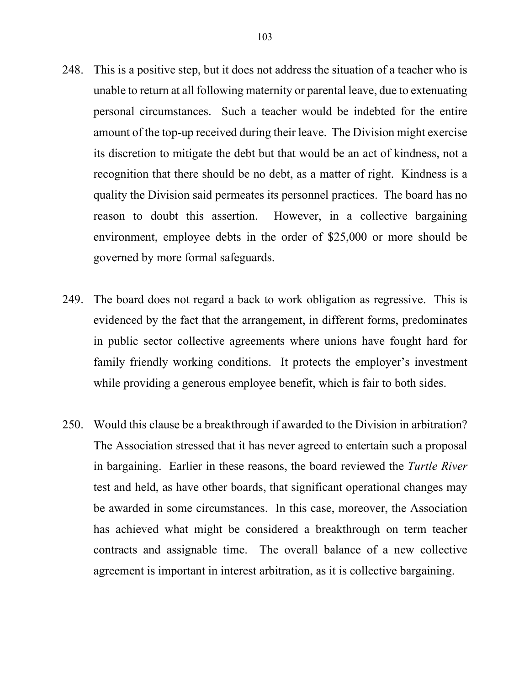- 248. This is a positive step, but it does not address the situation of a teacher who is unable to return at all following maternity or parental leave, due to extenuating personal circumstances. Such a teacher would be indebted for the entire amount of the top-up received during their leave. The Division might exercise its discretion to mitigate the debt but that would be an act of kindness, not a recognition that there should be no debt, as a matter of right. Kindness is a quality the Division said permeates its personnel practices. The board has no reason to doubt this assertion. However, in a collective bargaining environment, employee debts in the order of \$25,000 or more should be governed by more formal safeguards.
- 249. The board does not regard a back to work obligation as regressive. This is evidenced by the fact that the arrangement, in different forms, predominates in public sector collective agreements where unions have fought hard for family friendly working conditions. It protects the employer's investment while providing a generous employee benefit, which is fair to both sides.
- 250. Would this clause be a breakthrough if awarded to the Division in arbitration? The Association stressed that it has never agreed to entertain such a proposal in bargaining. Earlier in these reasons, the board reviewed the *Turtle River* test and held, as have other boards, that significant operational changes may be awarded in some circumstances. In this case, moreover, the Association has achieved what might be considered a breakthrough on term teacher contracts and assignable time. The overall balance of a new collective agreement is important in interest arbitration, as it is collective bargaining.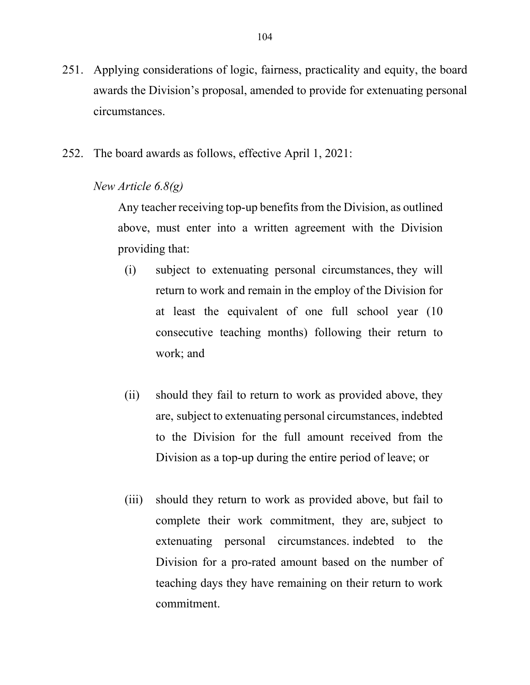- 251. Applying considerations of logic, fairness, practicality and equity, the board awards the Division's proposal, amended to provide for extenuating personal circumstances.
- 252. The board awards as follows, effective April 1, 2021:

### *New Article 6.8(g)*

Any teacher receiving top-up benefits from the Division, as outlined above, must enter into a written agreement with the Division providing that:

- (i) subject to extenuating personal circumstances, they will return to work and remain in the employ of the Division for at least the equivalent of one full school year (10 consecutive teaching months) following their return to work; and
- (ii) should they fail to return to work as provided above, they are, subject to extenuating personal circumstances, indebted to the Division for the full amount received from the Division as a top-up during the entire period of leave; or
- (iii) should they return to work as provided above, but fail to complete their work commitment, they are, subject to extenuating personal circumstances. indebted to the Division for a pro-rated amount based on the number of teaching days they have remaining on their return to work commitment.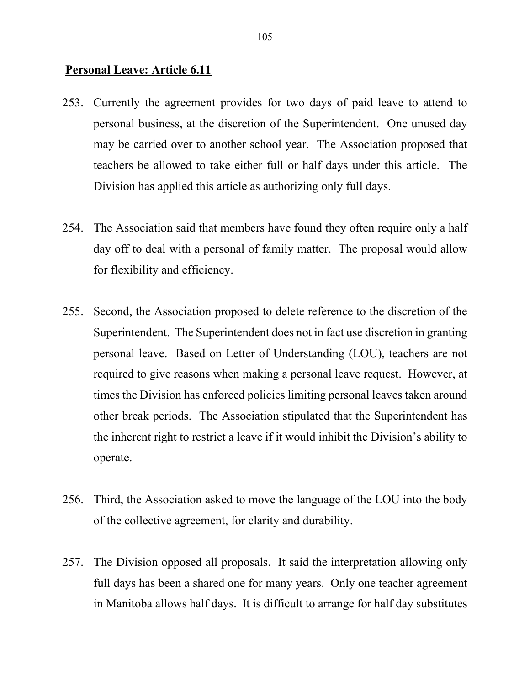# **Personal Leave: Article 6.11**

- 253. Currently the agreement provides for two days of paid leave to attend to personal business, at the discretion of the Superintendent. One unused day may be carried over to another school year. The Association proposed that teachers be allowed to take either full or half days under this article. The Division has applied this article as authorizing only full days.
- 254. The Association said that members have found they often require only a half day off to deal with a personal of family matter. The proposal would allow for flexibility and efficiency.
- 255. Second, the Association proposed to delete reference to the discretion of the Superintendent. The Superintendent does not in fact use discretion in granting personal leave. Based on Letter of Understanding (LOU), teachers are not required to give reasons when making a personal leave request. However, at times the Division has enforced policies limiting personal leaves taken around other break periods. The Association stipulated that the Superintendent has the inherent right to restrict a leave if it would inhibit the Division's ability to operate.
- 256. Third, the Association asked to move the language of the LOU into the body of the collective agreement, for clarity and durability.
- 257. The Division opposed all proposals. It said the interpretation allowing only full days has been a shared one for many years. Only one teacher agreement in Manitoba allows half days. It is difficult to arrange for half day substitutes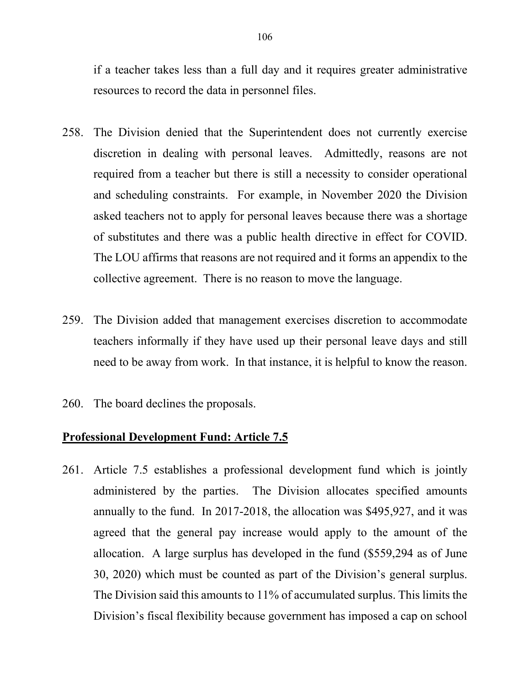if a teacher takes less than a full day and it requires greater administrative resources to record the data in personnel files.

- 258. The Division denied that the Superintendent does not currently exercise discretion in dealing with personal leaves. Admittedly, reasons are not required from a teacher but there is still a necessity to consider operational and scheduling constraints. For example, in November 2020 the Division asked teachers not to apply for personal leaves because there was a shortage of substitutes and there was a public health directive in effect for COVID. The LOU affirms that reasons are not required and it forms an appendix to the collective agreement. There is no reason to move the language.
- 259. The Division added that management exercises discretion to accommodate teachers informally if they have used up their personal leave days and still need to be away from work. In that instance, it is helpful to know the reason.
- 260. The board declines the proposals.

#### **Professional Development Fund: Article 7.5**

261. Article 7.5 establishes a professional development fund which is jointly administered by the parties. The Division allocates specified amounts annually to the fund. In 2017-2018, the allocation was \$495,927, and it was agreed that the general pay increase would apply to the amount of the allocation. A large surplus has developed in the fund (\$559,294 as of June 30, 2020) which must be counted as part of the Division's general surplus. The Division said this amounts to 11% of accumulated surplus. This limits the Division's fiscal flexibility because government has imposed a cap on school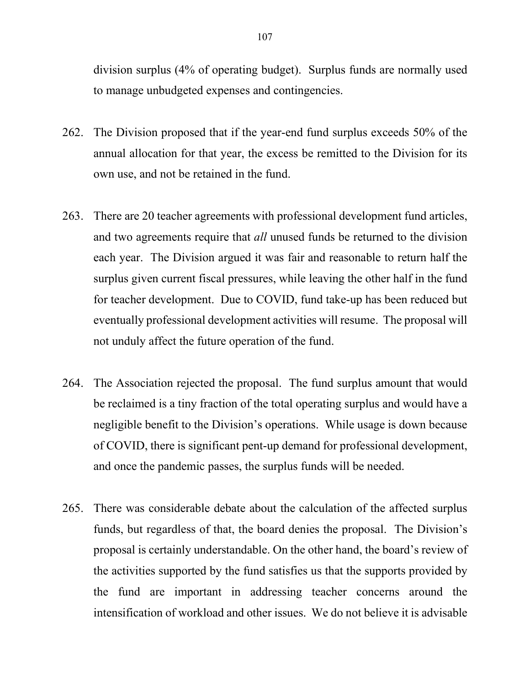division surplus (4% of operating budget). Surplus funds are normally used to manage unbudgeted expenses and contingencies.

- 262. The Division proposed that if the year-end fund surplus exceeds 50% of the annual allocation for that year, the excess be remitted to the Division for its own use, and not be retained in the fund.
- 263. There are 20 teacher agreements with professional development fund articles, and two agreements require that *all* unused funds be returned to the division each year. The Division argued it was fair and reasonable to return half the surplus given current fiscal pressures, while leaving the other half in the fund for teacher development. Due to COVID, fund take-up has been reduced but eventually professional development activities will resume. The proposal will not unduly affect the future operation of the fund.
- 264. The Association rejected the proposal. The fund surplus amount that would be reclaimed is a tiny fraction of the total operating surplus and would have a negligible benefit to the Division's operations. While usage is down because of COVID, there is significant pent-up demand for professional development, and once the pandemic passes, the surplus funds will be needed.
- 265. There was considerable debate about the calculation of the affected surplus funds, but regardless of that, the board denies the proposal. The Division's proposal is certainly understandable. On the other hand, the board's review of the activities supported by the fund satisfies us that the supports provided by the fund are important in addressing teacher concerns around the intensification of workload and other issues. We do not believe it is advisable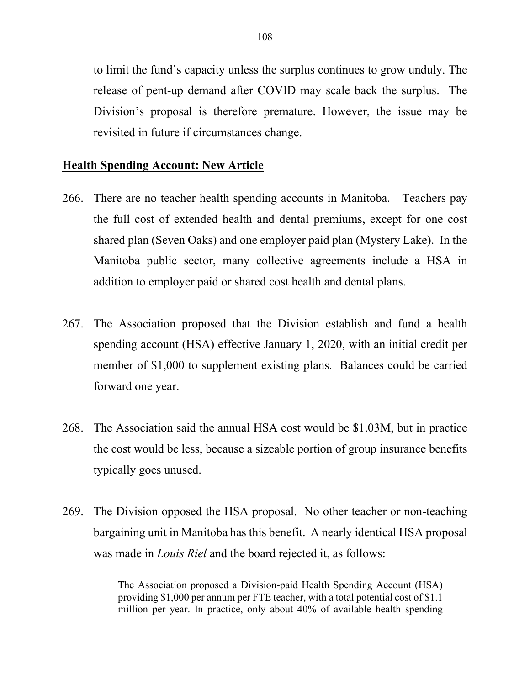to limit the fund's capacity unless the surplus continues to grow unduly. The release of pent-up demand after COVID may scale back the surplus. The Division's proposal is therefore premature. However, the issue may be revisited in future if circumstances change.

### **Health Spending Account: New Article**

- 266. There are no teacher health spending accounts in Manitoba. Teachers pay the full cost of extended health and dental premiums, except for one cost shared plan (Seven Oaks) and one employer paid plan (Mystery Lake). In the Manitoba public sector, many collective agreements include a HSA in addition to employer paid or shared cost health and dental plans.
- 267. The Association proposed that the Division establish and fund a health spending account (HSA) effective January 1, 2020, with an initial credit per member of \$1,000 to supplement existing plans. Balances could be carried forward one year.
- 268. The Association said the annual HSA cost would be \$1.03M, but in practice the cost would be less, because a sizeable portion of group insurance benefits typically goes unused.
- 269. The Division opposed the HSA proposal. No other teacher or non-teaching bargaining unit in Manitoba has this benefit. A nearly identical HSA proposal was made in *Louis Riel* and the board rejected it, as follows:

The Association proposed a Division-paid Health Spending Account (HSA) providing \$1,000 per annum per FTE teacher, with a total potential cost of \$1.1 million per year. In practice, only about 40% of available health spending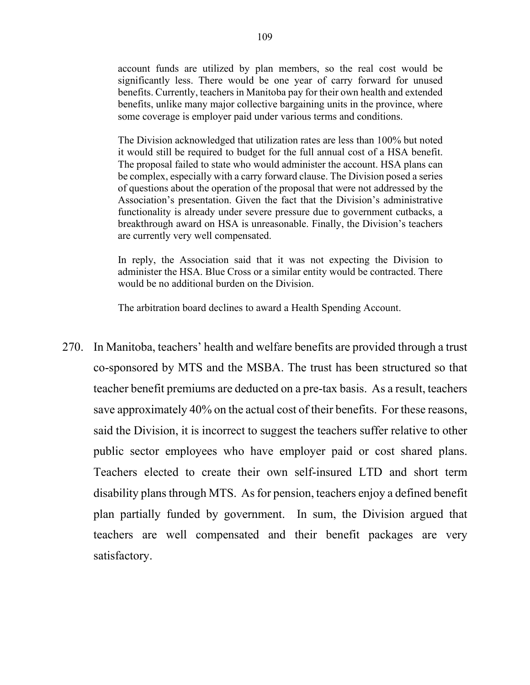account funds are utilized by plan members, so the real cost would be significantly less. There would be one year of carry forward for unused benefits. Currently, teachers in Manitoba pay for their own health and extended benefits, unlike many major collective bargaining units in the province, where some coverage is employer paid under various terms and conditions.

The Division acknowledged that utilization rates are less than 100% but noted it would still be required to budget for the full annual cost of a HSA benefit. The proposal failed to state who would administer the account. HSA plans can be complex, especially with a carry forward clause. The Division posed a series of questions about the operation of the proposal that were not addressed by the Association's presentation. Given the fact that the Division's administrative functionality is already under severe pressure due to government cutbacks, a breakthrough award on HSA is unreasonable. Finally, the Division's teachers are currently very well compensated.

In reply, the Association said that it was not expecting the Division to administer the HSA. Blue Cross or a similar entity would be contracted. There would be no additional burden on the Division.

The arbitration board declines to award a Health Spending Account.

270. In Manitoba, teachers' health and welfare benefits are provided through a trust co-sponsored by MTS and the MSBA. The trust has been structured so that teacher benefit premiums are deducted on a pre-tax basis. As a result, teachers save approximately 40% on the actual cost of their benefits. For these reasons, said the Division, it is incorrect to suggest the teachers suffer relative to other public sector employees who have employer paid or cost shared plans. Teachers elected to create their own self-insured LTD and short term disability plans through MTS. As for pension, teachers enjoy a defined benefit plan partially funded by government. In sum, the Division argued that teachers are well compensated and their benefit packages are very satisfactory.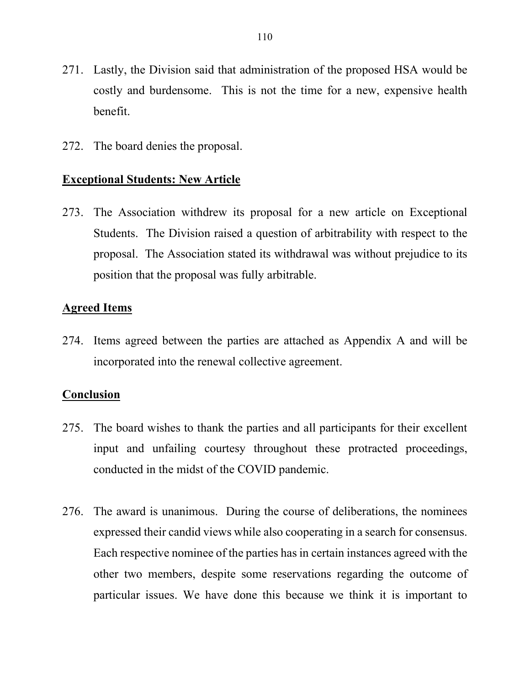- 271. Lastly, the Division said that administration of the proposed HSA would be costly and burdensome. This is not the time for a new, expensive health benefit.
- 272. The board denies the proposal.

#### **Exceptional Students: New Article**

273. The Association withdrew its proposal for a new article on Exceptional Students. The Division raised a question of arbitrability with respect to the proposal. The Association stated its withdrawal was without prejudice to its position that the proposal was fully arbitrable.

#### **Agreed Items**

274. Items agreed between the parties are attached as Appendix A and will be incorporated into the renewal collective agreement.

#### **Conclusion**

- 275. The board wishes to thank the parties and all participants for their excellent input and unfailing courtesy throughout these protracted proceedings, conducted in the midst of the COVID pandemic.
- 276. The award is unanimous. During the course of deliberations, the nominees expressed their candid views while also cooperating in a search for consensus. Each respective nominee of the parties has in certain instances agreed with the other two members, despite some reservations regarding the outcome of particular issues. We have done this because we think it is important to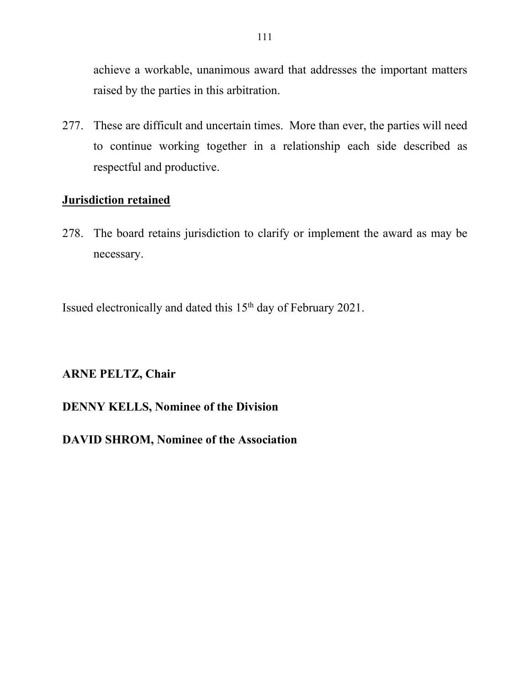achieve a workable, unanimous award that addresses the important matters raised by the parties in this arbitration.

277. These are difficult and uncertain times. More than ever, the parties will need to continue working together in a relationship each side described as respectful and productive.

## **Jurisdiction retained**

278. The board retains jurisdiction to clarify or implement the award as may be necessary.

Issued electronically and dated this 15<sup>th</sup> day of February 2021.

## **ARNE PELTZ, Chair**

# **DENNY KELLS, Nominee of the Division**

# **DAVID SHROM, Nominee of the Association**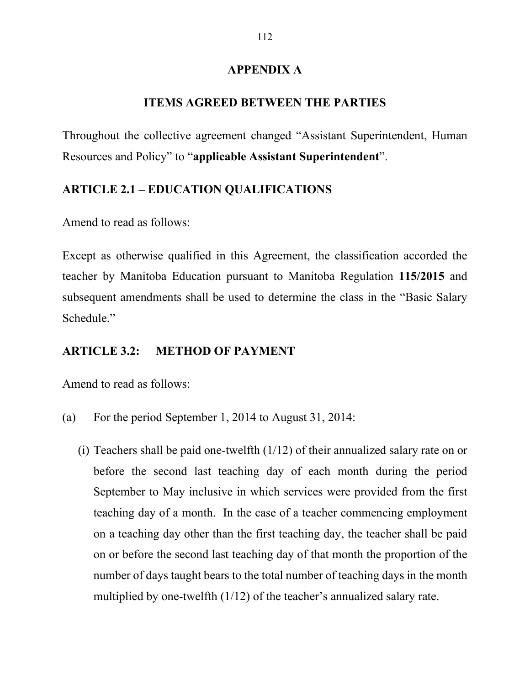#### **APPENDIX A**

#### **ITEMS AGREED BETWEEN THE PARTIES**

Throughout the collective agreement changed "Assistant Superintendent, Human Resources and Policy" to "**applicable Assistant Superintendent**".

### **ARTICLE 2.1 – EDUCATION QUALIFICATIONS**

Amend to read as follows:

Except as otherwise qualified in this Agreement, the classification accorded the teacher by Manitoba Education pursuant to Manitoba Regulation **115/2015** and subsequent amendments shall be used to determine the class in the "Basic Salary Schedule."

#### **ARTICLE 3.2: METHOD OF PAYMENT**

Amend to read as follows:

- (a) For the period September 1, 2014 to August 31, 2014:
	- (i) Teachers shall be paid one-twelfth (1/12) of their annualized salary rate on or before the second last teaching day of each month during the period September to May inclusive in which services were provided from the first teaching day of a month. In the case of a teacher commencing employment on a teaching day other than the first teaching day, the teacher shall be paid on or before the second last teaching day of that month the proportion of the number of days taught bears to the total number of teaching days in the month multiplied by one-twelfth (1/12) of the teacher's annualized salary rate.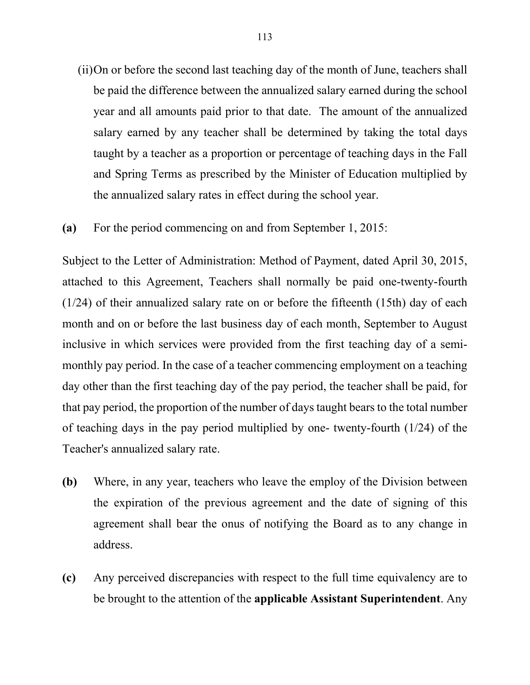- (ii)On or before the second last teaching day of the month of June, teachers shall be paid the difference between the annualized salary earned during the school year and all amounts paid prior to that date. The amount of the annualized salary earned by any teacher shall be determined by taking the total days taught by a teacher as a proportion or percentage of teaching days in the Fall and Spring Terms as prescribed by the Minister of Education multiplied by the annualized salary rates in effect during the school year.
- **(a)** For the period commencing on and from September 1, 2015:

Subject to the Letter of Administration: Method of Payment, dated April 30, 2015, attached to this Agreement, Teachers shall normally be paid one-twenty-fourth (1/24) of their annualized salary rate on or before the fifteenth (15th) day of each month and on or before the last business day of each month, September to August inclusive in which services were provided from the first teaching day of a semimonthly pay period. In the case of a teacher commencing employment on a teaching day other than the first teaching day of the pay period, the teacher shall be paid, for that pay period, the proportion of the number of days taught bears to the total number of teaching days in the pay period multiplied by one- twenty-fourth (1/24) of the Teacher's annualized salary rate.

- **(b)** Where, in any year, teachers who leave the employ of the Division between the expiration of the previous agreement and the date of signing of this agreement shall bear the onus of notifying the Board as to any change in address.
- **(c)** Any perceived discrepancies with respect to the full time equivalency are to be brought to the attention of the **applicable Assistant Superintendent**. Any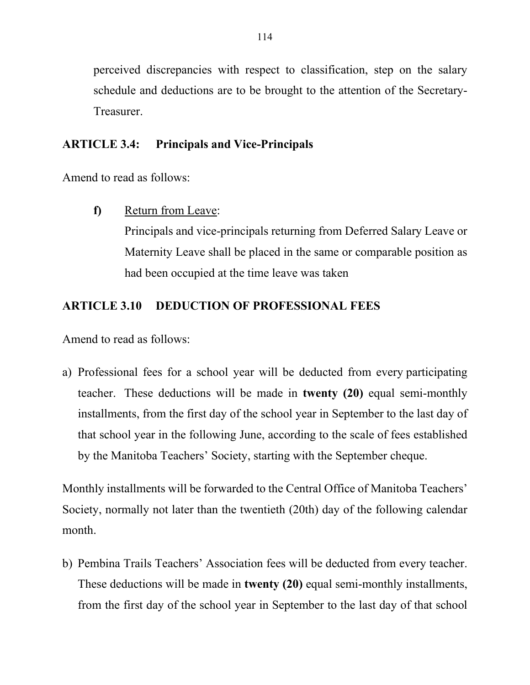perceived discrepancies with respect to classification, step on the salary schedule and deductions are to be brought to the attention of the Secretary-Treasurer.

# **ARTICLE 3.4: Principals and Vice-Principals**

Amend to read as follows:

**f)** Return from Leave:

Principals and vice-principals returning from Deferred Salary Leave or Maternity Leave shall be placed in the same or comparable position as had been occupied at the time leave was taken

# **ARTICLE 3.10 DEDUCTION OF PROFESSIONAL FEES**

Amend to read as follows:

a) Professional fees for a school year will be deducted from every participating teacher. These deductions will be made in **twenty (20)** equal semi-monthly installments, from the first day of the school year in September to the last day of that school year in the following June, according to the scale of fees established by the Manitoba Teachers' Society, starting with the September cheque.

Monthly installments will be forwarded to the Central Office of Manitoba Teachers' Society, normally not later than the twentieth (20th) day of the following calendar month.

b) Pembina Trails Teachers' Association fees will be deducted from every teacher. These deductions will be made in **twenty (20)** equal semi-monthly installments, from the first day of the school year in September to the last day of that school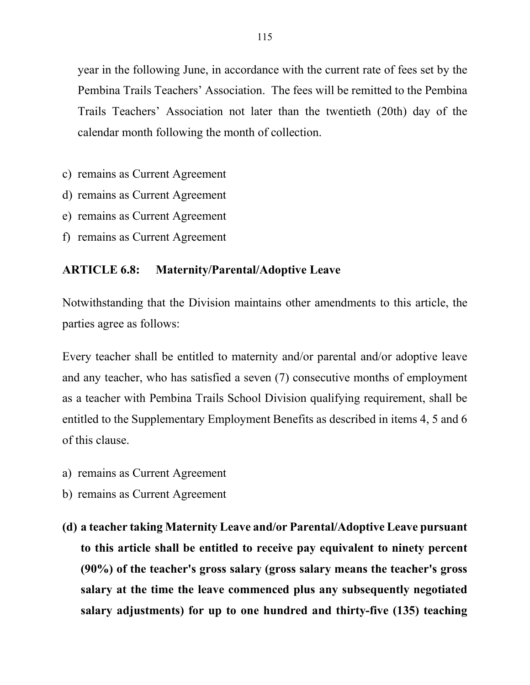year in the following June, in accordance with the current rate of fees set by the Pembina Trails Teachers' Association. The fees will be remitted to the Pembina Trails Teachers' Association not later than the twentieth (20th) day of the calendar month following the month of collection.

- c) remains as Current Agreement
- d) remains as Current Agreement
- e) remains as Current Agreement
- f) remains as Current Agreement

#### **ARTICLE 6.8: Maternity/Parental/Adoptive Leave**

Notwithstanding that the Division maintains other amendments to this article, the parties agree as follows:

Every teacher shall be entitled to maternity and/or parental and/or adoptive leave and any teacher, who has satisfied a seven (7) consecutive months of employment as a teacher with Pembina Trails School Division qualifying requirement, shall be entitled to the Supplementary Employment Benefits as described in items 4, 5 and 6 of this clause.

- a) remains as Current Agreement
- b) remains as Current Agreement
- **(d) a teacher taking Maternity Leave and/or Parental/Adoptive Leave pursuant to this article shall be entitled to receive pay equivalent to ninety percent (90%) of the teacher's gross salary (gross salary means the teacher's gross salary at the time the leave commenced plus any subsequently negotiated salary adjustments) for up to one hundred and thirty-five (135) teaching**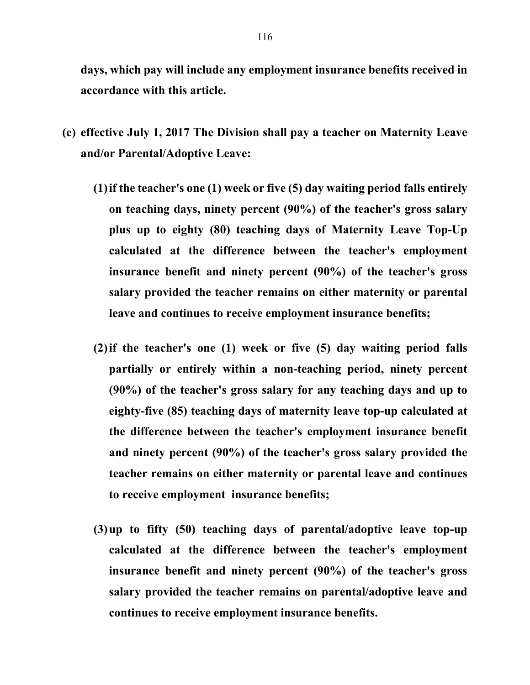**days, which pay will include any employment insurance benefits received in accordance with this article.**

- **(e) effective July 1, 2017 The Division shall pay a teacher on Maternity Leave and/or Parental/Adoptive Leave:**
	- **(1)if the teacher's one (1) week or five (5) day waiting period falls entirely on teaching days, ninety percent (90%) of the teacher's gross salary plus up to eighty (80) teaching days of Maternity Leave Top-Up calculated at the difference between the teacher's employment insurance benefit and ninety percent (90%) of the teacher's gross salary provided the teacher remains on either maternity or parental leave and continues to receive employment insurance benefits;**
	- **(2)if the teacher's one (1) week or five (5) day waiting period falls partially or entirely within a non-teaching period, ninety percent (90%) of the teacher's gross salary for any teaching days and up to eighty-five (85) teaching days of maternity leave top-up calculated at the difference between the teacher's employment insurance benefit and ninety percent (90%) of the teacher's gross salary provided the teacher remains on either maternity or parental leave and continues to receive employment insurance benefits;**
	- **(3)up to fifty (50) teaching days of parental/adoptive leave top-up calculated at the difference between the teacher's employment insurance benefit and ninety percent (90%) of the teacher's gross salary provided the teacher remains on parental/adoptive leave and continues to receive employment insurance benefits.**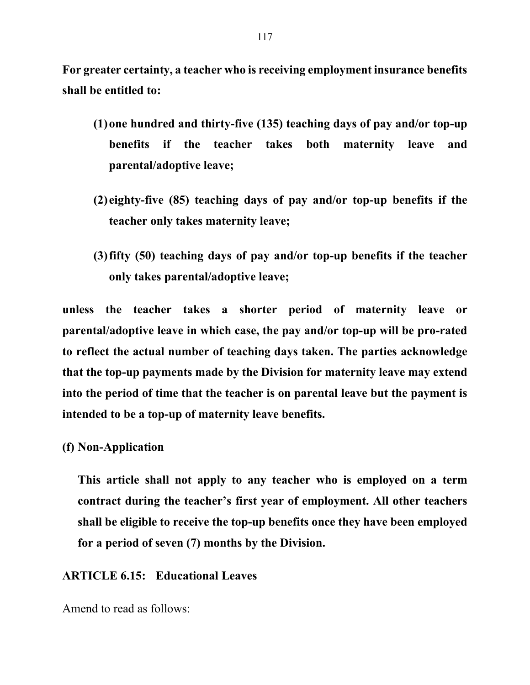**For greater certainty, a teacher who is receiving employment insurance benefits shall be entitled to:**

- **(1)one hundred and thirty-five (135) teaching days of pay and/or top-up benefits if the teacher takes both maternity leave and parental/adoptive leave;**
- **(2) eighty-five (85) teaching days of pay and/or top-up benefits if the teacher only takes maternity leave;**
- **(3)fifty (50) teaching days of pay and/or top-up benefits if the teacher only takes parental/adoptive leave;**

**unless the teacher takes a shorter period of maternity leave or parental/adoptive leave in which case, the pay and/or top-up will be pro-rated to reflect the actual number of teaching days taken. The parties acknowledge that the top-up payments made by the Division for maternity leave may extend into the period of time that the teacher is on parental leave but the payment is intended to be a top-up of maternity leave benefits.**

#### **(f) Non-Application**

**This article shall not apply to any teacher who is employed on a term contract during the teacher's first year of employment. All other teachers shall be eligible to receive the top-up benefits once they have been employed for a period of seven (7) months by the Division.**

#### **ARTICLE 6.15: Educational Leaves**

Amend to read as follows: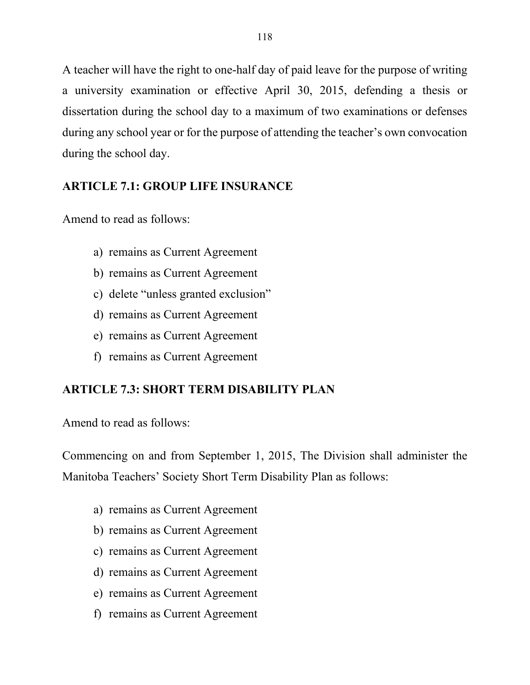A teacher will have the right to one-half day of paid leave for the purpose of writing a university examination or effective April 30, 2015, defending a thesis or dissertation during the school day to a maximum of two examinations or defenses during any school year or for the purpose of attending the teacher's own convocation during the school day.

## **ARTICLE 7.1: GROUP LIFE INSURANCE**

Amend to read as follows:

- a) remains as Current Agreement
- b) remains as Current Agreement
- c) delete "unless granted exclusion"
- d) remains as Current Agreement
- e) remains as Current Agreement
- f) remains as Current Agreement

# **ARTICLE 7.3: SHORT TERM DISABILITY PLAN**

Amend to read as follows:

Commencing on and from September 1, 2015, The Division shall administer the Manitoba Teachers' Society Short Term Disability Plan as follows:

- a) remains as Current Agreement
- b) remains as Current Agreement
- c) remains as Current Agreement
- d) remains as Current Agreement
- e) remains as Current Agreement
- f) remains as Current Agreement